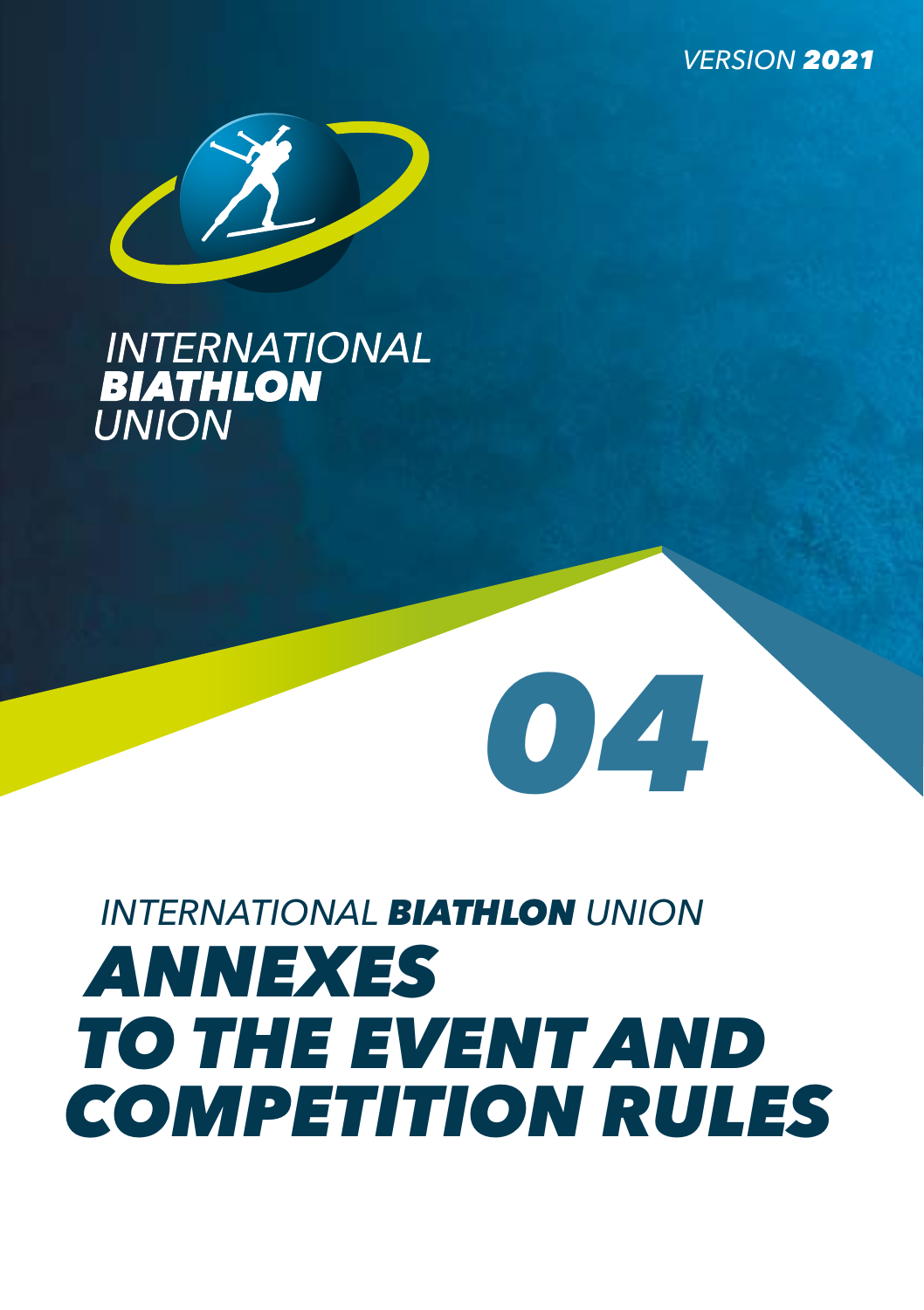*VERSION 2021*



# **INTERNATIONAL BIATHLON UNION**

# *INTERNATIONAL BIATHLON UNION ANNEXES TO THE EVENT AND COMPETITION RULES*

*04*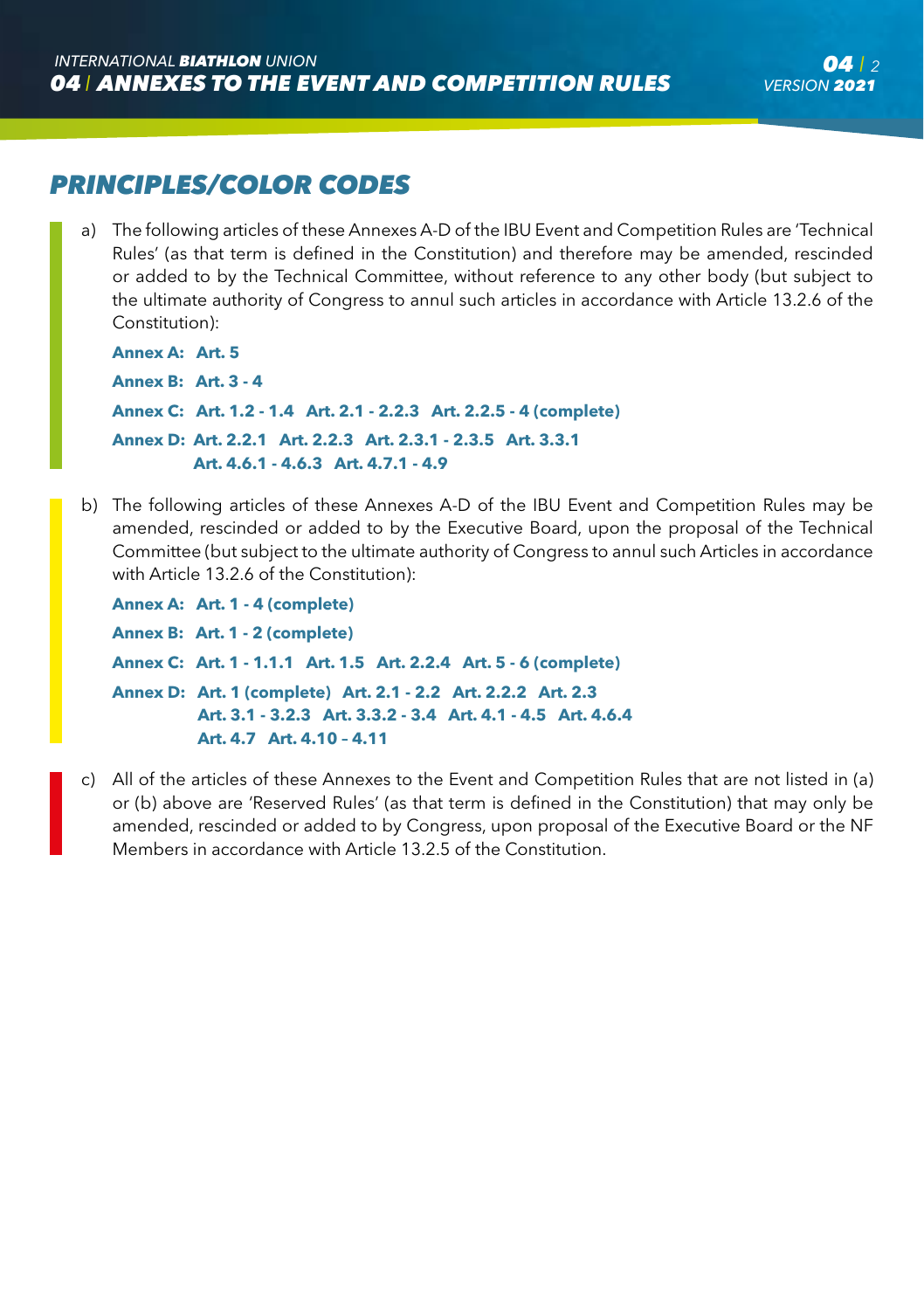# *PRINCIPLES/COLOR CODES*

a) The following articles of these Annexes A-D of the IBU Event and Competition Rules are 'Technical Rules' (as that term is defined in the Constitution) and therefore may be amended, rescinded or added to by the Technical Committee, without reference to any other body (but subject to the ultimate authority of Congress to annul such articles in accordance with Article 13.2.6 of the Constitution):

```
Annex A: Art. 5
Annex B: Art. 3 - 4
Annex C: Art. 1.2 - 1.4 Art. 2.1 - 2.2.3 Art. 2.2.5 - 4 (complete)
Annex D: Art. 2.2.1 Art. 2.2.3 Art. 2.3.1 - 2.3.5 Art. 3.3.1 
           Art. 4.6.1 - 4.6.3 Art. 4.7.1 - 4.9
```
b) The following articles of these Annexes A-D of the IBU Event and Competition Rules may be amended, rescinded or added to by the Executive Board, upon the proposal of the Technical Committee (but subject to the ultimate authority of Congress to annul such Articles in accordance with Article 13.2.6 of the Constitution):

```
Annex A: Art. 1 - 4 (complete)
Annex B: Art. 1 - 2 (complete)
Annex C: Art. 1 - 1.1.1 Art. 1.5 Art. 2.2.4 Art. 5 - 6 (complete)
Annex D: Art. 1 (complete) Art. 2.1 - 2.2 Art. 2.2.2 Art. 2.3
            Art. 3.1 - 3.2.3 Art. 3.3.2 - 3.4 Art. 4.1 - 4.5 Art. 4.6.4 
            Art. 4.7 Art. 4.10 – 4.11
```
c) All of the articles of these Annexes to the Event and Competition Rules that are not listed in (a) or (b) above are 'Reserved Rules' (as that term is defined in the Constitution) that may only be amended, rescinded or added to by Congress, upon proposal of the Executive Board or the NF Members in accordance with Article 13.2.5 of the Constitution.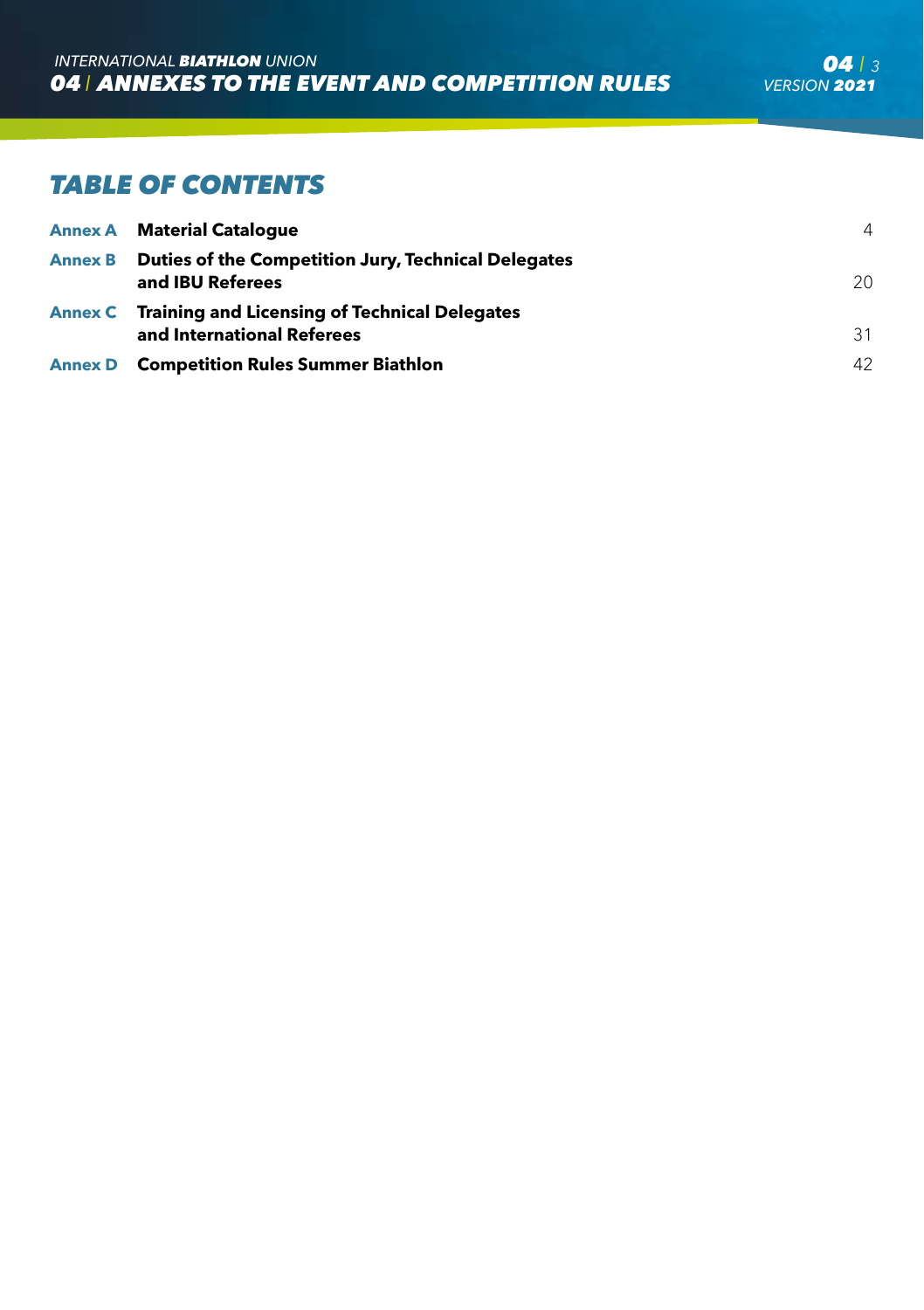# *TABLE OF CONTENTS*

| <b>Annex A</b> Material Catalogue                                                   | $\overline{4}$  |
|-------------------------------------------------------------------------------------|-----------------|
| Annex B Duties of the Competition Jury, Technical Delegates<br>and IBU Referees     | 20 <sup>°</sup> |
| Annex C Training and Licensing of Technical Delegates<br>and International Referees | 31              |
| <b>Annex D</b> Competition Rules Summer Biathlon                                    | 42              |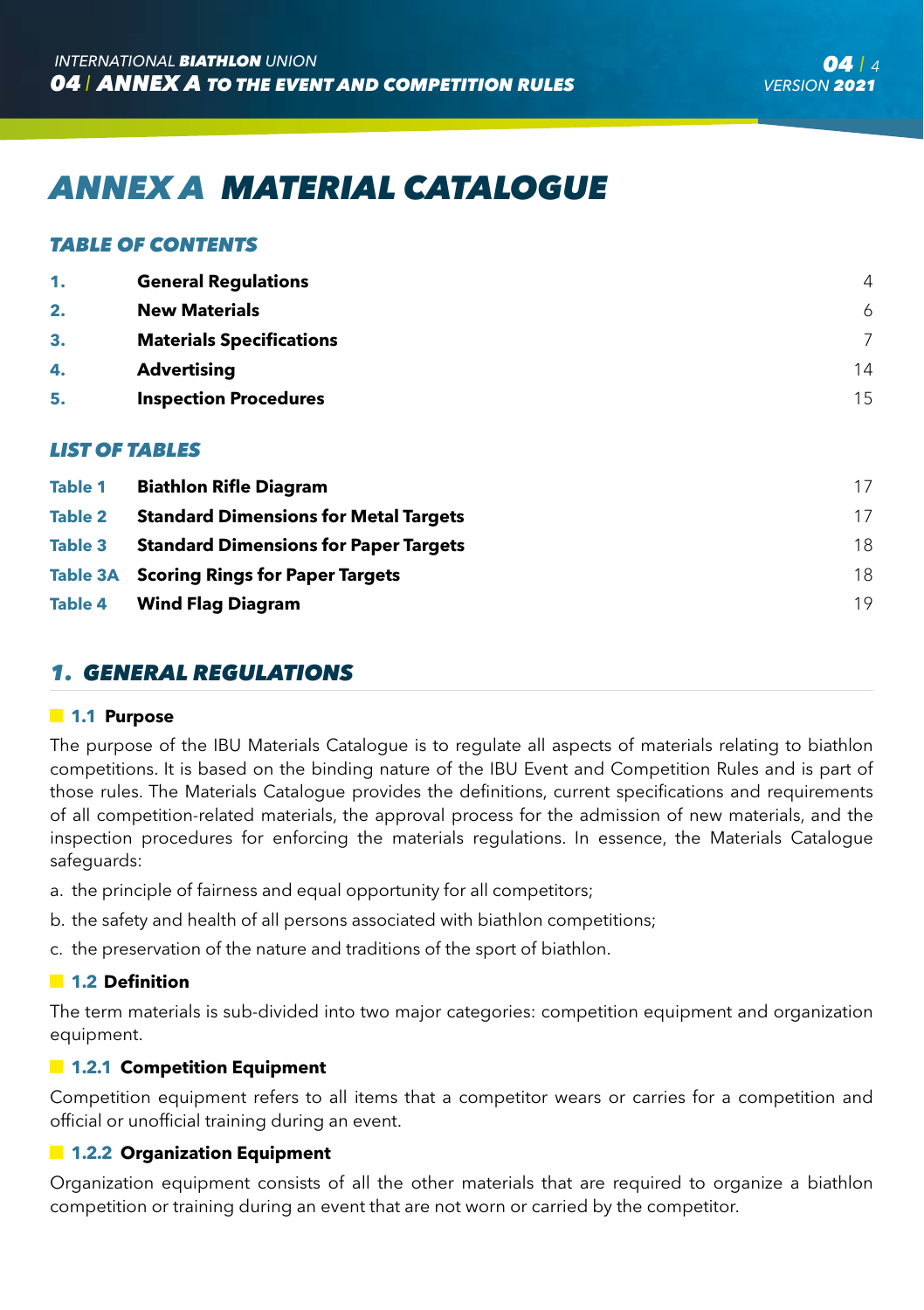# *ANNEX A MATERIAL CATALOGUE*

#### *TABLE OF CONTENTS*

| 1. | <b>General Regulations</b>      | $\overline{4}$ |
|----|---------------------------------|----------------|
| 2. | <b>New Materials</b>            | 6              |
| 3. | <b>Materials Specifications</b> | 7              |
| 4. | <b>Advertising</b>              | 14             |
| 5. | <b>Inspection Procedures</b>    | 15             |
|    |                                 |                |

#### *LIST OF TABLES*

| Table 1        | <b>Biathlon Rifle Diagram</b>                | 17 |
|----------------|----------------------------------------------|----|
| Table 2        | <b>Standard Dimensions for Metal Targets</b> | 17 |
| <b>Table 3</b> | <b>Standard Dimensions for Paper Targets</b> | 18 |
|                | Table 3A Scoring Rings for Paper Targets     | 18 |
| Table 4        | <b>Wind Flag Diagram</b>                     | 19 |
|                |                                              |    |

### *1. GENERAL REGULATIONS*

#### **1.1 Purpose**

The purpose of the IBU Materials Catalogue is to regulate all aspects of materials relating to biathlon competitions. It is based on the binding nature of the IBU Event and Competition Rules and is part of those rules. The Materials Catalogue provides the definitions, current specifications and requirements of all competition-related materials, the approval process for the admission of new materials, and the inspection procedures for enforcing the materials regulations. In essence, the Materials Catalogue safeguards:

- a. the principle of fairness and equal opportunity for all competitors;
- b. the safety and health of all persons associated with biathlon competitions;
- c. the preservation of the nature and traditions of the sport of biathlon.

#### **1.2 Definition**

The term materials is sub-divided into two major categories: competition equipment and organization equipment.

#### **1.2.1 Competition Equipment**

Competition equipment refers to all items that a competitor wears or carries for a competition and official or unofficial training during an event.

#### **1.2.2 Organization Equipment**

Organization equipment consists of all the other materials that are required to organize a biathlon competition or training during an event that are not worn or carried by the competitor.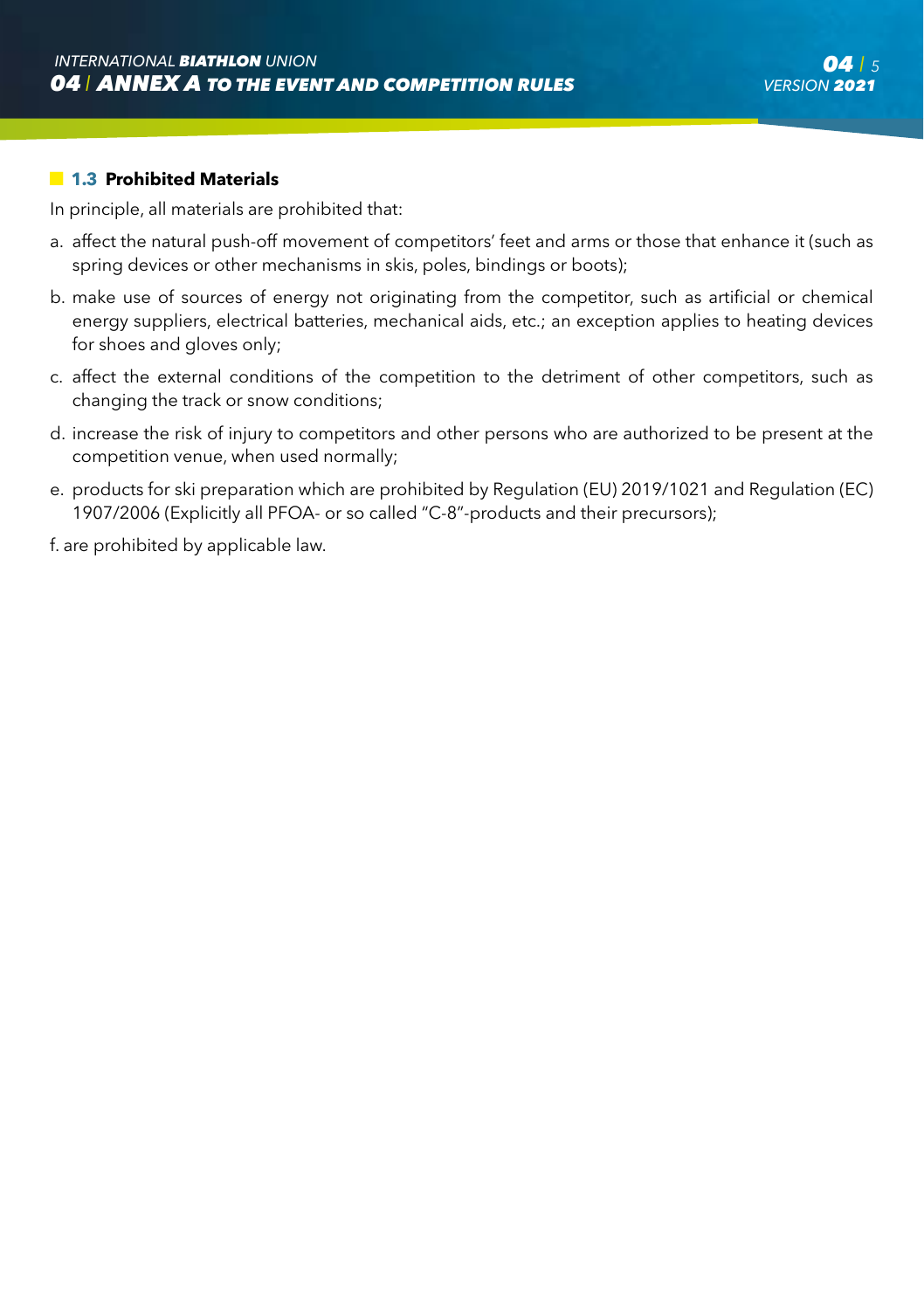#### **1.3 Prohibited Materials**

In principle, all materials are prohibited that:

- a. affect the natural push-off movement of competitors' feet and arms or those that enhance it (such as spring devices or other mechanisms in skis, poles, bindings or boots);
- b. make use of sources of energy not originating from the competitor, such as artificial or chemical energy suppliers, electrical batteries, mechanical aids, etc.; an exception applies to heating devices for shoes and gloves only;
- c. affect the external conditions of the competition to the detriment of other competitors, such as changing the track or snow conditions;
- d. increase the risk of injury to competitors and other persons who are authorized to be present at the competition venue, when used normally;
- e. products for ski preparation which are prohibited by Regulation (EU) 2019/1021 and Regulation (EC) 1907/2006 (Explicitly all PFOA- or so called "C-8"-products and their precursors);

f. are prohibited by applicable law.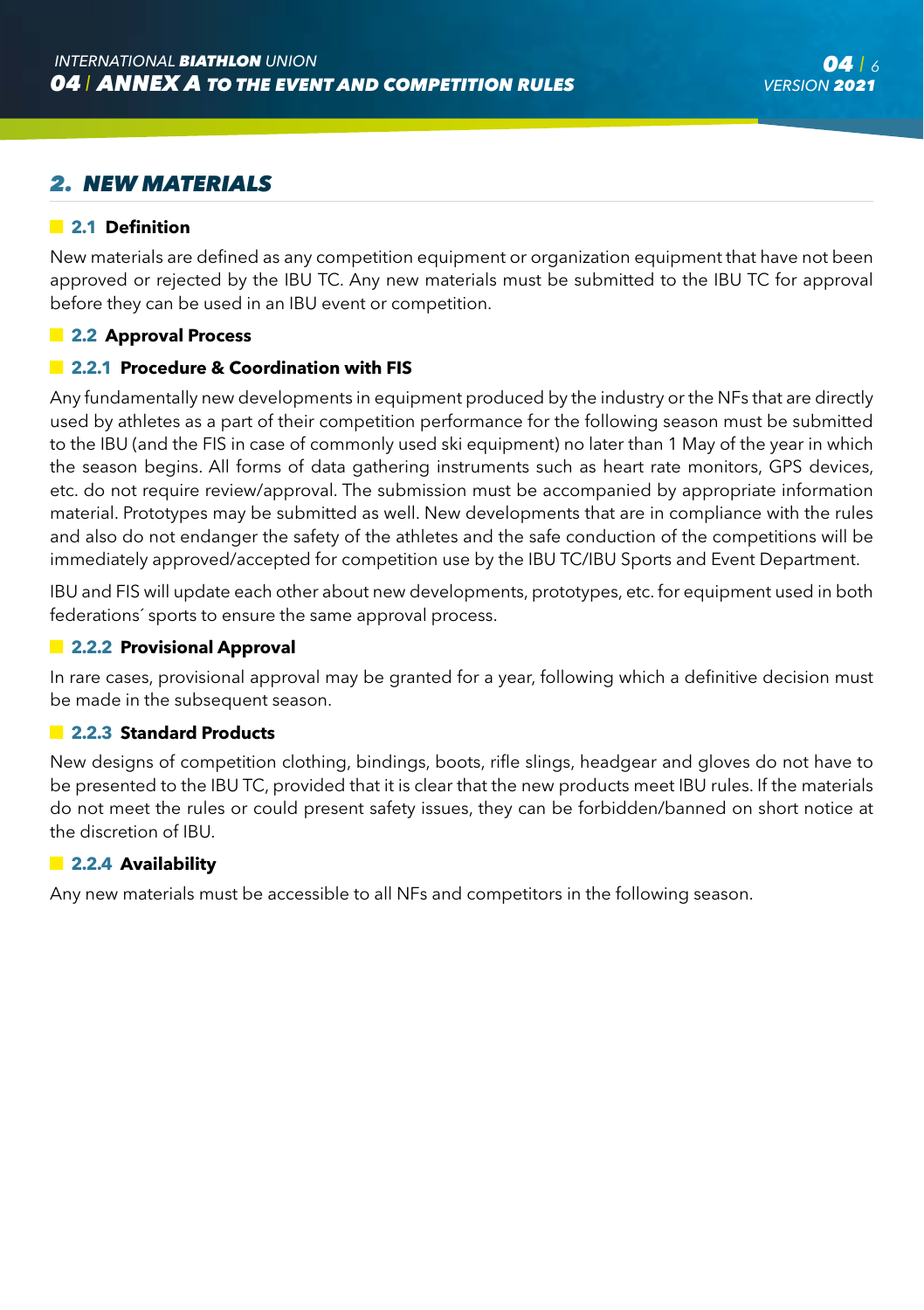# *2. NEW MATERIALS*

#### **2.1 Definition**

New materials are defined as any competition equipment or organization equipment that have not been approved or rejected by the IBU TC. Any new materials must be submitted to the IBU TC for approval before they can be used in an IBU event or competition.

#### **2.2 Approval Process**

#### **2.2.1 Procedure & Coordination with FIS**

Any fundamentally new developments in equipment produced by the industry or the NFs that are directly used by athletes as a part of their competition performance for the following season must be submitted to the IBU (and the FIS in case of commonly used ski equipment) no later than 1 May of the year in which the season begins. All forms of data gathering instruments such as heart rate monitors, GPS devices, etc. do not require review/approval. The submission must be accompanied by appropriate information material. Prototypes may be submitted as well. New developments that are in compliance with the rules and also do not endanger the safety of the athletes and the safe conduction of the competitions will be immediately approved/accepted for competition use by the IBU TC/IBU Sports and Event Department.

IBU and FIS will update each other about new developments, prototypes, etc. for equipment used in both federations´ sports to ensure the same approval process.

#### **2.2.2 Provisional Approval**

In rare cases, provisional approval may be granted for a year, following which a definitive decision must be made in the subsequent season.

#### **2.2.3 Standard Products**

New designs of competition clothing, bindings, boots, rifle slings, headgear and gloves do not have to be presented to the IBU TC, provided that it is clear that the new products meet IBU rules. If the materials do not meet the rules or could present safety issues, they can be forbidden/banned on short notice at the discretion of IBU.

#### **2.2.4 Availability**

Any new materials must be accessible to all NFs and competitors in the following season.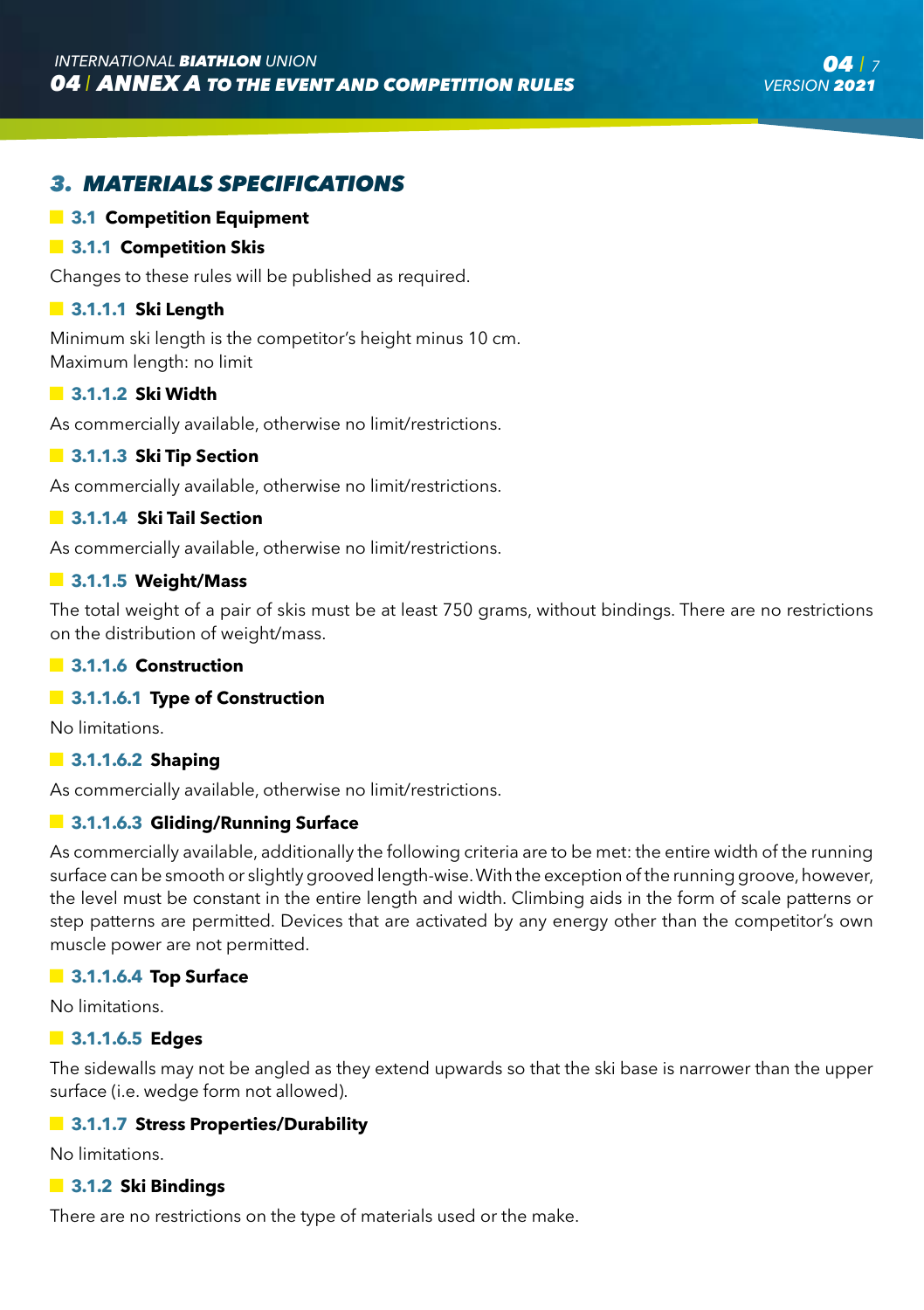# *3. MATERIALS SPECIFICATIONS*

#### **3.1 Competition Equipment**

#### **3.1.1 Competition Skis**

Changes to these rules will be published as required.

#### **3.1.1.1 Ski Length**

Minimum ski length is the competitor's height minus 10 cm. Maximum length: no limit

#### **3.1.1.2 Ski Width**

As commercially available, otherwise no limit/restrictions.

#### **13.1.1.3 Ski Tip Section**

As commercially available, otherwise no limit/restrictions.

#### **3.1.1.4 Ski Tail Section**

As commercially available, otherwise no limit/restrictions.

#### **3.1.1.5 Weight/Mass**

The total weight of a pair of skis must be at least 750 grams, without bindings. There are no restrictions on the distribution of weight/mass.

#### **3.1.1.6 Construction**

#### **13.1.1.6.1 Type of Construction**

No limitations.

#### **3.1.1.6.2 Shaping**

As commercially available, otherwise no limit/restrictions.

#### **3.1.1.6.3 Gliding/Running Surface**

As commercially available, additionally the following criteria are to be met: the entire width of the running surface can be smooth or slightly grooved length-wise. With the exception of the running groove, however, the level must be constant in the entire length and width. Climbing aids in the form of scale patterns or step patterns are permitted. Devices that are activated by any energy other than the competitor's own muscle power are not permitted.

#### **3.1.1.6.4 Top Surface**

No limitations.

#### **3.1.1.6.5 Edges**

The sidewalls may not be angled as they extend upwards so that the ski base is narrower than the upper surface (i.e. wedge form not allowed).

#### **3.1.1.7 Stress Properties/Durability**

No limitations.

#### **3.1.2 Ski Bindings**

There are no restrictions on the type of materials used or the make.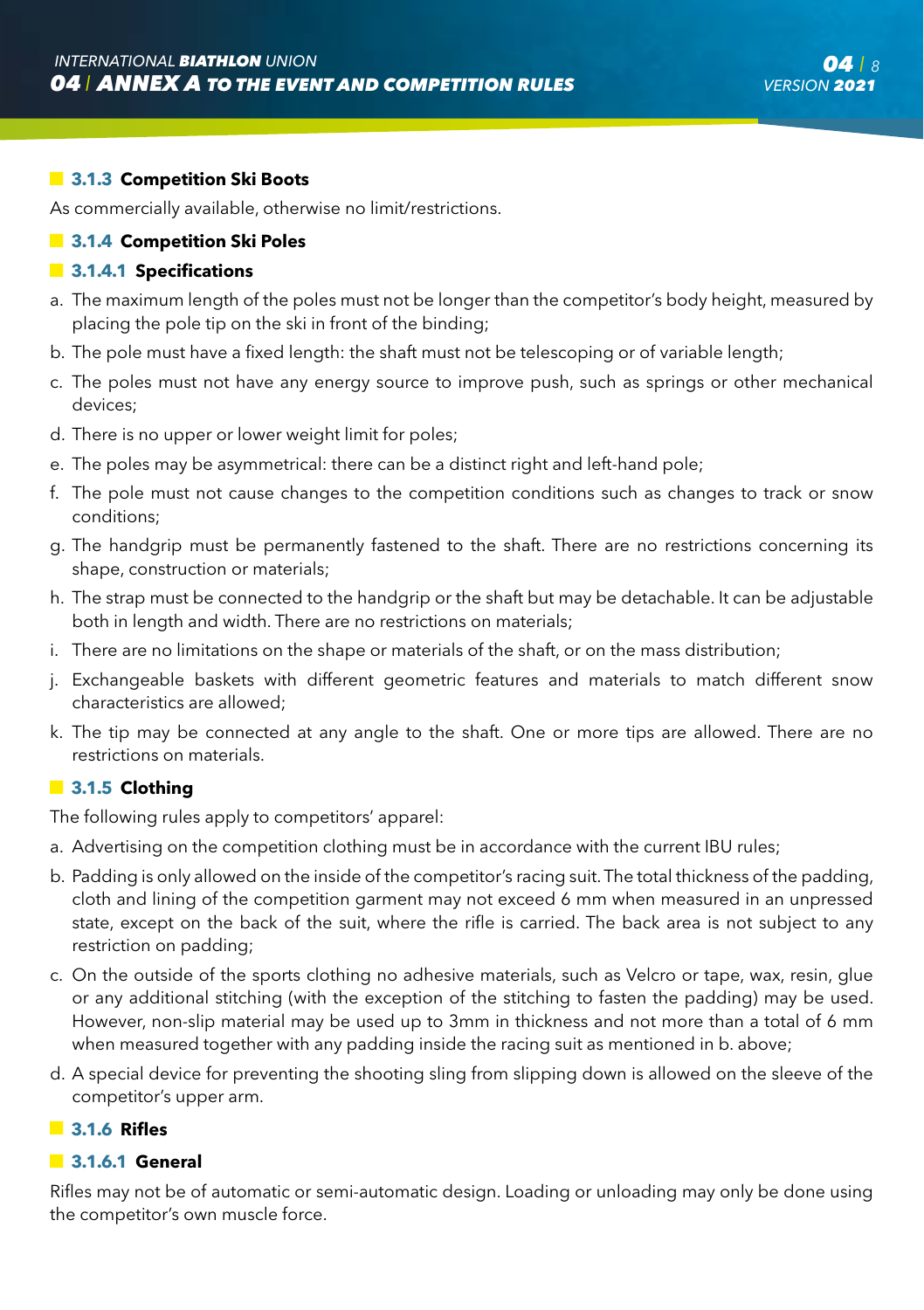#### **3.1.3 Competition Ski Boots**

As commercially available, otherwise no limit/restrictions.

#### **3.1.4 Competition Ski Poles**

#### **3.1.4.1 Specifications**

- a. The maximum length of the poles must not be longer than the competitor's body height, measured by placing the pole tip on the ski in front of the binding;
- b. The pole must have a fixed length: the shaft must not be telescoping or of variable length;
- c. The poles must not have any energy source to improve push, such as springs or other mechanical devices;
- d. There is no upper or lower weight limit for poles;
- e. The poles may be asymmetrical: there can be a distinct right and left-hand pole;
- f. The pole must not cause changes to the competition conditions such as changes to track or snow conditions;
- g. The handgrip must be permanently fastened to the shaft. There are no restrictions concerning its shape, construction or materials;
- h. The strap must be connected to the handgrip or the shaft but may be detachable. It can be adjustable both in length and width. There are no restrictions on materials;
- i. There are no limitations on the shape or materials of the shaft, or on the mass distribution;
- j. Exchangeable baskets with different geometric features and materials to match different snow characteristics are allowed;
- k. The tip may be connected at any angle to the shaft. One or more tips are allowed. There are no restrictions on materials.

#### $\blacksquare$  3.1.5 Clothing

The following rules apply to competitors' apparel:

- a. Advertising on the competition clothing must be in accordance with the current IBU rules;
- b. Padding is only allowed on the inside of the competitor's racing suit. The total thickness of the padding, cloth and lining of the competition garment may not exceed 6 mm when measured in an unpressed state, except on the back of the suit, where the rifle is carried. The back area is not subject to any restriction on padding;
- c. On the outside of the sports clothing no adhesive materials, such as Velcro or tape, wax, resin, glue or any additional stitching (with the exception of the stitching to fasten the padding) may be used. However, non-slip material may be used up to 3mm in thickness and not more than a total of 6 mm when measured together with any padding inside the racing suit as mentioned in b. above;
- d. A special device for preventing the shooting sling from slipping down is allowed on the sleeve of the competitor's upper arm.

#### **3.1.6 Rifles**

#### **3.1.6.1 General**

Rifles may not be of automatic or semi-automatic design. Loading or unloading may only be done using the competitor's own muscle force.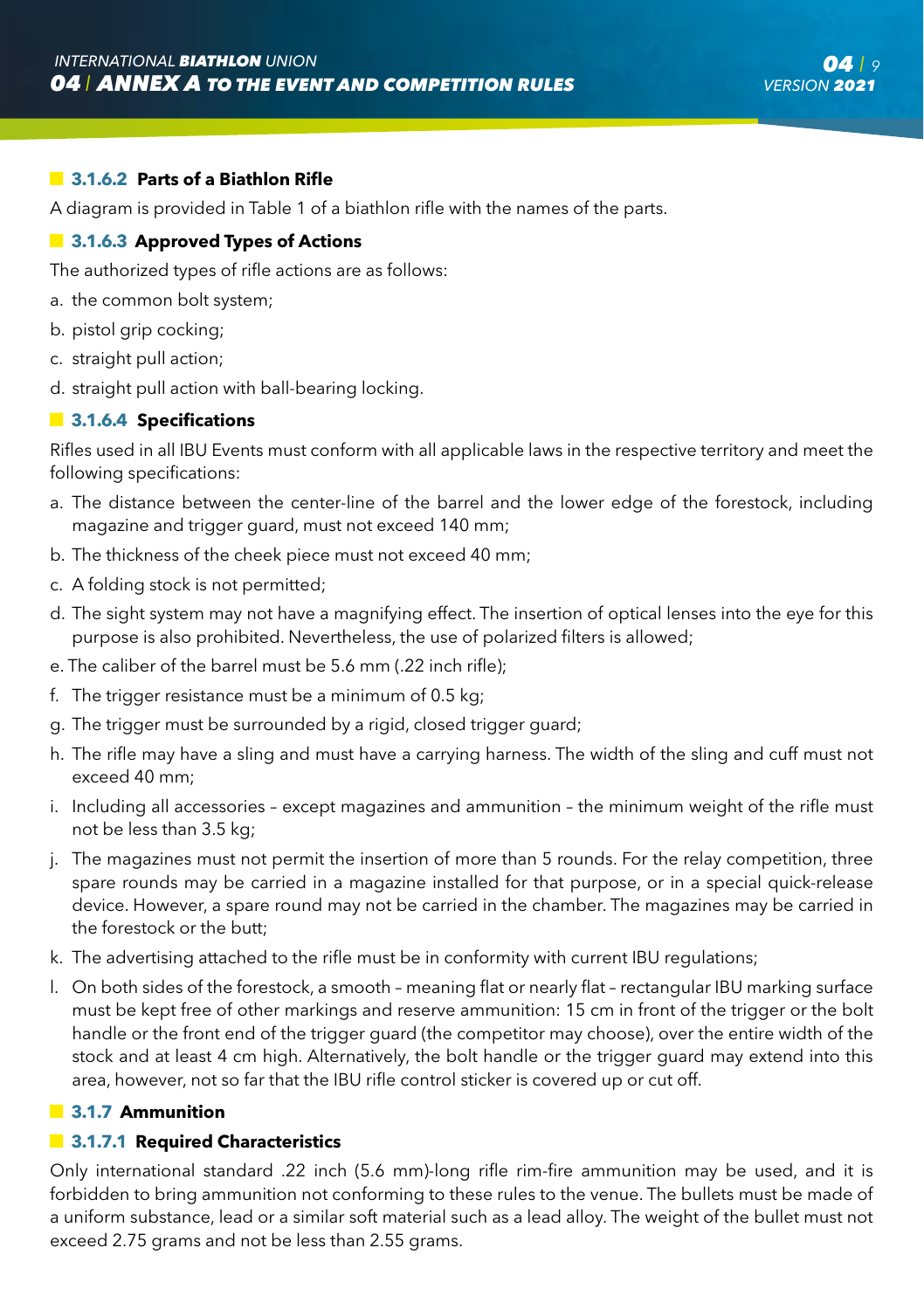#### **3.1.6.2 Parts of a Biathlon Rifle**

A diagram is provided in Table 1 of a biathlon rifle with the names of the parts.

#### **13.1.6.3 Approved Types of Actions**

The authorized types of rifle actions are as follows:

- a. the common bolt system;
- b. pistol grip cocking;
- c. straight pull action;
- d. straight pull action with ball-bearing locking.

#### $\blacksquare$  3.1.6.4 Specifications

Rifles used in all IBU Events must conform with all applicable laws in the respective territory and meet the following specifications:

- a. The distance between the center-line of the barrel and the lower edge of the forestock, including magazine and trigger guard, must not exceed 140 mm;
- b. The thickness of the cheek piece must not exceed 40 mm;
- c. A folding stock is not permitted;
- d. The sight system may not have a magnifying effect. The insertion of optical lenses into the eye for this purpose is also prohibited. Nevertheless, the use of polarized filters is allowed;
- e. The caliber of the barrel must be 5.6 mm (.22 inch rifle);
- f. The trigger resistance must be a minimum of 0.5 kg;
- g. The trigger must be surrounded by a rigid, closed trigger guard;
- h. The rifle may have a sling and must have a carrying harness. The width of the sling and cuff must not exceed 40 mm;
- i. Including all accessories except magazines and ammunition the minimum weight of the rifle must not be less than 3.5 kg;
- j. The magazines must not permit the insertion of more than 5 rounds. For the relay competition, three spare rounds may be carried in a magazine installed for that purpose, or in a special quick-release device. However, a spare round may not be carried in the chamber. The magazines may be carried in the forestock or the butt;
- k. The advertising attached to the rifle must be in conformity with current IBU regulations;
- l. On both sides of the forestock, a smooth meaning flat or nearly flat rectangular IBU marking surface must be kept free of other markings and reserve ammunition: 15 cm in front of the trigger or the bolt handle or the front end of the trigger guard (the competitor may choose), over the entire width of the stock and at least 4 cm high. Alternatively, the bolt handle or the trigger guard may extend into this area, however, not so far that the IBU rifle control sticker is covered up or cut off.

#### **3.1.7 Ammunition**

#### **13.1.7.1 Required Characteristics**

Only international standard .22 inch (5.6 mm)-long rifle rim-fire ammunition may be used, and it is forbidden to bring ammunition not conforming to these rules to the venue. The bullets must be made of a uniform substance, lead or a similar soft material such as a lead alloy. The weight of the bullet must not exceed 2.75 grams and not be less than 2.55 grams.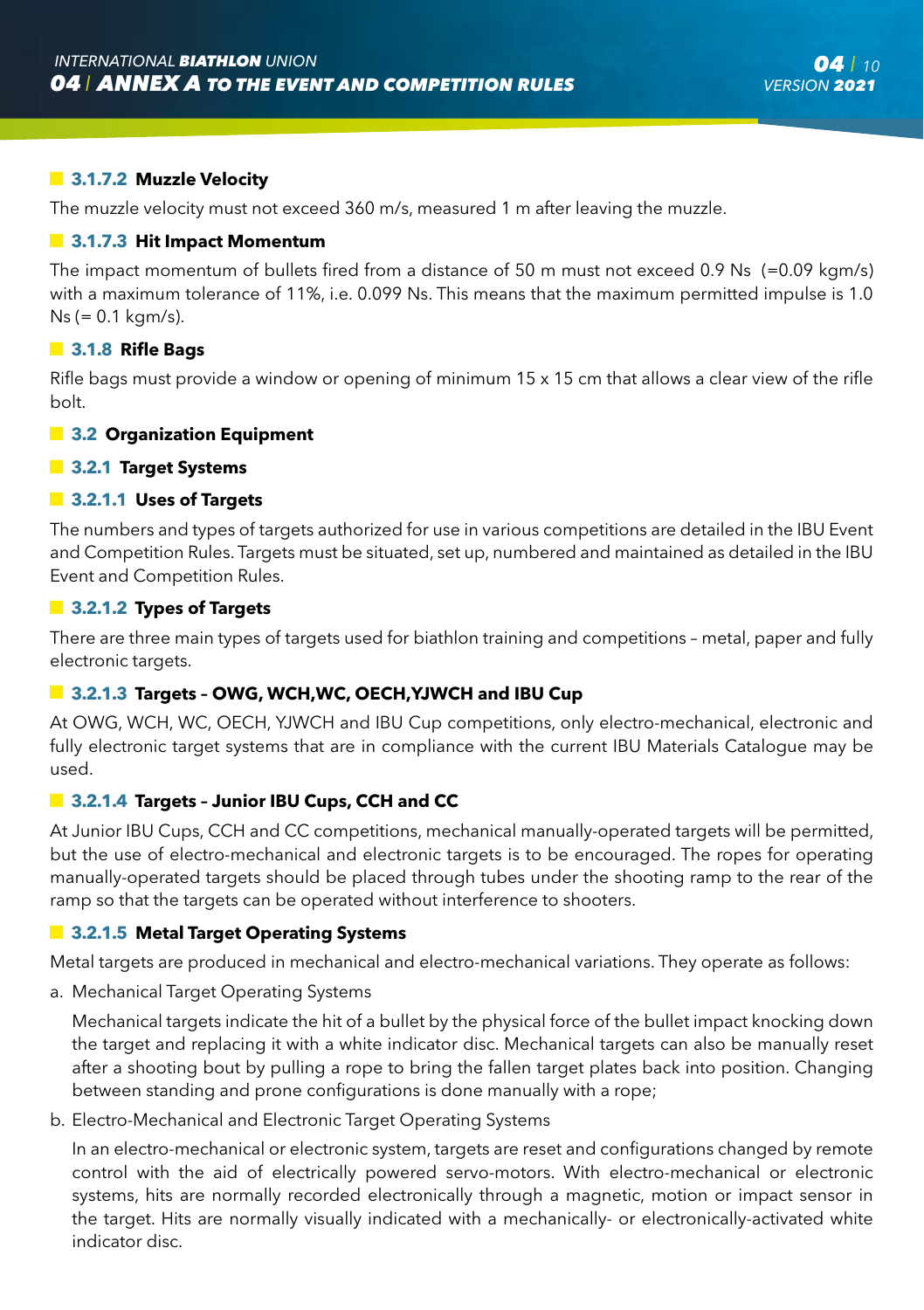#### **3.1.7.2 Muzzle Velocity**

The muzzle velocity must not exceed 360 m/s, measured 1 m after leaving the muzzle.

#### **3.1.7.3 Hit Impact Momentum**

The impact momentum of bullets fired from a distance of 50 m must not exceed 0.9 Ns (=0.09 kgm/s) with a maximum tolerance of 11%, i.e. 0.099 Ns. This means that the maximum permitted impulse is 1.0 Ns (= 0.1 kgm/s).

#### **3.1.8 Rifle Bags**

Rifle bags must provide a window or opening of minimum 15 x 15 cm that allows a clear view of the rifle bolt.

#### **3.2 Organization Equipment**

#### **3.2.1 Target Systems**

#### **3.2.1.1 Uses of Targets**

The numbers and types of targets authorized for use in various competitions are detailed in the IBU Event and Competition Rules. Targets must be situated, set up, numbered and maintained as detailed in the IBU Event and Competition Rules.

#### **3.2.1.2 Types of Targets**

There are three main types of targets used for biathlon training and competitions – metal, paper and fully electronic targets.

#### **3.2.1.3 Targets – OWG, WCH,WC, OECH,YJWCH and IBU Cup**

At OWG, WCH, WC, OECH, YJWCH and IBU Cup competitions, only electro-mechanical, electronic and fully electronic target systems that are in compliance with the current IBU Materials Catalogue may be used.

#### **3.2.1.4 Targets – Junior IBU Cups, CCH and CC**

At Junior IBU Cups, CCH and CC competitions, mechanical manually-operated targets will be permitted, but the use of electro-mechanical and electronic targets is to be encouraged. The ropes for operating manually-operated targets should be placed through tubes under the shooting ramp to the rear of the ramp so that the targets can be operated without interference to shooters.

#### **3.2.1.5 Metal Target Operating Systems**

Metal targets are produced in mechanical and electro-mechanical variations. They operate as follows:

a. Mechanical Target Operating Systems

 Mechanical targets indicate the hit of a bullet by the physical force of the bullet impact knocking down the target and replacing it with a white indicator disc. Mechanical targets can also be manually reset after a shooting bout by pulling a rope to bring the fallen target plates back into position. Changing between standing and prone configurations is done manually with a rope;

b. Electro-Mechanical and Electronic Target Operating Systems

 In an electro-mechanical or electronic system, targets are reset and configurations changed by remote control with the aid of electrically powered servo-motors. With electro-mechanical or electronic systems, hits are normally recorded electronically through a magnetic, motion or impact sensor in the target. Hits are normally visually indicated with a mechanically- or electronically-activated white indicator disc.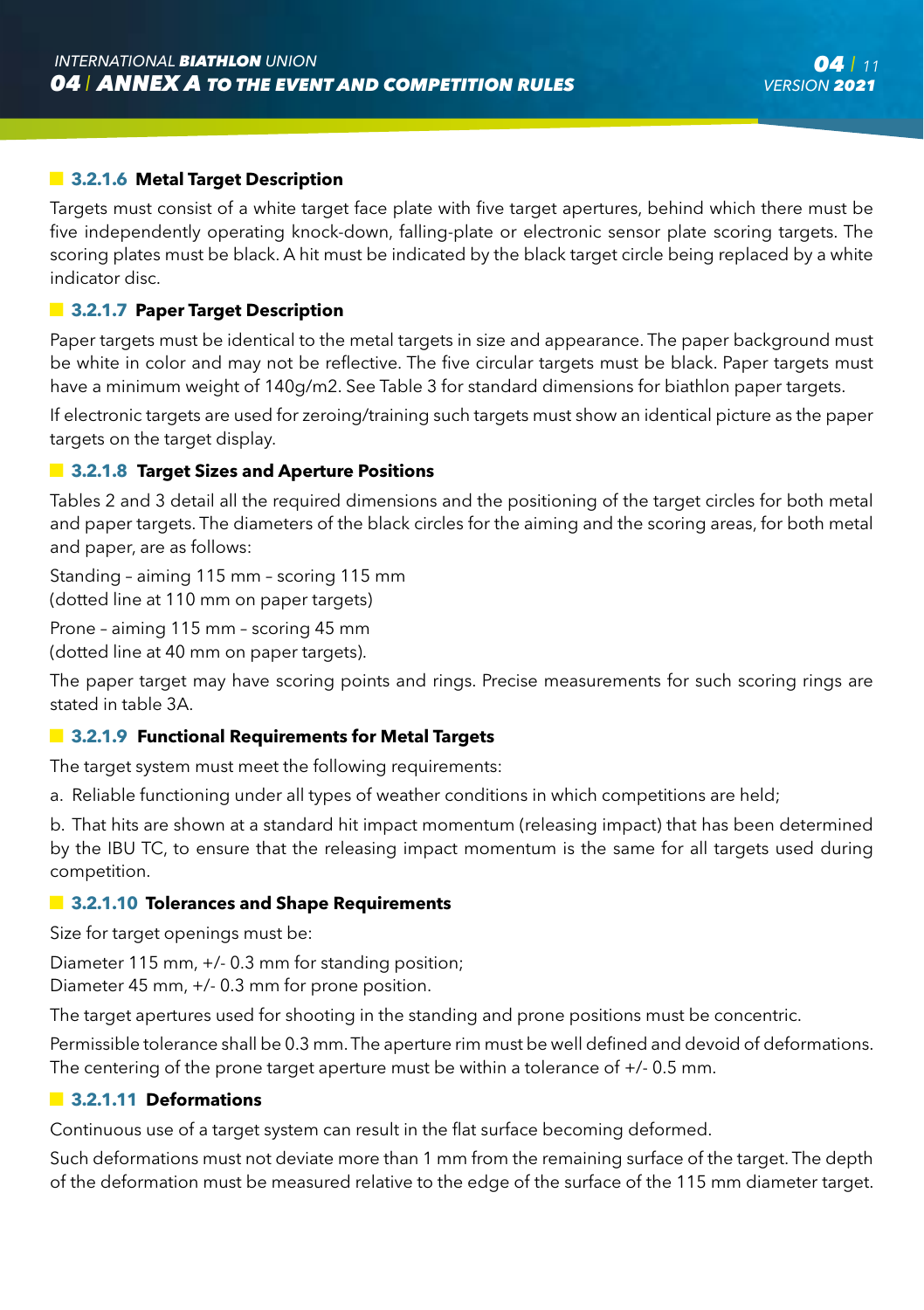#### **13.2.1.6 Metal Target Description**

Targets must consist of a white target face plate with five target apertures, behind which there must be five independently operating knock-down, falling-plate or electronic sensor plate scoring targets. The scoring plates must be black. A hit must be indicated by the black target circle being replaced by a white indicator disc.

#### **3.2.1.7 Paper Target Description**

Paper targets must be identical to the metal targets in size and appearance. The paper background must be white in color and may not be reflective. The five circular targets must be black. Paper targets must have a minimum weight of 140g/m2. See Table 3 for standard dimensions for biathlon paper targets.

If electronic targets are used for zeroing/training such targets must show an identical picture as the paper targets on the target display.

#### $\blacksquare$  **3.2.1.8 Target Sizes and Aperture Positions**

Tables 2 and 3 detail all the required dimensions and the positioning of the target circles for both metal and paper targets. The diameters of the black circles for the aiming and the scoring areas, for both metal and paper, are as follows:

Standing – aiming 115 mm – scoring 115 mm (dotted line at 110 mm on paper targets)

Prone – aiming 115 mm – scoring 45 mm (dotted line at 40 mm on paper targets).

The paper target may have scoring points and rings. Precise measurements for such scoring rings are stated in table 3A.

#### **3.2.1.9 Functional Requirements for Metal Targets**

The target system must meet the following requirements:

a. Reliable functioning under all types of weather conditions in which competitions are held;

b. That hits are shown at a standard hit impact momentum (releasing impact) that has been determined by the IBU TC, to ensure that the releasing impact momentum is the same for all targets used during competition.

#### **3.2.1.10 Tolerances and Shape Requirements**

Size for target openings must be:

Diameter 115 mm, +/- 0.3 mm for standing position;

Diameter 45 mm, +/- 0.3 mm for prone position.

The target apertures used for shooting in the standing and prone positions must be concentric.

Permissible tolerance shall be 0.3 mm. The aperture rim must be well defined and devoid of deformations. The centering of the prone target aperture must be within a tolerance of +/- 0.5 mm.

#### **3.2.1.11 Deformations**

Continuous use of a target system can result in the flat surface becoming deformed.

Such deformations must not deviate more than 1 mm from the remaining surface of the target. The depth of the deformation must be measured relative to the edge of the surface of the 115 mm diameter target.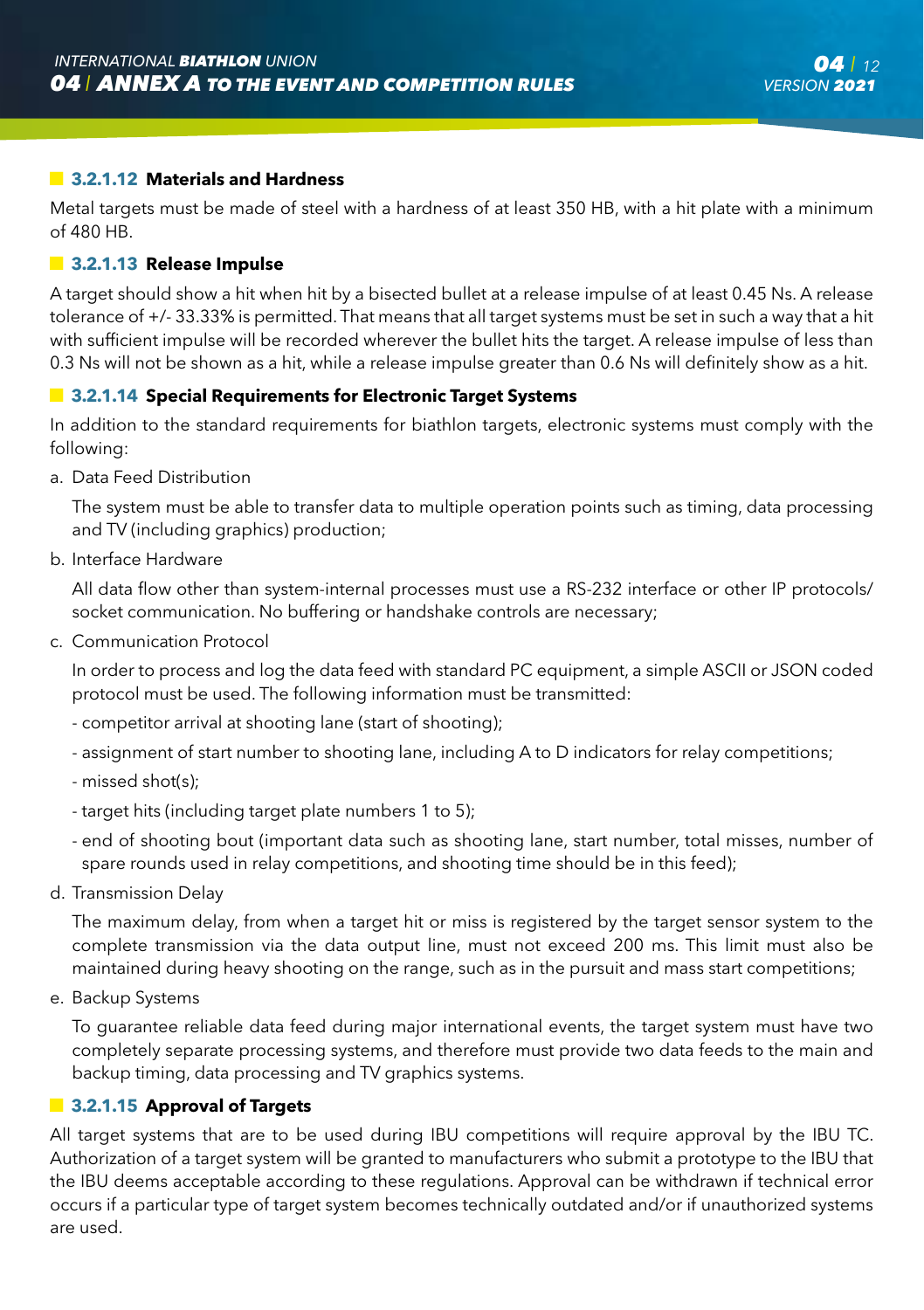#### **3.2.1.12 Materials and Hardness**

Metal targets must be made of steel with a hardness of at least 350 HB, with a hit plate with a minimum of 480 HB.

#### **3.2.1.13 Release Impulse**

A target should show a hit when hit by a bisected bullet at a release impulse of at least 0.45 Ns. A release tolerance of +/- 33.33% is permitted. That means that all target systems must be set in such a way that a hit with sufficient impulse will be recorded wherever the bullet hits the target. A release impulse of less than 0.3 Ns will not be shown as a hit, while a release impulse greater than 0.6 Ns will definitely show as a hit.

#### **3.2.1.14 Special Requirements for Electronic Target Systems**

In addition to the standard requirements for biathlon targets, electronic systems must comply with the following:

a. Data Feed Distribution

 The system must be able to transfer data to multiple operation points such as timing, data processing and TV (including graphics) production;

b. Interface Hardware

 All data flow other than system-internal processes must use a RS-232 interface or other IP protocols/ socket communication. No buffering or handshake controls are necessary;

c. Communication Protocol

 In order to process and log the data feed with standard PC equipment, a simple ASCII or JSON coded protocol must be used. The following information must be transmitted:

- competitor arrival at shooting lane (start of shooting);
- assignment of start number to shooting lane, including A to D indicators for relay competitions;
- missed shot(s);
- target hits (including target plate numbers 1 to 5);
- end of shooting bout (important data such as shooting lane, start number, total misses, number of spare rounds used in relay competitions, and shooting time should be in this feed);
- d. Transmission Delay

 The maximum delay, from when a target hit or miss is registered by the target sensor system to the complete transmission via the data output line, must not exceed 200 ms. This limit must also be maintained during heavy shooting on the range, such as in the pursuit and mass start competitions;

e. Backup Systems

 To guarantee reliable data feed during major international events, the target system must have two completely separate processing systems, and therefore must provide two data feeds to the main and backup timing, data processing and TV graphics systems.

#### **3.2.1.15 Approval of Targets**

All target systems that are to be used during IBU competitions will require approval by the IBU TC. Authorization of a target system will be granted to manufacturers who submit a prototype to the IBU that the IBU deems acceptable according to these regulations. Approval can be withdrawn if technical error occurs if a particular type of target system becomes technically outdated and/or if unauthorized systems are used.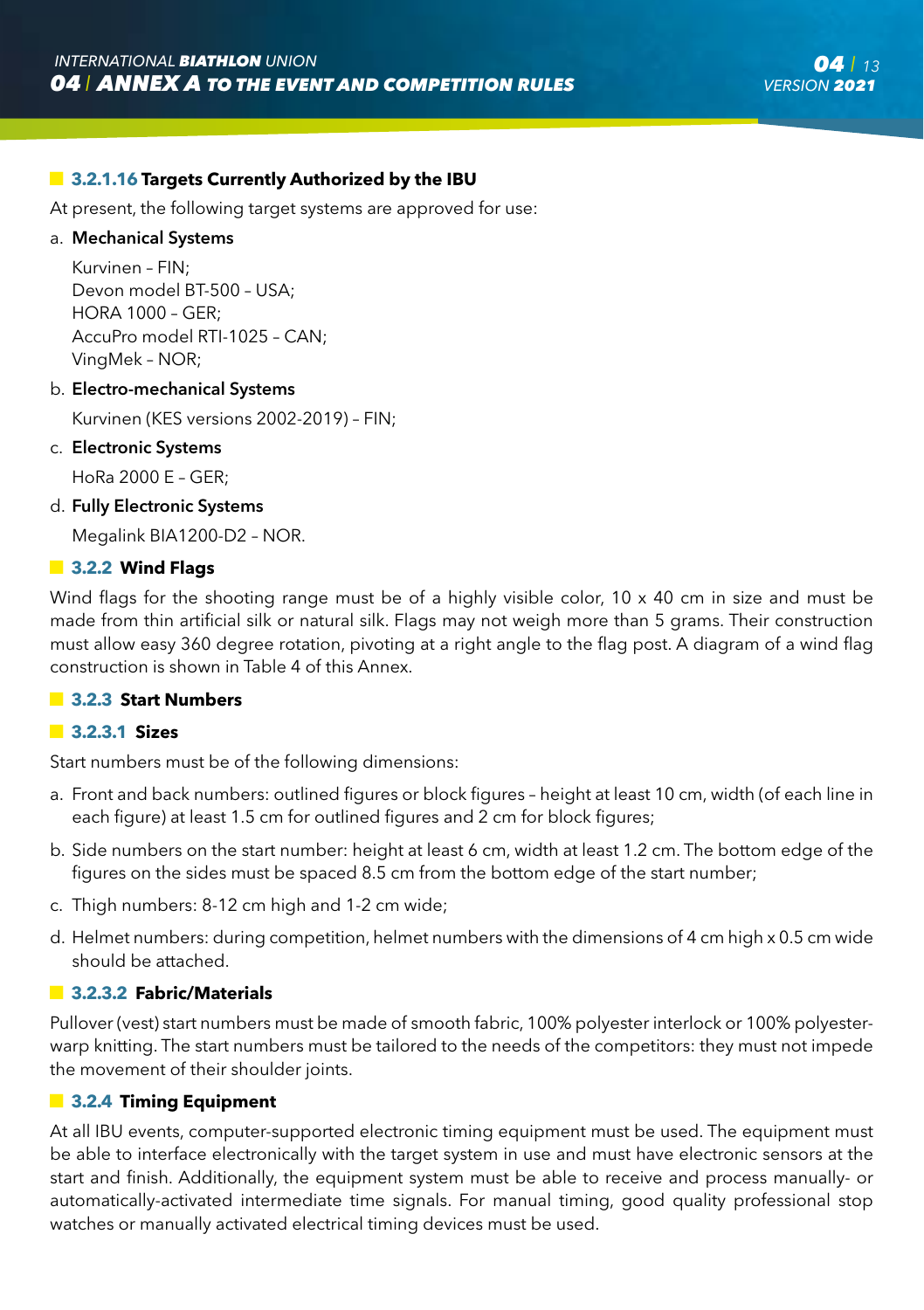#### **13.2.1.16 Targets Currently Authorized by the IBU**

At present, the following target systems are approved for use:

#### a. Mechanical Systems

Kurvinen – FIN; Devon model BT-500 – USA; HORA 1000 – GER; AccuPro model RTI-1025 – CAN; VingMek – NOR;

#### b. Electro-mechanical Systems

Kurvinen (KES versions 2002-2019) – FIN;

#### c. Electronic Systems

HoRa 2000 E – GER;

#### d. Fully Electronic Systems

Megalink BIA1200-D2 – NOR.

#### **3.2.2 Wind Flags**

Wind flags for the shooting range must be of a highly visible color, 10 x 40 cm in size and must be made from thin artificial silk or natural silk. Flags may not weigh more than 5 grams. Their construction must allow easy 360 degree rotation, pivoting at a right angle to the flag post. A diagram of a wind flag construction is shown in Table 4 of this Annex.

#### **3.2.3 Start Numbers**

#### **3.2.3.1 Sizes**

Start numbers must be of the following dimensions:

- a. Front and back numbers: outlined figures or block figures height at least 10 cm, width (of each line in each figure) at least 1.5 cm for outlined figures and 2 cm for block figures;
- b. Side numbers on the start number: height at least 6 cm, width at least 1.2 cm. The bottom edge of the figures on the sides must be spaced 8.5 cm from the bottom edge of the start number;
- c. Thigh numbers: 8-12 cm high and 1-2 cm wide;
- d. Helmet numbers: during competition, helmet numbers with the dimensions of 4 cm high x 0.5 cm wide should be attached.

#### **3.2.3.2 Fabric/Materials**

Pullover (vest) start numbers must be made of smooth fabric, 100% polyester interlock or 100% polyesterwarp knitting. The start numbers must be tailored to the needs of the competitors: they must not impede the movement of their shoulder joints.

#### **13.2.4 Timing Equipment**

At all IBU events, computer-supported electronic timing equipment must be used. The equipment must be able to interface electronically with the target system in use and must have electronic sensors at the start and finish. Additionally, the equipment system must be able to receive and process manually- or automatically-activated intermediate time signals. For manual timing, good quality professional stop watches or manually activated electrical timing devices must be used.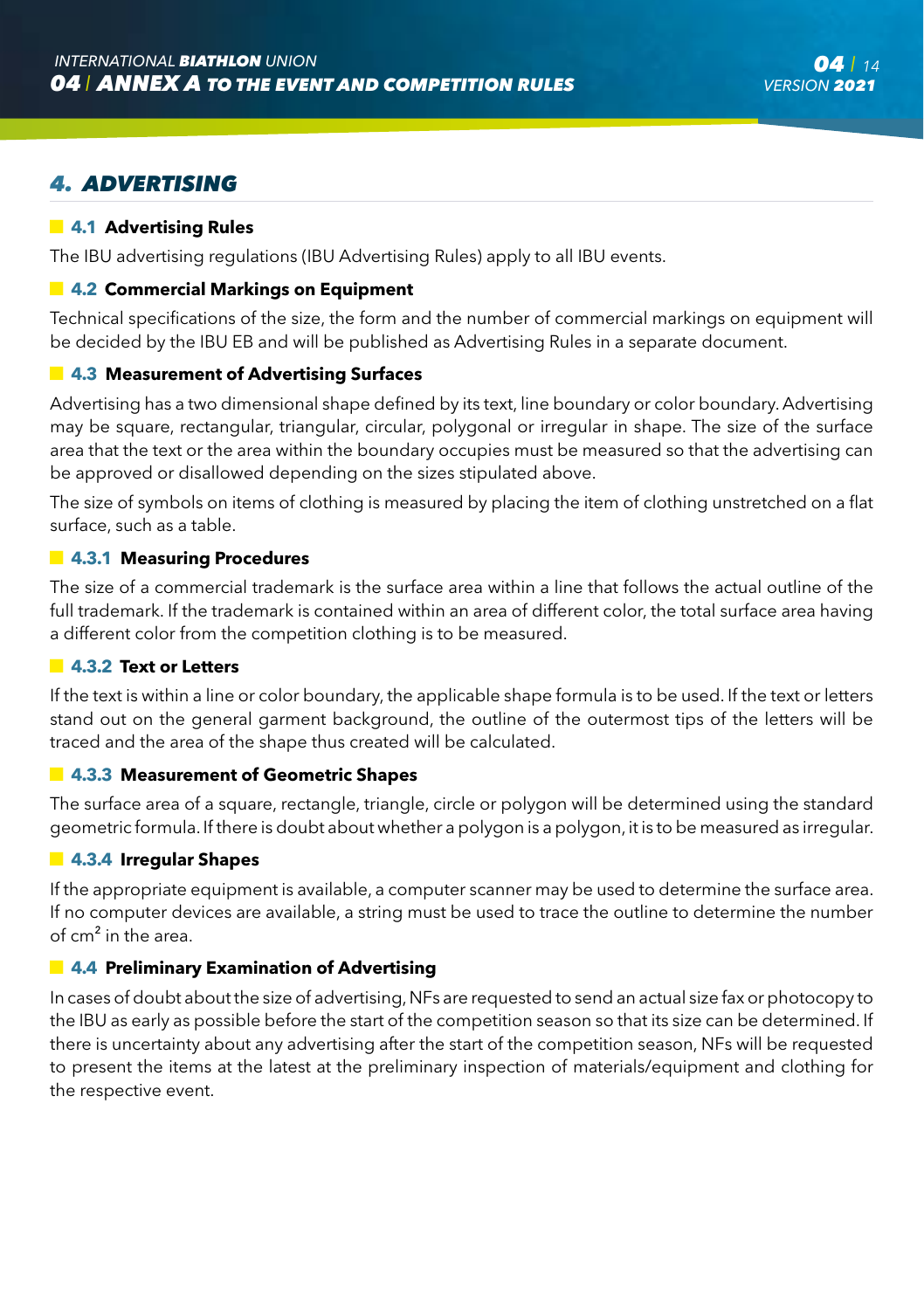# *4. ADVERTISING*

#### **4.1 Advertising Rules**

The IBU advertising regulations (IBU Advertising Rules) apply to all IBU events.

#### **4.2 Commercial Markings on Equipment**

Technical specifications of the size, the form and the number of commercial markings on equipment will be decided by the IBU EB and will be published as Advertising Rules in a separate document.

#### **4.3 Measurement of Advertising Surfaces**

Advertising has a two dimensional shape defined by its text, line boundary or color boundary. Advertising may be square, rectangular, triangular, circular, polygonal or irregular in shape. The size of the surface area that the text or the area within the boundary occupies must be measured so that the advertising can be approved or disallowed depending on the sizes stipulated above.

The size of symbols on items of clothing is measured by placing the item of clothing unstretched on a flat surface, such as a table.

#### **4.3.1 Measuring Procedures**

The size of a commercial trademark is the surface area within a line that follows the actual outline of the full trademark. If the trademark is contained within an area of different color, the total surface area having a different color from the competition clothing is to be measured.

#### **4.3.2 Text or Letters**

If the text is within a line or color boundary, the applicable shape formula is to be used. If the text or letters stand out on the general garment background, the outline of the outermost tips of the letters will be traced and the area of the shape thus created will be calculated.

#### **4.3.3 Measurement of Geometric Shapes**

The surface area of a square, rectangle, triangle, circle or polygon will be determined using the standard geometric formula. If there is doubt about whether a polygon is a polygon, it is to be measured as irregular.

#### **4.3.4 Irregular Shapes**

If the appropriate equipment is available, a computer scanner may be used to determine the surface area. If no computer devices are available, a string must be used to trace the outline to determine the number of cm² in the area.

#### **4.4 Preliminary Examination of Advertising**

In cases of doubt about the size of advertising, NFs are requested to send an actual size fax or photocopy to the IBU as early as possible before the start of the competition season so that its size can be determined. If there is uncertainty about any advertising after the start of the competition season, NFs will be requested to present the items at the latest at the preliminary inspection of materials/equipment and clothing for the respective event.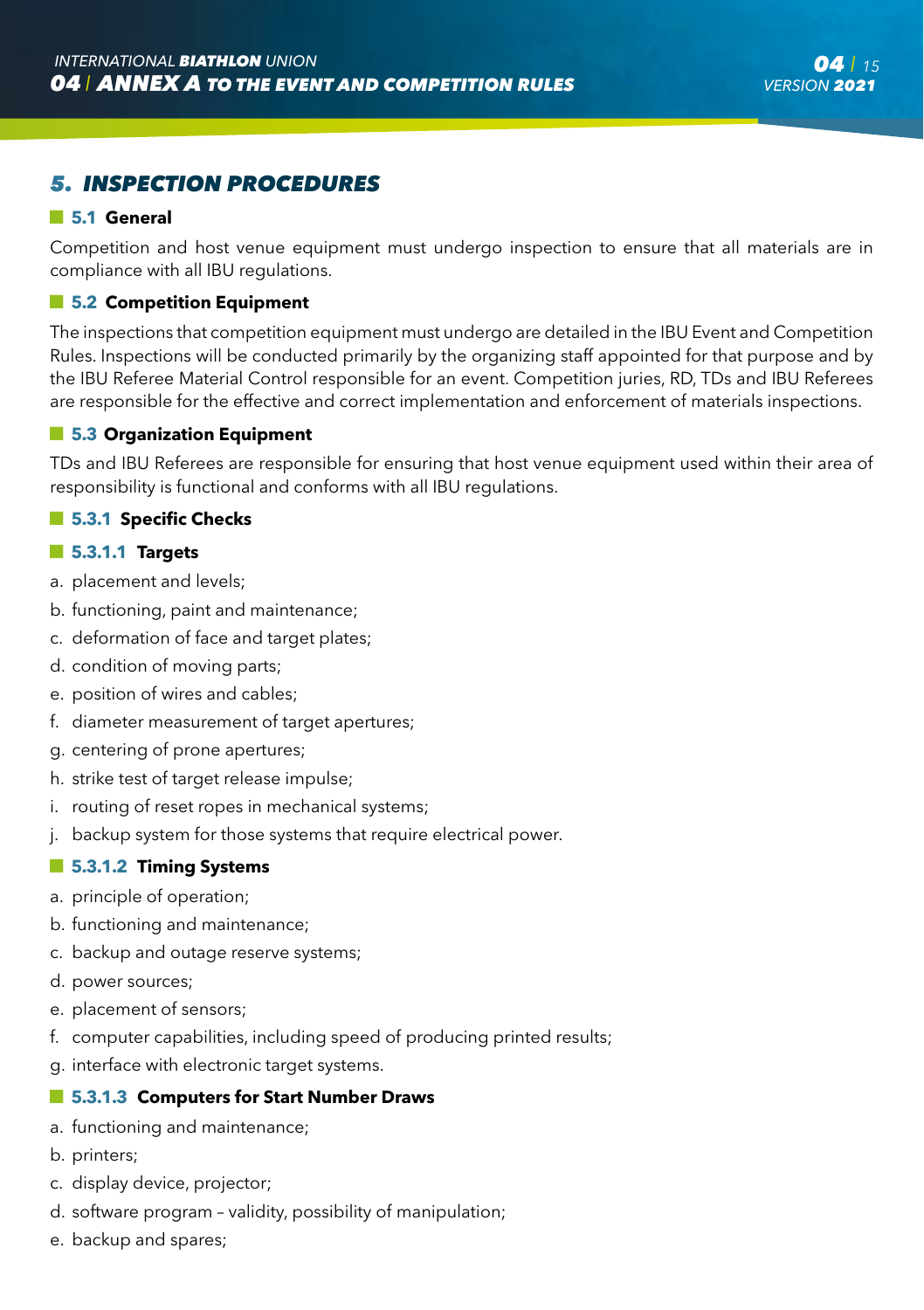# *5. INSPECTION PROCEDURES*

#### **5.1 General**

Competition and host venue equipment must undergo inspection to ensure that all materials are in compliance with all IBU regulations.

#### **5.2 Competition Equipment**

The inspections that competition equipment must undergo are detailed in the IBU Event and Competition Rules. Inspections will be conducted primarily by the organizing staff appointed for that purpose and by the IBU Referee Material Control responsible for an event. Competition juries, RD, TDs and IBU Referees are responsible for the effective and correct implementation and enforcement of materials inspections.

#### **5.3 Organization Equipment**

TDs and IBU Referees are responsible for ensuring that host venue equipment used within their area of responsibility is functional and conforms with all IBU regulations.

#### **5.3.1 Specific Checks**

#### **5.3.1.1 Targets**

- a. placement and levels;
- b. functioning, paint and maintenance;
- c. deformation of face and target plates;
- d. condition of moving parts;
- e. position of wires and cables;
- f. diameter measurement of target apertures;
- g. centering of prone apertures;
- h. strike test of target release impulse;
- i. routing of reset ropes in mechanical systems;
- j. backup system for those systems that require electrical power.

#### **5.3.1.2 Timing Systems**

- a. principle of operation;
- b. functioning and maintenance;
- c. backup and outage reserve systems;
- d. power sources;
- e. placement of sensors;
- f. computer capabilities, including speed of producing printed results;
- g. interface with electronic target systems.

#### **5.3.1.3 Computers for Start Number Draws**

- a. functioning and maintenance;
- b. printers;
- c. display device, projector;
- d. software program validity, possibility of manipulation;
- e. backup and spares;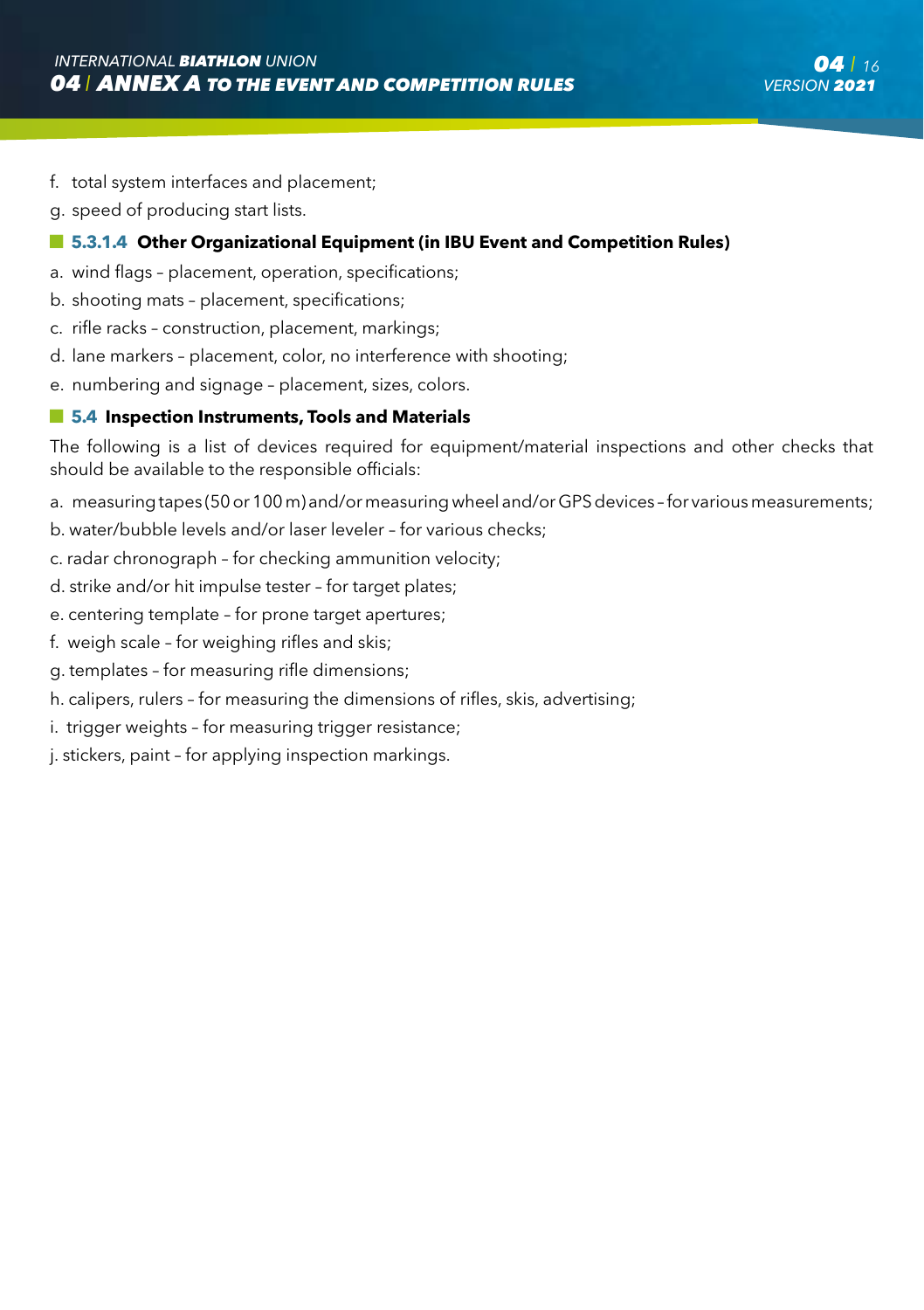- f. total system interfaces and placement;
- g. speed of producing start lists.

#### **5.3.1.4 Other Organizational Equipment (in IBU Event and Competition Rules)**

- a. wind flags placement, operation, specifications;
- b. shooting mats placement, specifications;
- c. rifle racks construction, placement, markings;
- d. lane markers placement, color, no interference with shooting;
- e. numbering and signage placement, sizes, colors.

#### $\blacksquare$  **5.4 Inspection Instruments, Tools and Materials**

The following is a list of devices required for equipment/material inspections and other checks that should be available to the responsible officials:

- a. measuring tapes (50 or 100 m) and/or measuring wheel and/or GPS devices for various measurements;
- b. water/bubble levels and/or laser leveler for various checks;
- c. radar chronograph for checking ammunition velocity;
- d. strike and/or hit impulse tester for target plates;
- e. centering template for prone target apertures;
- f. weigh scale for weighing rifles and skis;
- g. templates for measuring rifle dimensions;
- h. calipers, rulers for measuring the dimensions of rifles, skis, advertising;
- i. trigger weights for measuring trigger resistance;
- j. stickers, paint for applying inspection markings.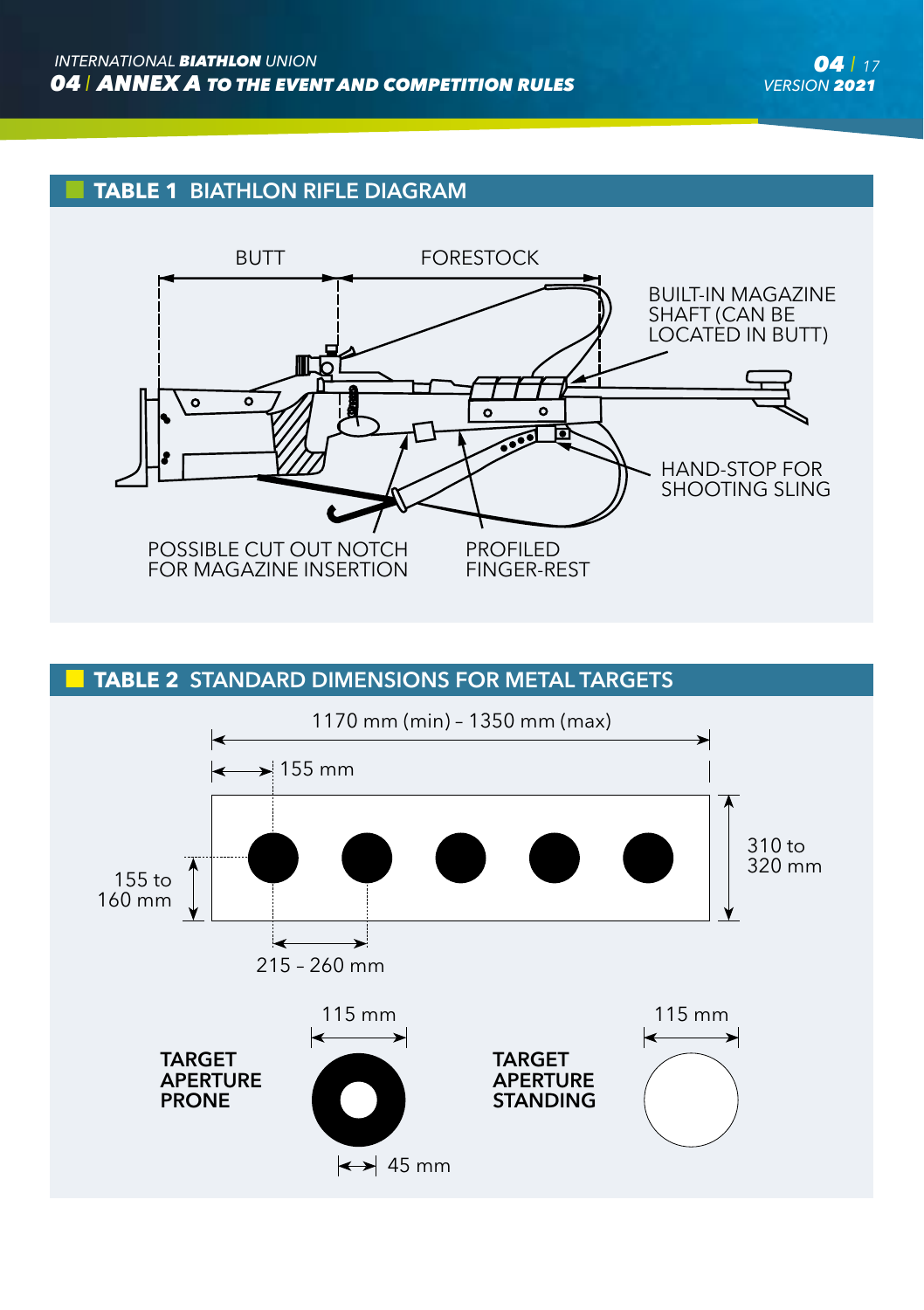# **TABLE 1** BIATHLON RIFLE DIAGRAM



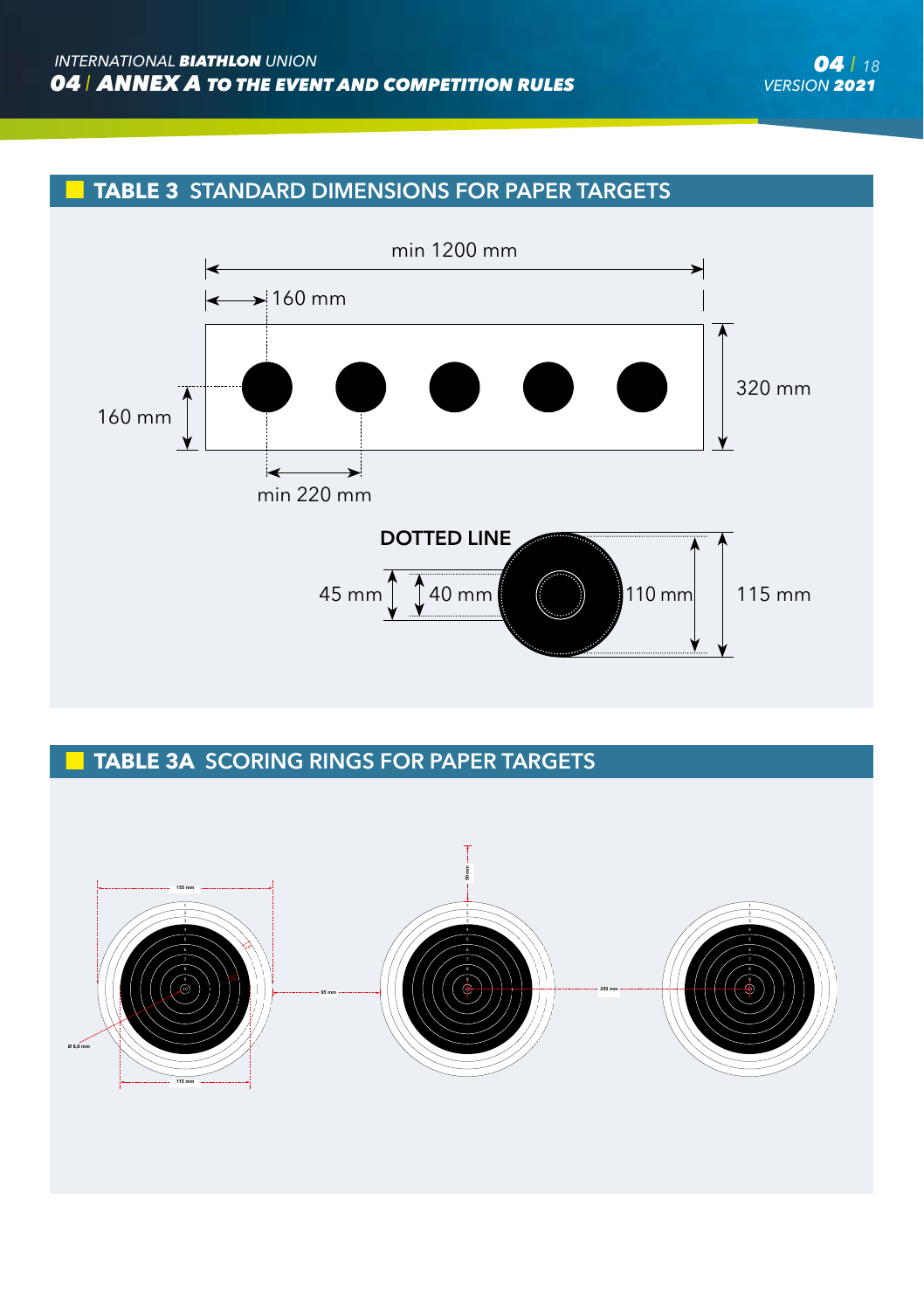



# **TABLE 3A** SCORING RINGS FOR PAPER TARGETS

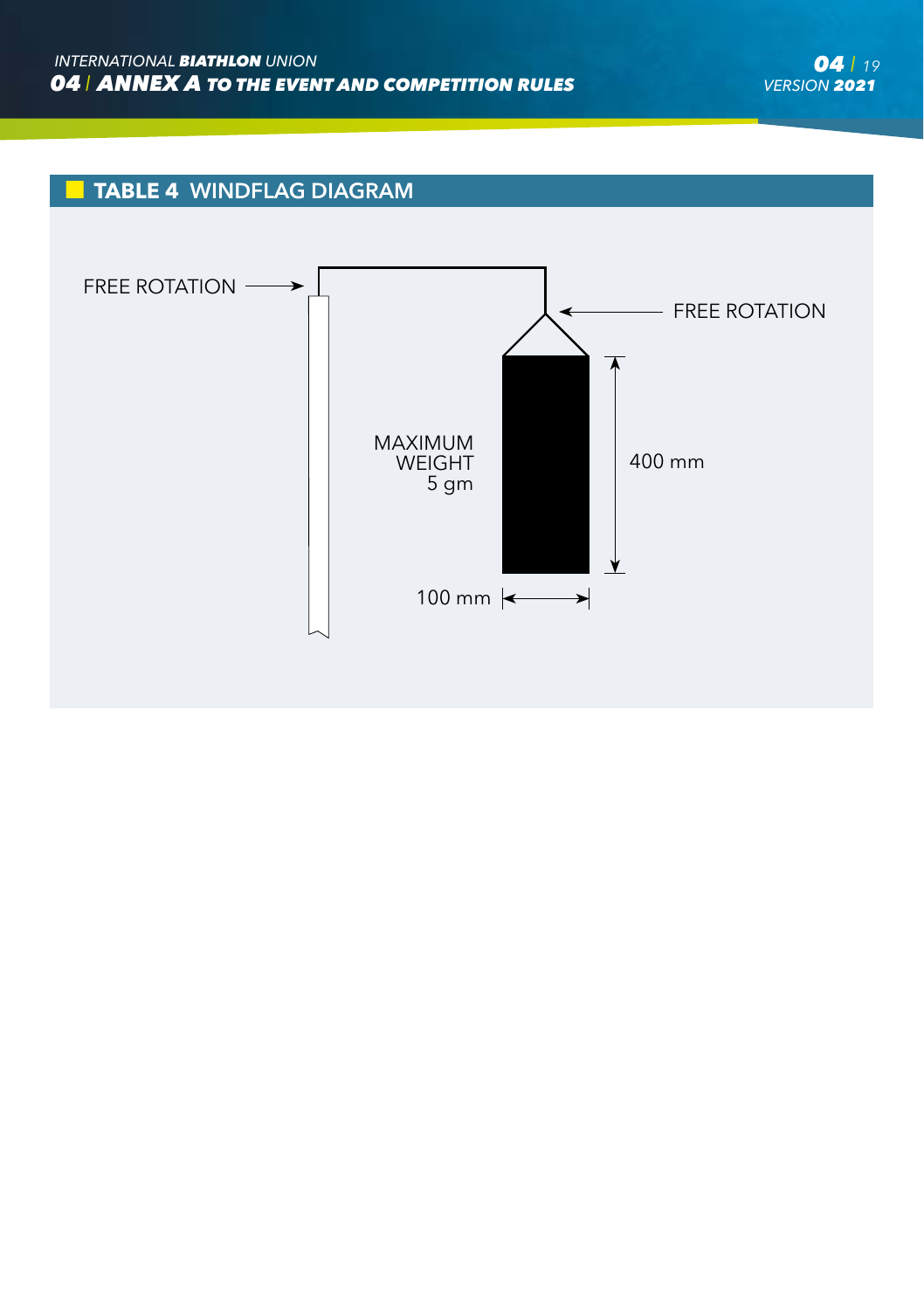# **TABLE 4** WINDFLAG DIAGRAM

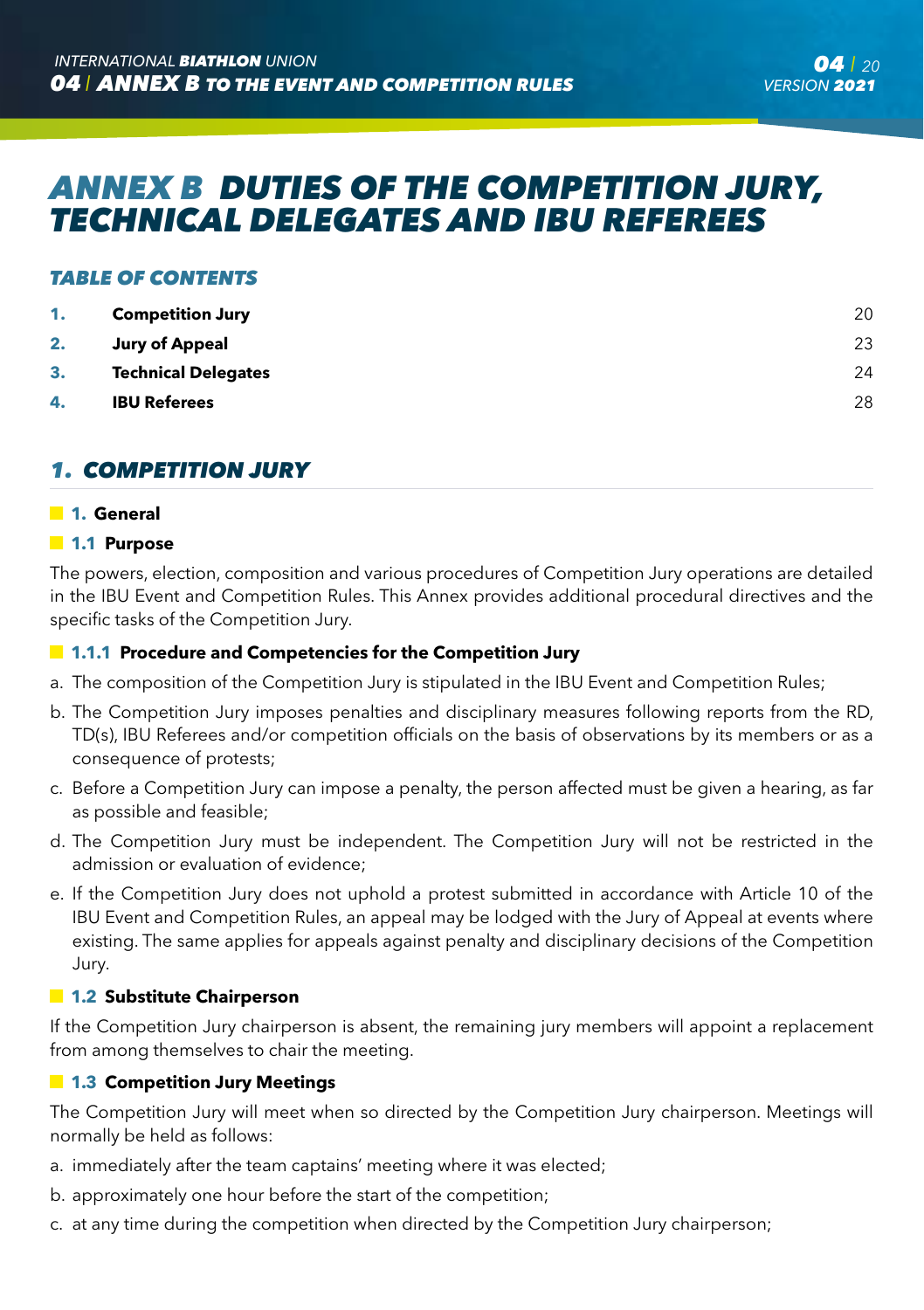# *ANNEX B DUTIES OF THE COMPETITION JURY, TECHNICAL DELEGATES AND IBU REFEREES*

#### *TABLE OF CONTENTS*

| 1. | <b>Competition Jury</b>    | 20 |
|----|----------------------------|----|
| 2. | Jury of Appeal             | 23 |
| 3. | <b>Technical Delegates</b> | 24 |
| 4. | <b>IBU Referees</b>        | 28 |

# *1. COMPETITION JURY*

#### **1. General**

#### **1.1 Purpose**

The powers, election, composition and various procedures of Competition Jury operations are detailed in the IBU Event and Competition Rules. This Annex provides additional procedural directives and the specific tasks of the Competition Jury.

#### **1.1.1 Procedure and Competencies for the Competition Jury**

- a. The composition of the Competition Jury is stipulated in the IBU Event and Competition Rules;
- b. The Competition Jury imposes penalties and disciplinary measures following reports from the RD, TD(s), IBU Referees and/or competition officials on the basis of observations by its members or as a consequence of protests;
- c. Before a Competition Jury can impose a penalty, the person affected must be given a hearing, as far as possible and feasible;
- d. The Competition Jury must be independent. The Competition Jury will not be restricted in the admission or evaluation of evidence;
- e. If the Competition Jury does not uphold a protest submitted in accordance with Article 10 of the IBU Event and Competition Rules, an appeal may be lodged with the Jury of Appeal at events where existing. The same applies for appeals against penalty and disciplinary decisions of the Competition Jury.

#### **1.2 Substitute Chairperson**

If the Competition Jury chairperson is absent, the remaining jury members will appoint a replacement from among themselves to chair the meeting.

#### **1.3 Competition Jury Meetings**

The Competition Jury will meet when so directed by the Competition Jury chairperson. Meetings will normally be held as follows:

- a. immediately after the team captains' meeting where it was elected;
- b. approximately one hour before the start of the competition;
- c. at any time during the competition when directed by the Competition Jury chairperson;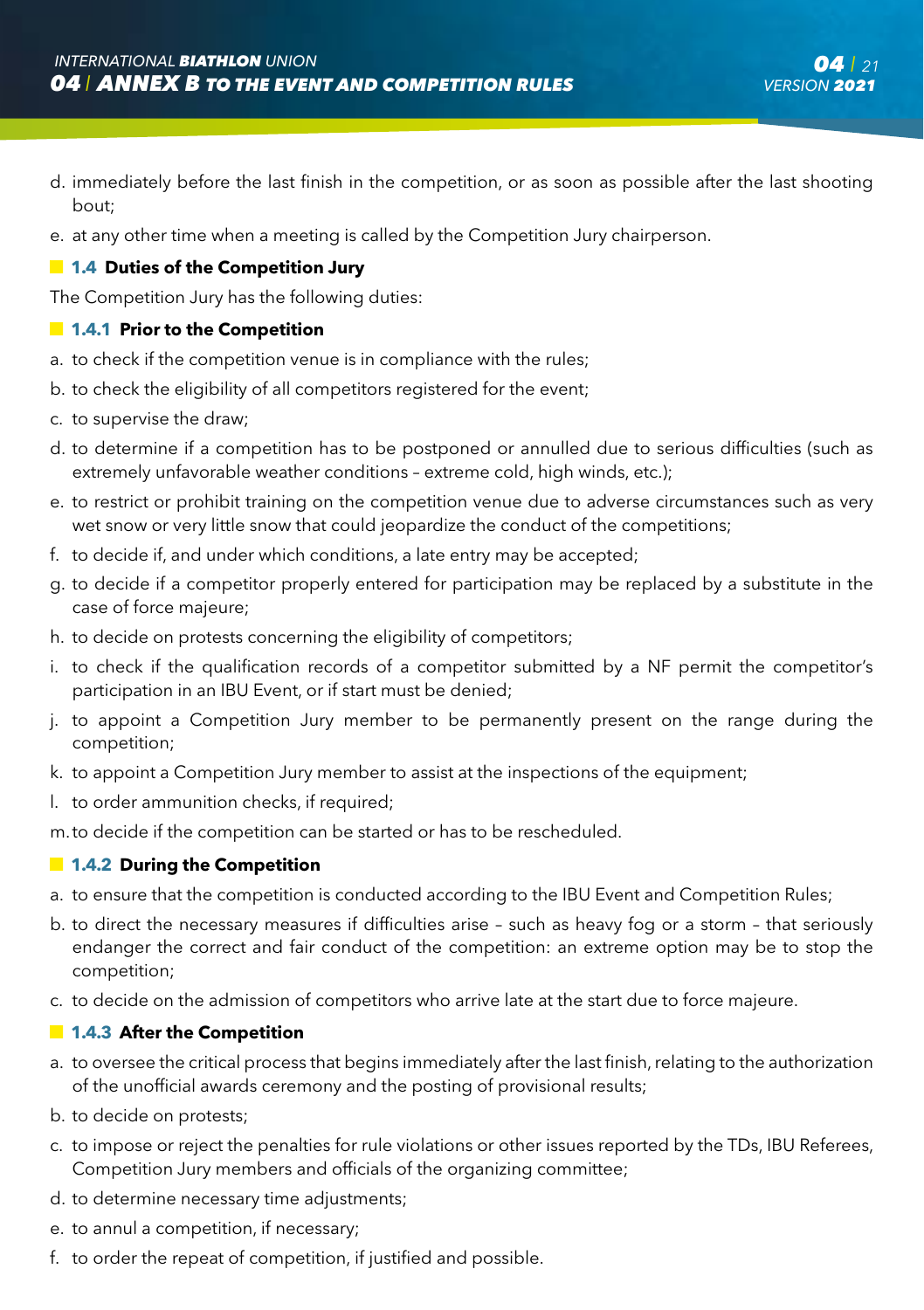- d. immediately before the last finish in the competition, or as soon as possible after the last shooting bout;
- e. at any other time when a meeting is called by the Competition Jury chairperson.

#### **1.4 Duties of the Competition Jury**

The Competition Jury has the following duties:

#### **1.4.1 Prior to the Competition**

- a. to check if the competition venue is in compliance with the rules;
- b. to check the eligibility of all competitors registered for the event;
- c. to supervise the draw;
- d. to determine if a competition has to be postponed or annulled due to serious difficulties (such as extremely unfavorable weather conditions – extreme cold, high winds, etc.);
- e. to restrict or prohibit training on the competition venue due to adverse circumstances such as very wet snow or very little snow that could jeopardize the conduct of the competitions;
- f. to decide if, and under which conditions, a late entry may be accepted;
- g. to decide if a competitor properly entered for participation may be replaced by a substitute in the case of force majeure;
- h. to decide on protests concerning the eligibility of competitors;
- i. to check if the qualification records of a competitor submitted by a NF permit the competitor's participation in an IBU Event, or if start must be denied;
- j. to appoint a Competition Jury member to be permanently present on the range during the competition;
- k. to appoint a Competition Jury member to assist at the inspections of the equipment;
- l. to order ammunition checks, if required;

m. to decide if the competition can be started or has to be rescheduled.

#### **1.4.2 During the Competition**

- a. to ensure that the competition is conducted according to the IBU Event and Competition Rules;
- b. to direct the necessary measures if difficulties arise such as heavy fog or a storm that seriously endanger the correct and fair conduct of the competition: an extreme option may be to stop the competition;
- c. to decide on the admission of competitors who arrive late at the start due to force majeure.

#### **1.4.3 After the Competition**

- a. to oversee the critical process that begins immediately after the last finish, relating to the authorization of the unofficial awards ceremony and the posting of provisional results;
- b. to decide on protests;
- c. to impose or reject the penalties for rule violations or other issues reported by the TDs, IBU Referees, Competition Jury members and officials of the organizing committee;
- d. to determine necessary time adjustments;
- e. to annul a competition, if necessary;
- f. to order the repeat of competition, if justified and possible.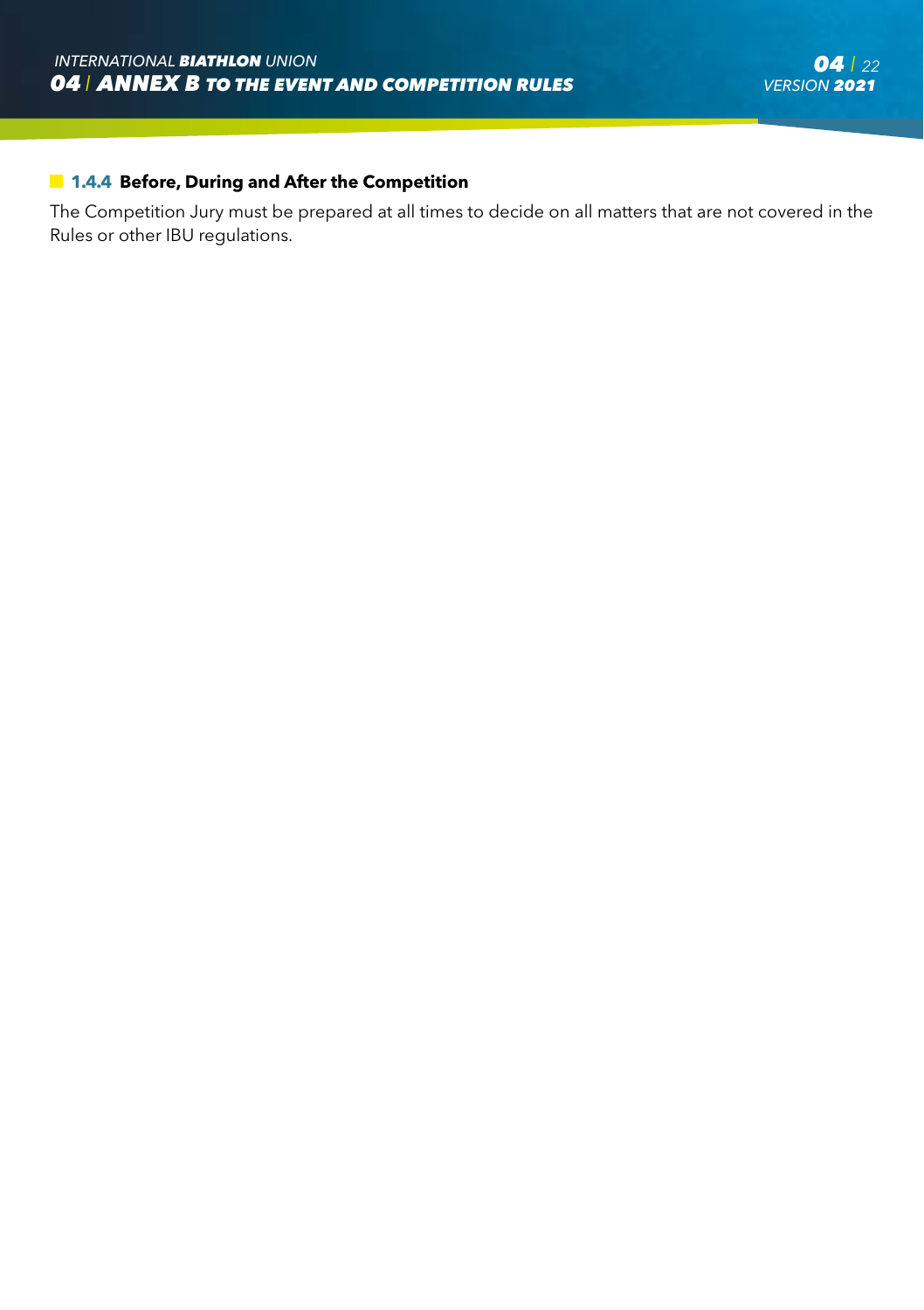#### **1.4.4 Before, During and After the Competition**

The Competition Jury must be prepared at all times to decide on all matters that are not covered in the Rules or other IBU regulations.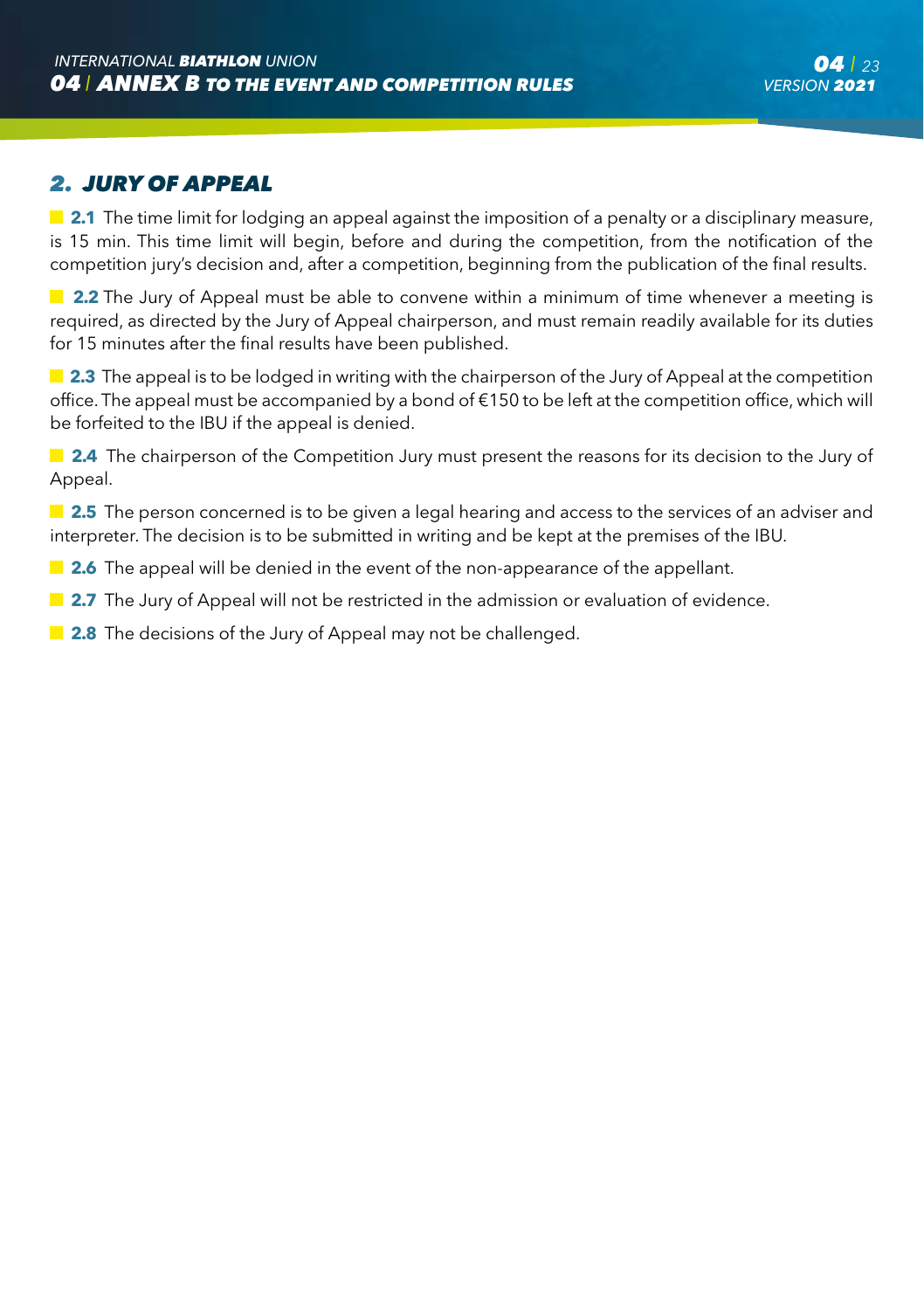### *2. JURY OF APPEAL*

**2.1** The time limit for lodging an appeal against the imposition of a penalty or a disciplinary measure, is 15 min. This time limit will begin, before and during the competition, from the notification of the competition jury's decision and, after a competition, beginning from the publication of the final results.

**2.2** The Jury of Appeal must be able to convene within a minimum of time whenever a meeting is required, as directed by the Jury of Appeal chairperson, and must remain readily available for its duties for 15 minutes after the final results have been published.

**2.3** The appeal is to be lodged in writing with the chairperson of the Jury of Appeal at the competition office. The appeal must be accompanied by a bond of €150 to be left at the competition office, which will be forfeited to the IBU if the appeal is denied.

**2.4** The chairperson of the Competition Jury must present the reasons for its decision to the Jury of Appeal.

**2.5** The person concerned is to be given a legal hearing and access to the services of an adviser and interpreter. The decision is to be submitted in writing and be kept at the premises of the IBU.

**2.6** The appeal will be denied in the event of the non-appearance of the appellant.

**2.7** The Jury of Appeal will not be restricted in the admission or evaluation of evidence.

**2.8** The decisions of the Jury of Appeal may not be challenged.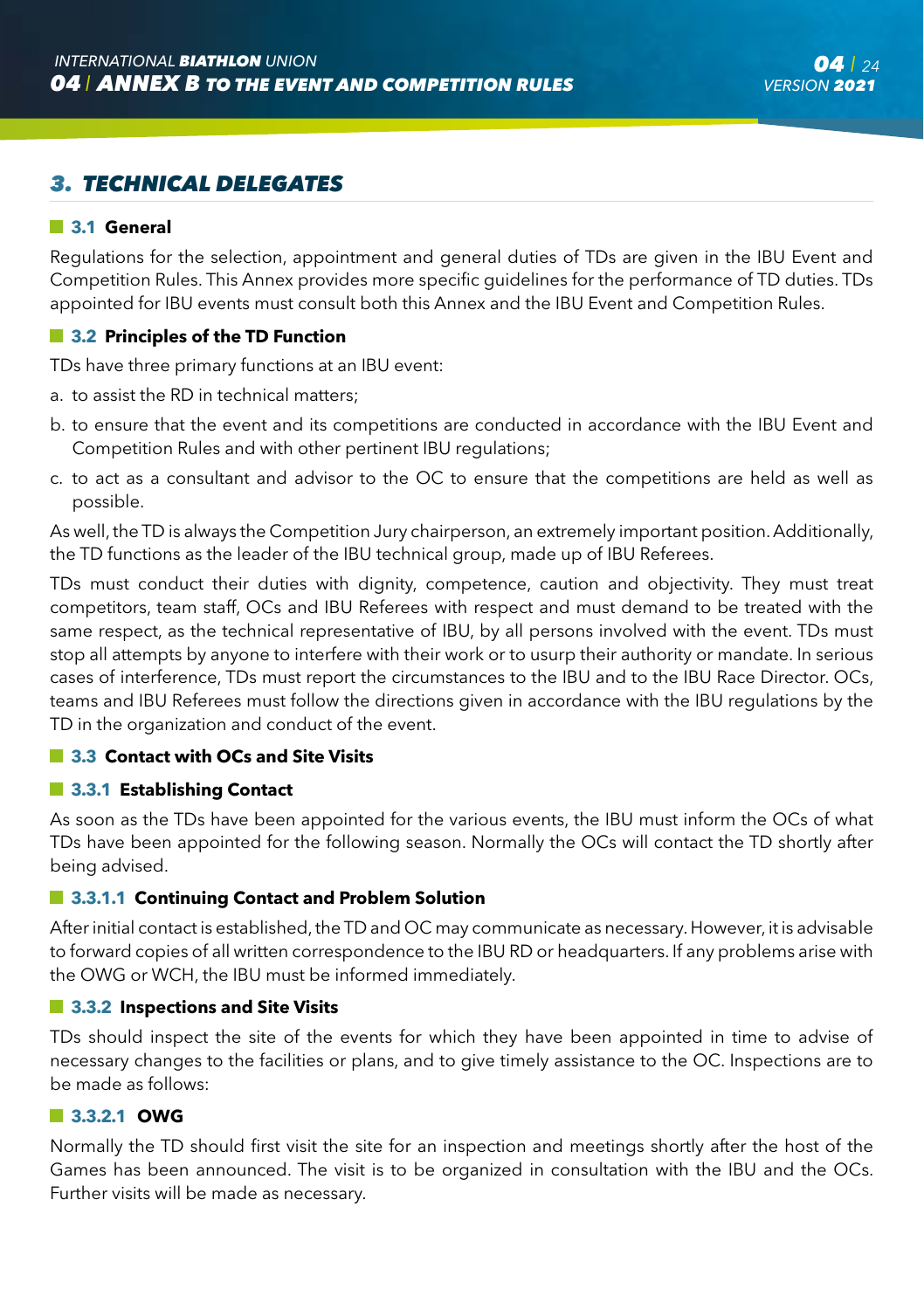# *3. TECHNICAL DELEGATES*

#### **3.1 General**

Regulations for the selection, appointment and general duties of TDs are given in the IBU Event and Competition Rules. This Annex provides more specific guidelines for the performance of TD duties. TDs appointed for IBU events must consult both this Annex and the IBU Event and Competition Rules.

#### $\blacksquare$  **3.2 Principles of the TD Function**

TDs have three primary functions at an IBU event:

- a. to assist the RD in technical matters;
- b. to ensure that the event and its competitions are conducted in accordance with the IBU Event and Competition Rules and with other pertinent IBU regulations;
- c. to act as a consultant and advisor to the OC to ensure that the competitions are held as well as possible.

As well, the TD is always the Competition Jury chairperson, an extremely important position. Additionally, the TD functions as the leader of the IBU technical group, made up of IBU Referees.

TDs must conduct their duties with dignity, competence, caution and objectivity. They must treat competitors, team staff, OCs and IBU Referees with respect and must demand to be treated with the same respect, as the technical representative of IBU, by all persons involved with the event. TDs must stop all attempts by anyone to interfere with their work or to usurp their authority or mandate. In serious cases of interference, TDs must report the circumstances to the IBU and to the IBU Race Director. OCs, teams and IBU Referees must follow the directions given in accordance with the IBU regulations by the TD in the organization and conduct of the event.

#### **3.3 Contact with OCs and Site Visits**

#### **3.3.1 Establishing Contact**

As soon as the TDs have been appointed for the various events, the IBU must inform the OCs of what TDs have been appointed for the following season. Normally the OCs will contact the TD shortly after being advised.

#### **3.3.1.1 Continuing Contact and Problem Solution**

After initial contact is established, the TD and OC may communicate as necessary. However, it is advisable to forward copies of all written correspondence to the IBU RD or headquarters. If any problems arise with the OWG or WCH, the IBU must be informed immediately.

#### **3.3.2 Inspections and Site Visits**

TDs should inspect the site of the events for which they have been appointed in time to advise of necessary changes to the facilities or plans, and to give timely assistance to the OC. Inspections are to be made as follows:

#### **3.3.2.1 OWG**

Normally the TD should first visit the site for an inspection and meetings shortly after the host of the Games has been announced. The visit is to be organized in consultation with the IBU and the OCs. Further visits will be made as necessary.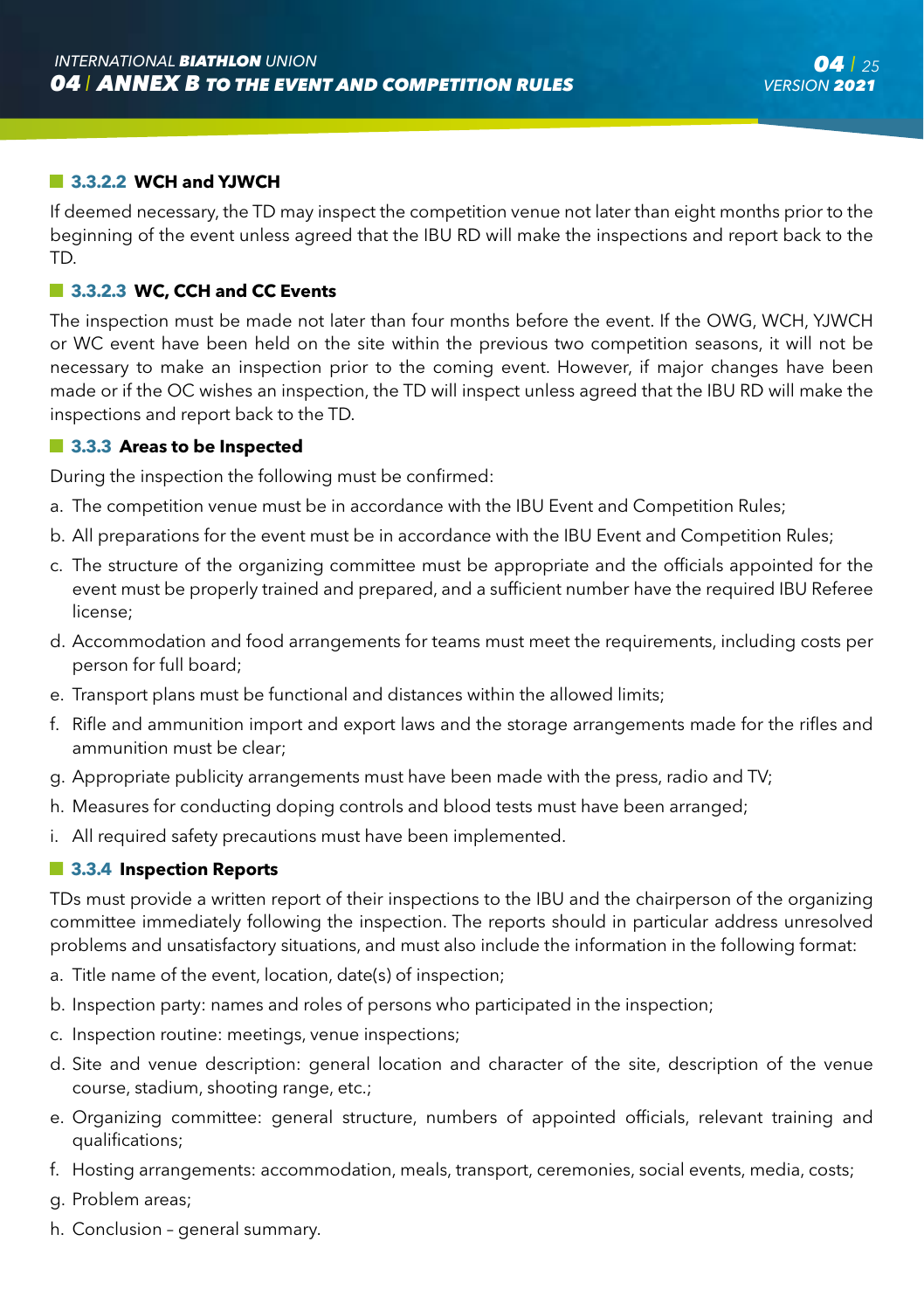#### **3.3.2.2 WCH and YJWCH**

If deemed necessary, the TD may inspect the competition venue not later than eight months prior to the beginning of the event unless agreed that the IBU RD will make the inspections and report back to the TD.

#### **3.3.2.3 WC, CCH and CC Events**

The inspection must be made not later than four months before the event. If the OWG, WCH, YJWCH or WC event have been held on the site within the previous two competition seasons, it will not be necessary to make an inspection prior to the coming event. However, if major changes have been made or if the OC wishes an inspection, the TD will inspect unless agreed that the IBU RD will make the inspections and report back to the TD.

#### **13.3.3 Areas to be Inspected**

During the inspection the following must be confirmed:

- a. The competition venue must be in accordance with the IBU Event and Competition Rules;
- b. All preparations for the event must be in accordance with the IBU Event and Competition Rules;
- c. The structure of the organizing committee must be appropriate and the officials appointed for the event must be properly trained and prepared, and a sufficient number have the required IBU Referee license;
- d. Accommodation and food arrangements for teams must meet the requirements, including costs per person for full board;
- e. Transport plans must be functional and distances within the allowed limits;
- f. Rifle and ammunition import and export laws and the storage arrangements made for the rifles and ammunition must be clear;
- g. Appropriate publicity arrangements must have been made with the press, radio and TV;
- h. Measures for conducting doping controls and blood tests must have been arranged;
- i. All required safety precautions must have been implemented.

#### **3.3.4 Inspection Reports**

TDs must provide a written report of their inspections to the IBU and the chairperson of the organizing committee immediately following the inspection. The reports should in particular address unresolved problems and unsatisfactory situations, and must also include the information in the following format:

- a. Title name of the event, location, date(s) of inspection;
- b. Inspection party: names and roles of persons who participated in the inspection;
- c. Inspection routine: meetings, venue inspections;
- d. Site and venue description: general location and character of the site, description of the venue course, stadium, shooting range, etc.;
- e. Organizing committee: general structure, numbers of appointed officials, relevant training and qualifications;
- f. Hosting arrangements: accommodation, meals, transport, ceremonies, social events, media, costs;
- g. Problem areas;
- h. Conclusion general summary.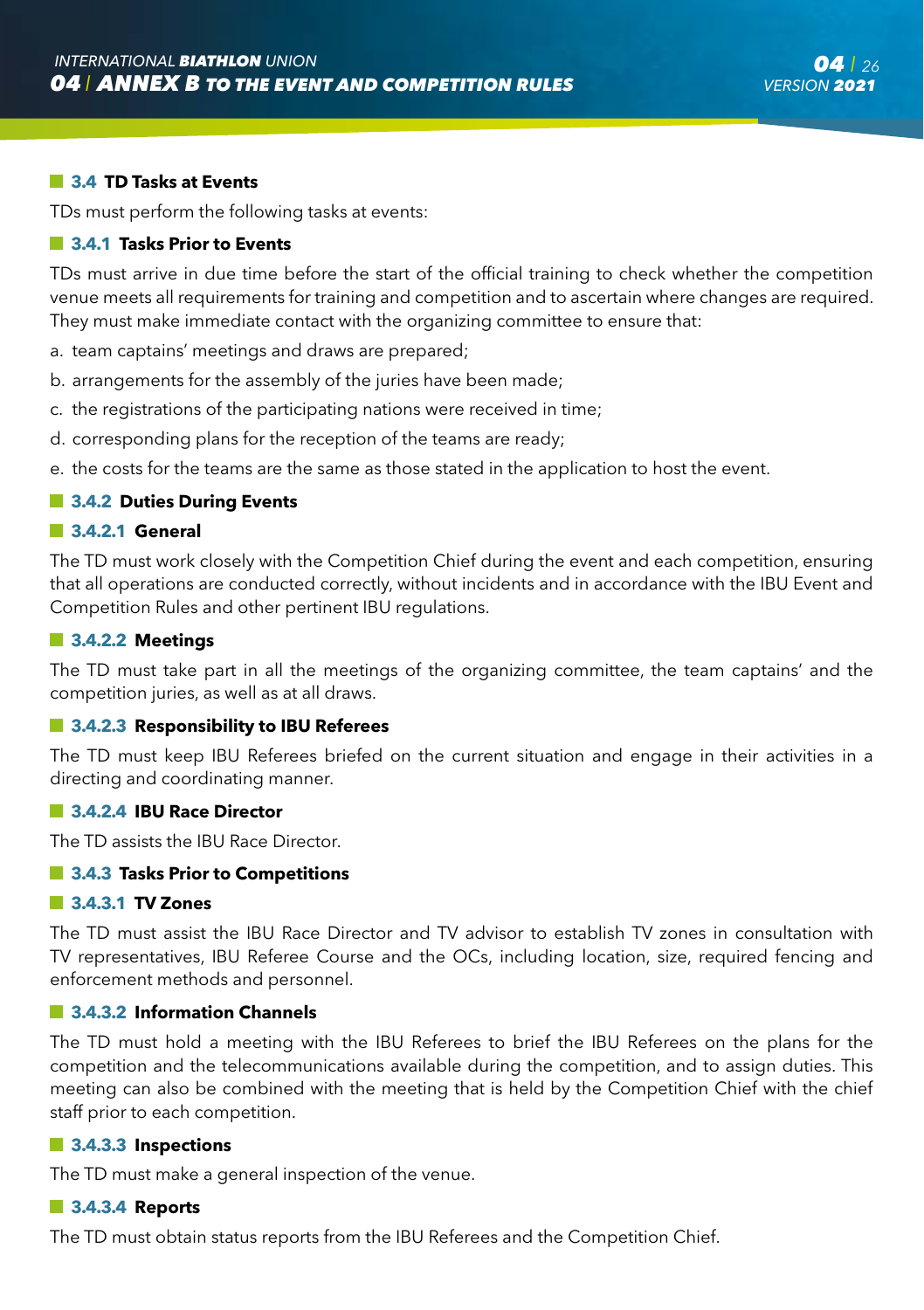#### **3.4 TD Tasks at Events**

TDs must perform the following tasks at events:

#### **3.4.1 Tasks Prior to Events**

TDs must arrive in due time before the start of the official training to check whether the competition venue meets all requirements for training and competition and to ascertain where changes are required. They must make immediate contact with the organizing committee to ensure that:

- a. team captains' meetings and draws are prepared;
- b. arrangements for the assembly of the juries have been made;
- c. the registrations of the participating nations were received in time;
- d. corresponding plans for the reception of the teams are ready;
- e. the costs for the teams are the same as those stated in the application to host the event.

#### **3.4.2 Duties During Events**

#### **3.4.2.1 General**

The TD must work closely with the Competition Chief during the event and each competition, ensuring that all operations are conducted correctly, without incidents and in accordance with the IBU Event and Competition Rules and other pertinent IBU regulations.

#### **3.4.2.2 Meetings**

The TD must take part in all the meetings of the organizing committee, the team captains' and the competition juries, as well as at all draws.

#### **3.4.2.3 Responsibility to IBU Referees**

The TD must keep IBU Referees briefed on the current situation and engage in their activities in a directing and coordinating manner.

#### **3.4.2.4 IBU Race Director**

The TD assists the IBU Race Director.

#### $\blacksquare$  **3.4.3 Tasks Prior to Competitions**

#### **3.4.3.1 TV Zones**

The TD must assist the IBU Race Director and TV advisor to establish TV zones in consultation with TV representatives, IBU Referee Course and the OCs, including location, size, required fencing and enforcement methods and personnel.

#### **3.4.3.2 Information Channels**

The TD must hold a meeting with the IBU Referees to brief the IBU Referees on the plans for the competition and the telecommunications available during the competition, and to assign duties. This meeting can also be combined with the meeting that is held by the Competition Chief with the chief staff prior to each competition.

#### **3.4.3.3 Inspections**

The TD must make a general inspection of the venue.

#### **3.4.3.4 Reports**

The TD must obtain status reports from the IBU Referees and the Competition Chief.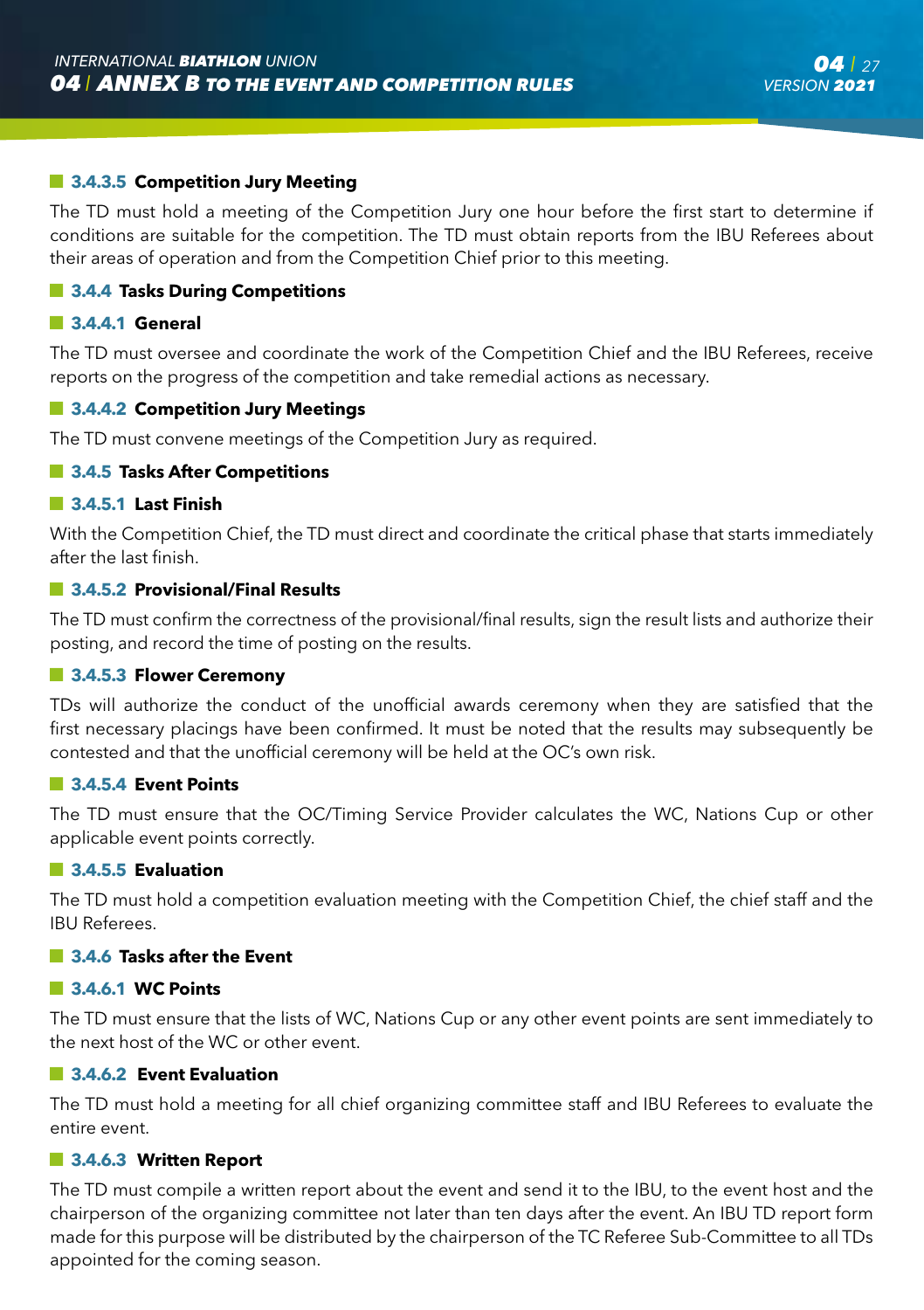#### $\blacksquare$  **3.4.3.5 Competition Jury Meeting**

The TD must hold a meeting of the Competition Jury one hour before the first start to determine if conditions are suitable for the competition. The TD must obtain reports from the IBU Referees about their areas of operation and from the Competition Chief prior to this meeting.

#### $\blacksquare$  **3.4.4 Tasks During Competitions**

#### **3.4.4.1 General**

The TD must oversee and coordinate the work of the Competition Chief and the IBU Referees, receive reports on the progress of the competition and take remedial actions as necessary.

#### **3.4.4.2 Competition Jury Meetings**

The TD must convene meetings of the Competition Jury as required.

#### $\blacksquare$  **3.4.5 Tasks After Competitions**

#### **3.4.5.1 Last Finish**

With the Competition Chief, the TD must direct and coordinate the critical phase that starts immediately after the last finish.

#### **3.4.5.2 Provisional/Final Results**

The TD must confirm the correctness of the provisional/final results, sign the result lists and authorize their posting, and record the time of posting on the results.

#### **3.4.5.3 Flower Ceremony**

TDs will authorize the conduct of the unofficial awards ceremony when they are satisfied that the first necessary placings have been confirmed. It must be noted that the results may subsequently be contested and that the unofficial ceremony will be held at the OC's own risk.

#### **3.4.5.4 Event Points**

The TD must ensure that the OC/Timing Service Provider calculates the WC, Nations Cup or other applicable event points correctly.

#### **3.4.5.5 Evaluation**

The TD must hold a competition evaluation meeting with the Competition Chief, the chief staff and the IBU Referees.

#### **3.4.6 Tasks after the Event**

#### **3.4.6.1 WC Points**

The TD must ensure that the lists of WC, Nations Cup or any other event points are sent immediately to the next host of the WC or other event.

#### **3.4.6.2 Event Evaluation**

The TD must hold a meeting for all chief organizing committee staff and IBU Referees to evaluate the entire event.

#### **3.4.6.3 Written Report**

The TD must compile a written report about the event and send it to the IBU, to the event host and the chairperson of the organizing committee not later than ten days after the event. An IBU TD report form made for this purpose will be distributed by the chairperson of the TC Referee Sub-Committee to all TDs appointed for the coming season.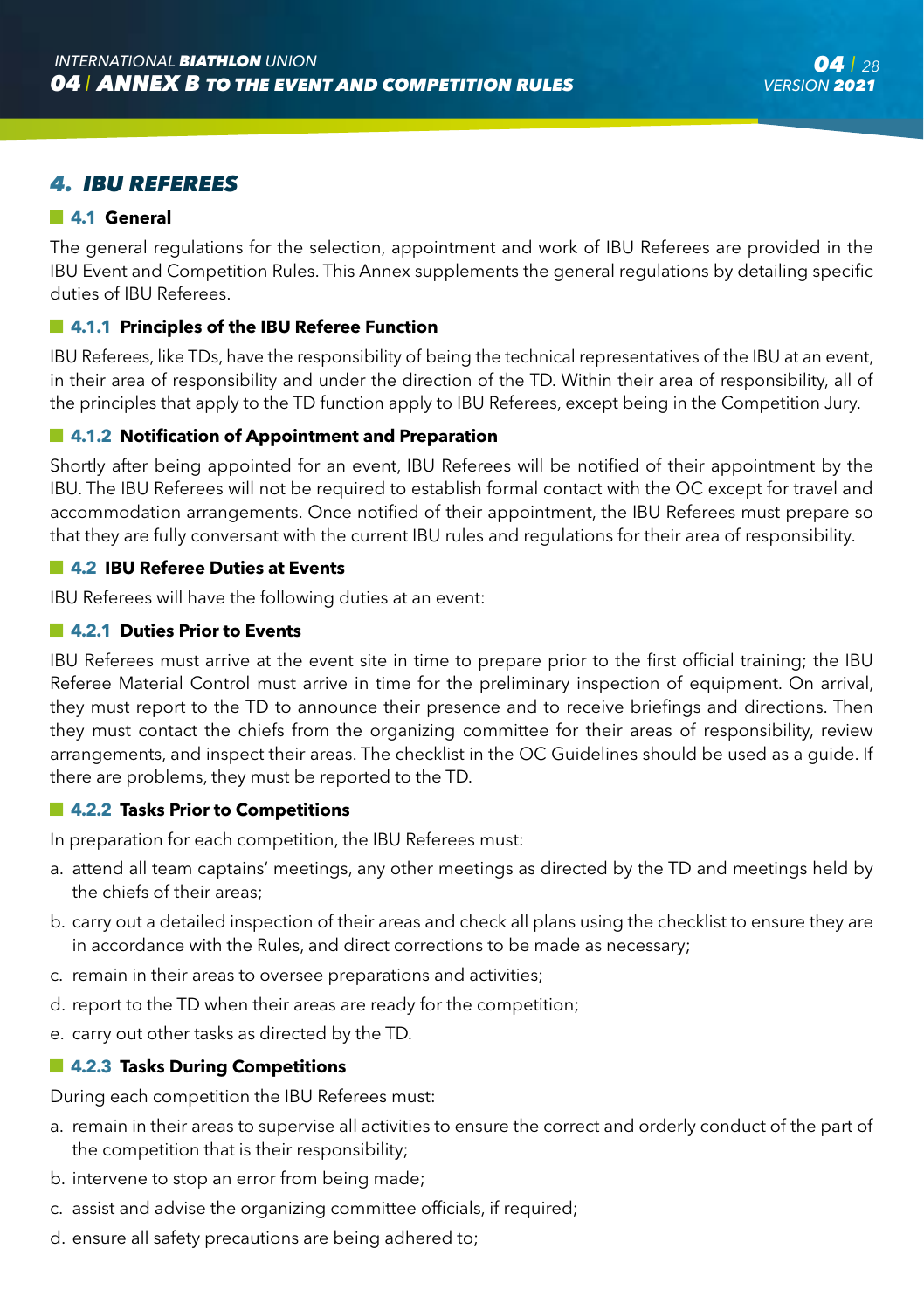### *4. IBU REFEREES*

#### **4.1 General**

The general regulations for the selection, appointment and work of IBU Referees are provided in the IBU Event and Competition Rules. This Annex supplements the general regulations by detailing specific duties of IBU Referees.

#### **4.1.1 Principles of the IBU Referee Function**

IBU Referees, like TDs, have the responsibility of being the technical representatives of the IBU at an event, in their area of responsibility and under the direction of the TD. Within their area of responsibility, all of the principles that apply to the TD function apply to IBU Referees, except being in the Competition Jury.

#### **4.1.2 Notification of Appointment and Preparation**

Shortly after being appointed for an event, IBU Referees will be notified of their appointment by the IBU. The IBU Referees will not be required to establish formal contact with the OC except for travel and accommodation arrangements. Once notified of their appointment, the IBU Referees must prepare so that they are fully conversant with the current IBU rules and regulations for their area of responsibility.

#### **4.2 IBU Referee Duties at Events**

IBU Referees will have the following duties at an event:

#### **4.2.1 Duties Prior to Events**

IBU Referees must arrive at the event site in time to prepare prior to the first official training; the IBU Referee Material Control must arrive in time for the preliminary inspection of equipment. On arrival, they must report to the TD to announce their presence and to receive briefings and directions. Then they must contact the chiefs from the organizing committee for their areas of responsibility, review arrangements, and inspect their areas. The checklist in the OC Guidelines should be used as a guide. If there are problems, they must be reported to the TD.

#### **4.2.2 Tasks Prior to Competitions**

In preparation for each competition, the IBU Referees must:

- a. attend all team captains' meetings, any other meetings as directed by the TD and meetings held by the chiefs of their areas;
- b. carry out a detailed inspection of their areas and check all plans using the checklist to ensure they are in accordance with the Rules, and direct corrections to be made as necessary;
- c. remain in their areas to oversee preparations and activities;
- d. report to the TD when their areas are ready for the competition;
- e. carry out other tasks as directed by the TD.

#### **4.2.3 Tasks During Competitions**

During each competition the IBU Referees must:

- a. remain in their areas to supervise all activities to ensure the correct and orderly conduct of the part of the competition that is their responsibility;
- b. intervene to stop an error from being made;
- c. assist and advise the organizing committee officials, if required;
- d. ensure all safety precautions are being adhered to;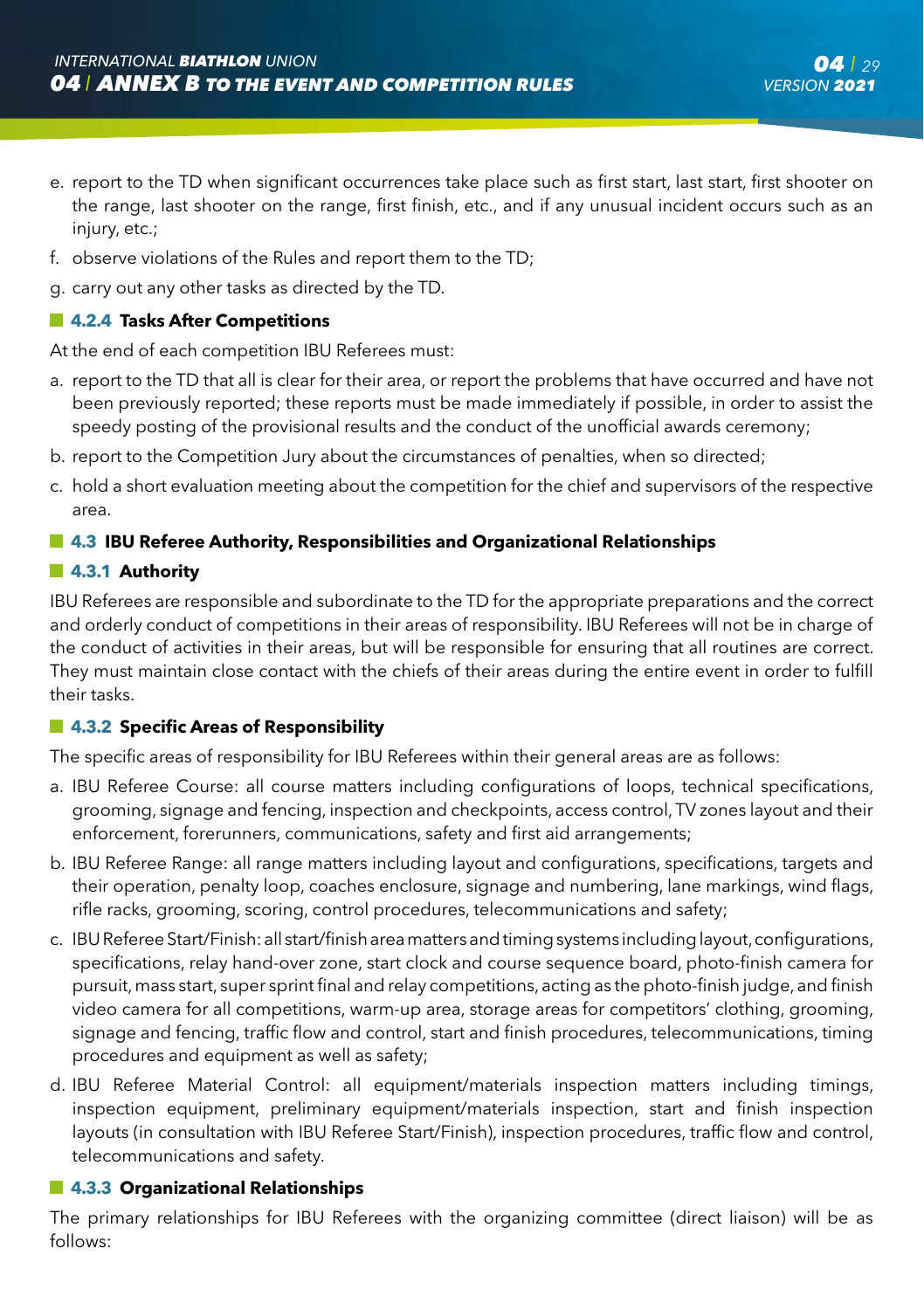- e. report to the TD when significant occurrences take place such as first start, last start, first shooter on the range, last shooter on the range, first finish, etc., and if any unusual incident occurs such as an iniury, etc.;
- f. observe violations of the Rules and report them to the TD;
- g. carry out any other tasks as directed by the TD.

#### **4.2.4 Tasks After Competitions**

At the end of each competition IBU Referees must:

- a. report to the TD that all is clear for their area, or report the problems that have occurred and have not been previously reported; these reports must be made immediately if possible, in order to assist the speedy posting of the provisional results and the conduct of the unofficial awards ceremony;
- b. report to the Competition Jury about the circumstances of penalties, when so directed;
- c. hold a short evaluation meeting about the competition for the chief and supervisors of the respective area.

#### **4.3 IBU Referee Authority, Responsibilities and Organizational Relationships**

#### **4.3.1 Authority**

IBU Referees are responsible and subordinate to the TD for the appropriate preparations and the correct and orderly conduct of competitions in their areas of responsibility. IBU Referees will not be in charge of the conduct of activities in their areas, but will be responsible for ensuring that all routines are correct. They must maintain close contact with the chiefs of their areas during the entire event in order to fulfill their tasks.

#### **4.3.2 Specific Areas of Responsibility**

The specific areas of responsibility for IBU Referees within their general areas are as follows:

- a. IBU Referee Course: all course matters including configurations of loops, technical specifications, grooming, signage and fencing, inspection and checkpoints, access control, TV zones layout and their enforcement, forerunners, communications, safety and first aid arrangements;
- b. IBU Referee Range: all range matters including layout and configurations, specifications, targets and their operation, penalty loop, coaches enclosure, signage and numbering, lane markings, wind flags, rifle racks, grooming, scoring, control procedures, telecommunications and safety;
- c. IBU Referee Start/Finish: all start/finish area matters and timing systems including layout, configurations, specifications, relay hand-over zone, start clock and course sequence board, photo-finish camera for pursuit, mass start, super sprint final and relay competitions, acting as the photo-finish judge, and finish video camera for all competitions, warm-up area, storage areas for competitors' clothing, grooming, signage and fencing, traffic flow and control, start and finish procedures, telecommunications, timing procedures and equipment as well as safety;
- d. IBU Referee Material Control: all equipment/materials inspection matters including timings, inspection equipment, preliminary equipment/materials inspection, start and finish inspection layouts (in consultation with IBU Referee Start/Finish), inspection procedures, traffic flow and control, telecommunications and safety.

#### **4.3.3 Organizational Relationships**

The primary relationships for IBU Referees with the organizing committee (direct liaison) will be as follows: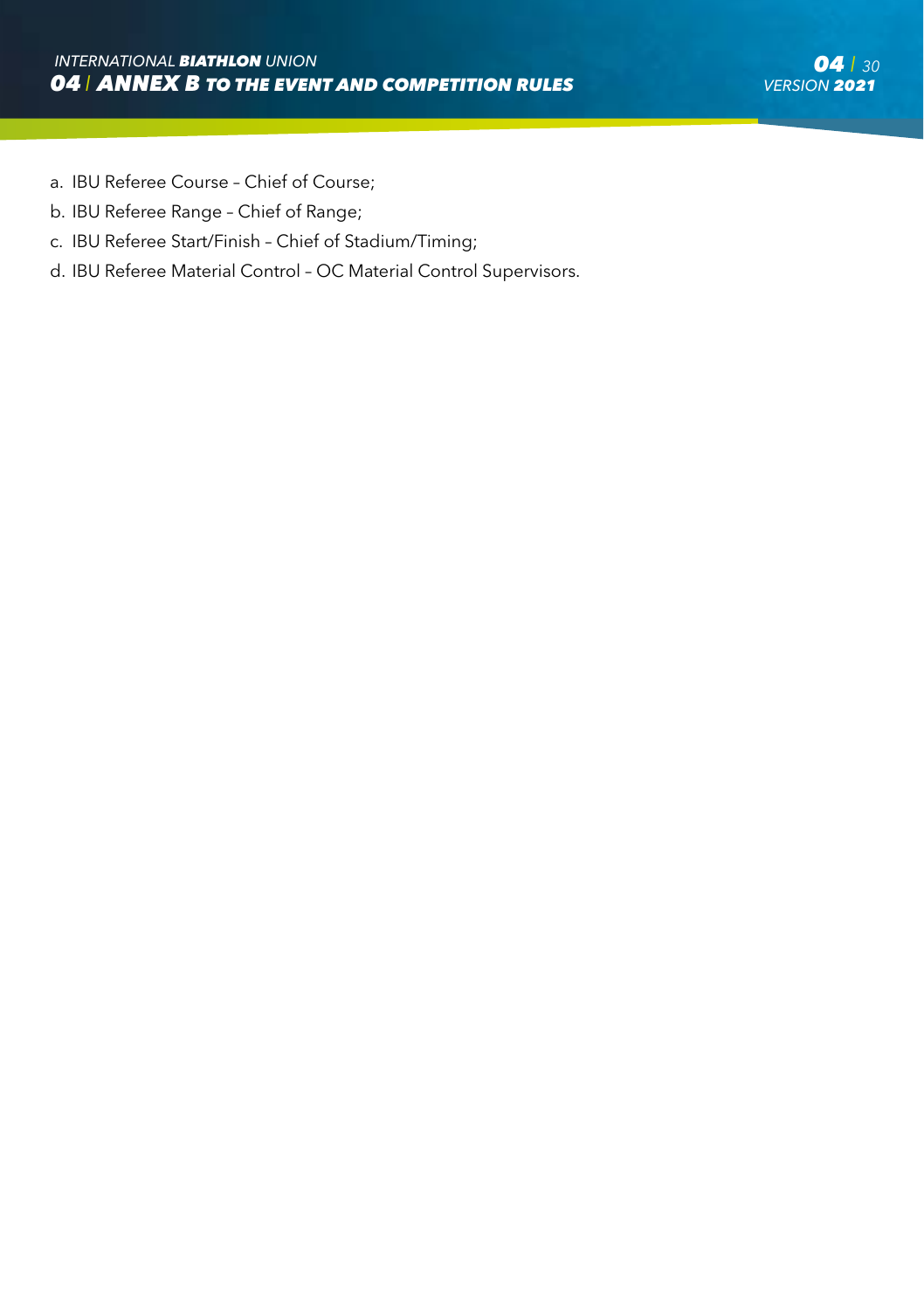- a. IBU Referee Course Chief of Course;
- b. IBU Referee Range Chief of Range;
- c. IBU Referee Start/Finish Chief of Stadium/Timing;
- d. IBU Referee Material Control OC Material Control Supervisors.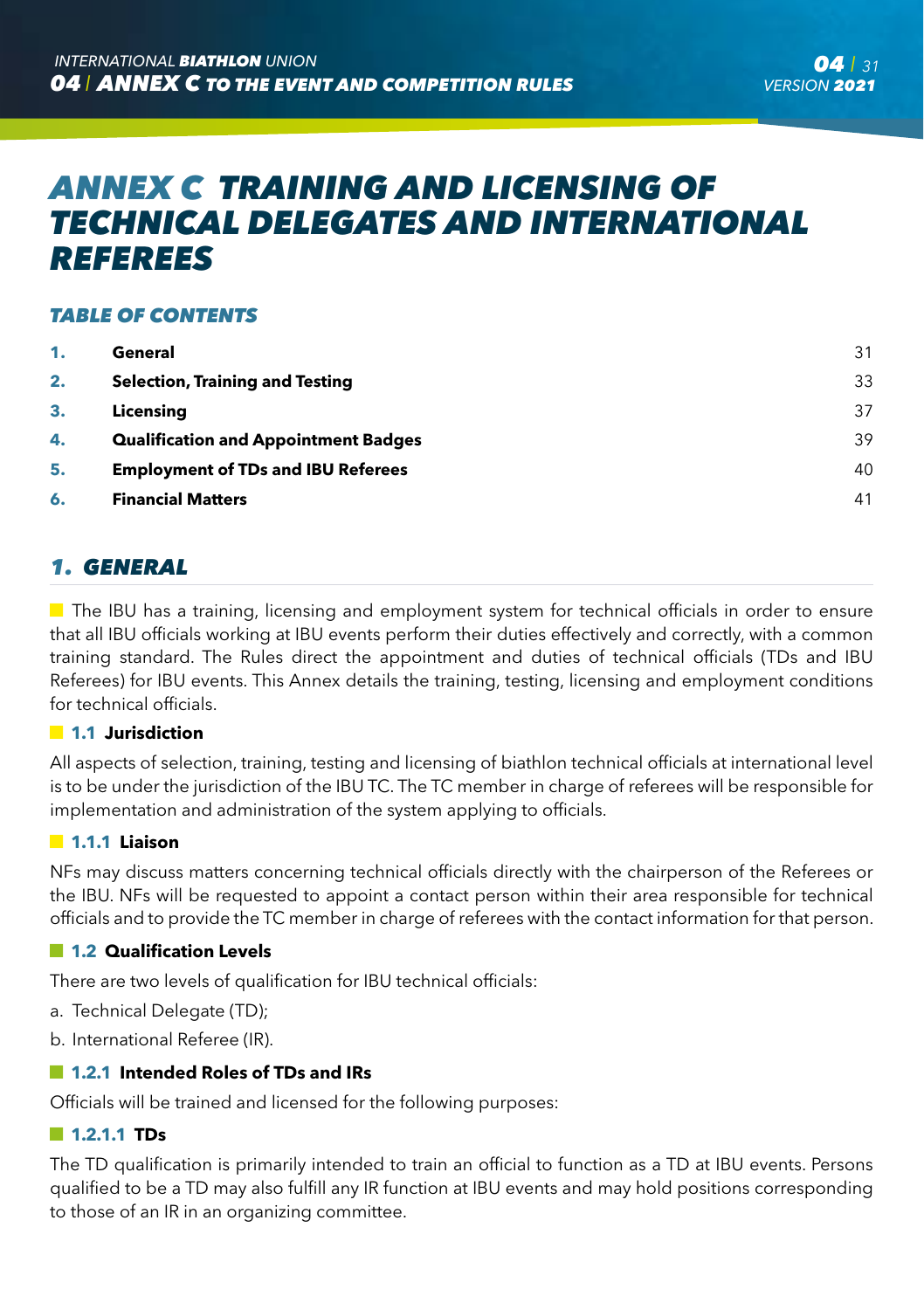# *ANNEX C TRAINING AND LICENSING OF TECHNICAL DELEGATES AND INTERNATIONAL REFEREES*

#### *TABLE OF CONTENTS*

| 1. | General                                     | 31 |
|----|---------------------------------------------|----|
| 2. | <b>Selection, Training and Testing</b>      | 33 |
| З. | Licensina                                   | 37 |
| 4. | <b>Qualification and Appointment Badges</b> | 39 |
| 5. | <b>Employment of TDs and IBU Referees</b>   | 40 |
| 6. | <b>Financial Matters</b>                    | 41 |

# *1. GENERAL*

 $\blacksquare$  The IBU has a training, licensing and employment system for technical officials in order to ensure that all IBU officials working at IBU events perform their duties effectively and correctly, with a common training standard. The Rules direct the appointment and duties of technical officials (TDs and IBU Referees) for IBU events. This Annex details the training, testing, licensing and employment conditions for technical officials.

#### **1.1 Jurisdiction**

All aspects of selection, training, testing and licensing of biathlon technical officials at international level is to be under the jurisdiction of the IBU TC. The TC member in charge of referees will be responsible for implementation and administration of the system applying to officials.

#### **1.1.1 Liaison**

NFs may discuss matters concerning technical officials directly with the chairperson of the Referees or the IBU. NFs will be requested to appoint a contact person within their area responsible for technical officials and to provide the TC member in charge of referees with the contact information for that person.

#### **1.2 Qualification Levels**

There are two levels of qualification for IBU technical officials:

- a. Technical Delegate (TD);
- b. International Referee (IR).

#### **1.2.1 Intended Roles of TDs and IRs**

Officials will be trained and licensed for the following purposes:

#### **1.2.1.1 TDs**

The TD qualification is primarily intended to train an official to function as a TD at IBU events. Persons qualified to be a TD may also fulfill any IR function at IBU events and may hold positions corresponding to those of an IR in an organizing committee.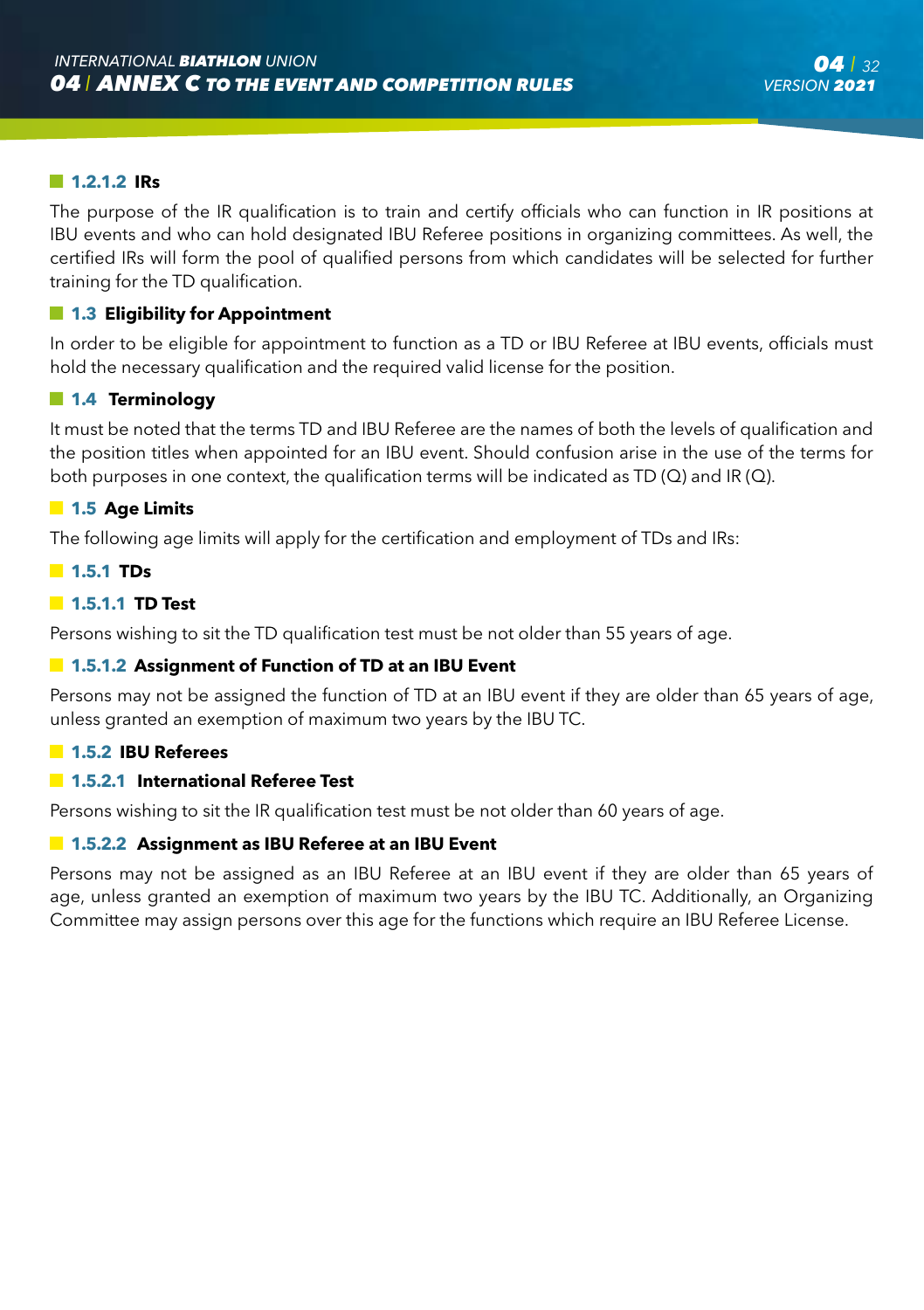#### **1.2.1.2 IRs**

The purpose of the IR qualification is to train and certify officials who can function in IR positions at IBU events and who can hold designated IBU Referee positions in organizing committees. As well, the certified IRs will form the pool of qualified persons from which candidates will be selected for further training for the TD qualification.

#### **1.3 Eligibility for Appointment**

In order to be eligible for appointment to function as a TD or IBU Referee at IBU events, officials must hold the necessary qualification and the required valid license for the position.

#### **1.4 Terminology**

It must be noted that the terms TD and IBU Referee are the names of both the levels of qualification and the position titles when appointed for an IBU event. Should confusion arise in the use of the terms for both purposes in one context, the qualification terms will be indicated as TD  $(Q)$  and IR  $(Q)$ .

#### **1.5 Age Limits**

The following age limits will apply for the certification and employment of TDs and IRs:

#### **1.5.1 TDs**

#### **1.5.1.1 TD Test**

Persons wishing to sit the TD qualification test must be not older than 55 years of age.

#### **1.5.1.2 Assignment of Function of TD at an IBU Event**

Persons may not be assigned the function of TD at an IBU event if they are older than 65 years of age, unless granted an exemption of maximum two years by the IBU TC.

#### **1.5.2 IBU Referees**

#### **1.5.2.1 International Referee Test**

Persons wishing to sit the IR qualification test must be not older than 60 years of age.

#### **1.5.2.2 Assignment as IBU Referee at an IBU Event**

Persons may not be assigned as an IBU Referee at an IBU event if they are older than 65 years of age, unless granted an exemption of maximum two years by the IBU TC. Additionally, an Organizing Committee may assign persons over this age for the functions which require an IBU Referee License.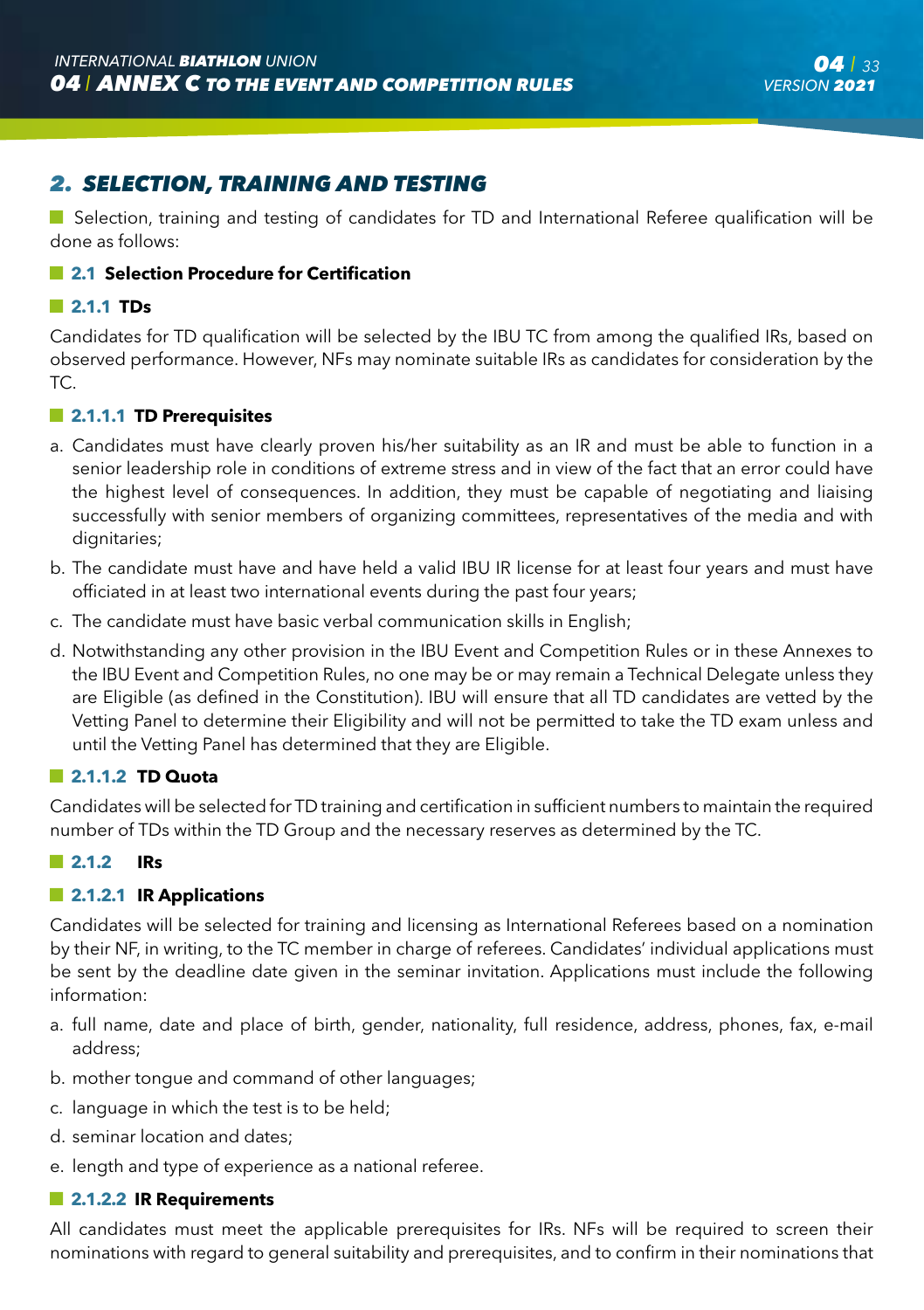# *2. SELECTION, TRAINING AND TESTING*

■ Selection, training and testing of candidates for TD and International Referee qualification will be done as follows:

#### **2.1 Selection Procedure for Certification**

#### **2.1.1 TDs**

Candidates for TD qualification will be selected by the IBU TC from among the qualified IRs, based on observed performance. However, NFs may nominate suitable IRs as candidates for consideration by the TC.

#### **2.1.1.1 TD Prerequisites**

- a. Candidates must have clearly proven his/her suitability as an IR and must be able to function in a senior leadership role in conditions of extreme stress and in view of the fact that an error could have the highest level of consequences. In addition, they must be capable of negotiating and liaising successfully with senior members of organizing committees, representatives of the media and with dignitaries:
- b. The candidate must have and have held a valid IBU IR license for at least four years and must have officiated in at least two international events during the past four years;
- c. The candidate must have basic verbal communication skills in English;
- d. Notwithstanding any other provision in the IBU Event and Competition Rules or in these Annexes to the IBU Event and Competition Rules, no one may be or may remain a Technical Delegate unless they are Eligible (as defined in the Constitution). IBU will ensure that all TD candidates are vetted by the Vetting Panel to determine their Eligibility and will not be permitted to take the TD exam unless and until the Vetting Panel has determined that they are Eligible.

#### **2.1.1.2 TD Quota**

Candidates will be selected for TD training and certification in sufficient numbers to maintain the required number of TDs within the TD Group and the necessary reserves as determined by the TC.

#### **2.1.2 IRs**

#### **2.1.2.1 IR Applications**

Candidates will be selected for training and licensing as International Referees based on a nomination by their NF, in writing, to the TC member in charge of referees. Candidates' individual applications must be sent by the deadline date given in the seminar invitation. Applications must include the following information:

- a. full name, date and place of birth, gender, nationality, full residence, address, phones, fax, e-mail address;
- b. mother tongue and command of other languages;
- c. language in which the test is to be held;
- d. seminar location and dates;
- e. length and type of experience as a national referee.

#### **2.1.2.2 IR Requirements**

All candidates must meet the applicable prerequisites for IRs. NFs will be required to screen their nominations with regard to general suitability and prerequisites, and to confirm in their nominations that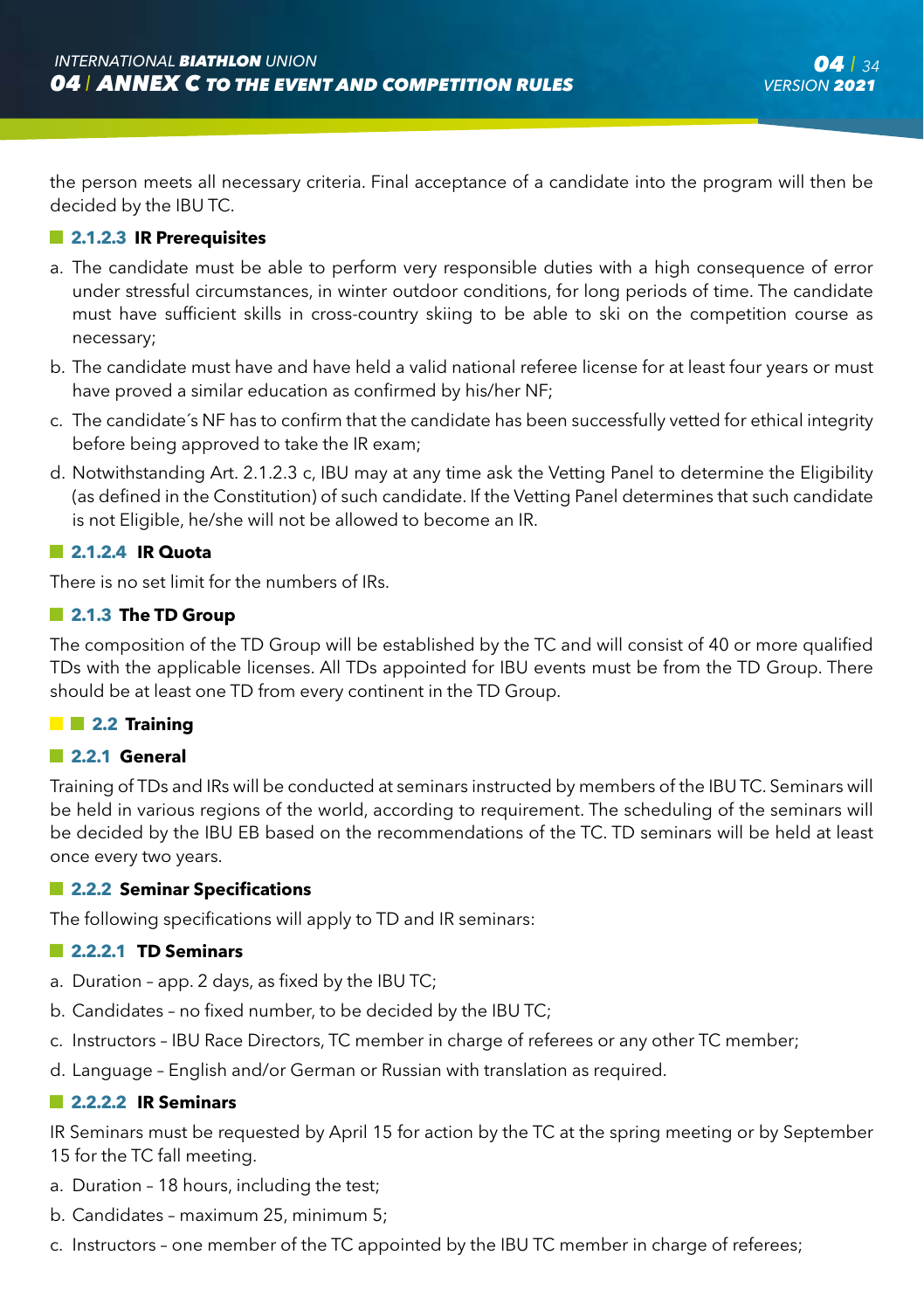the person meets all necessary criteria. Final acceptance of a candidate into the program will then be decided by the IBU TC.

#### **2.1.2.3 IR Prerequisites**

- a. The candidate must be able to perform very responsible duties with a high consequence of error under stressful circumstances, in winter outdoor conditions, for long periods of time. The candidate must have sufficient skills in cross-country skiing to be able to ski on the competition course as necessary;
- b. The candidate must have and have held a valid national referee license for at least four years or must have proved a similar education as confirmed by his/her NF;
- c. The candidate´s NF has to confirm that the candidate has been successfully vetted for ethical integrity before being approved to take the IR exam;
- d. Notwithstanding Art. 2.1.2.3 c, IBU may at any time ask the Vetting Panel to determine the Eligibility (as defined in the Constitution) of such candidate. If the Vetting Panel determines that such candidate is not Eligible, he/she will not be allowed to become an IR.

#### **2.1.2.4 IR Quota**

There is no set limit for the numbers of IRs.

#### **2.1.3 The TD Group**

The composition of the TD Group will be established by the TC and will consist of 40 or more qualified TDs with the applicable licenses. All TDs appointed for IBU events must be from the TD Group. There should be at least one TD from every continent in the TD Group.

#### **2.2 Training**

#### **2.2.1 General**

Training of TDs and IRs will be conducted at seminars instructed by members of the IBU TC. Seminars will be held in various regions of the world, according to requirement. The scheduling of the seminars will be decided by the IBU EB based on the recommendations of the TC. TD seminars will be held at least once every two years.

#### **2.2.2 Seminar Specifications**

The following specifications will apply to TD and IR seminars:

#### **2.2.2.1 TD Seminars**

- a. Duration app. 2 days, as fixed by the IBU TC;
- b. Candidates no fixed number, to be decided by the IBU TC;
- c. Instructors IBU Race Directors, TC member in charge of referees or any other TC member;
- d. Language English and/or German or Russian with translation as required.

#### **2.2.2.2 IR Seminars**

IR Seminars must be requested by April 15 for action by the TC at the spring meeting or by September 15 for the TC fall meeting.

- a. Duration 18 hours, including the test;
- b. Candidates maximum 25, minimum 5;
- c. Instructors one member of the TC appointed by the IBU TC member in charge of referees;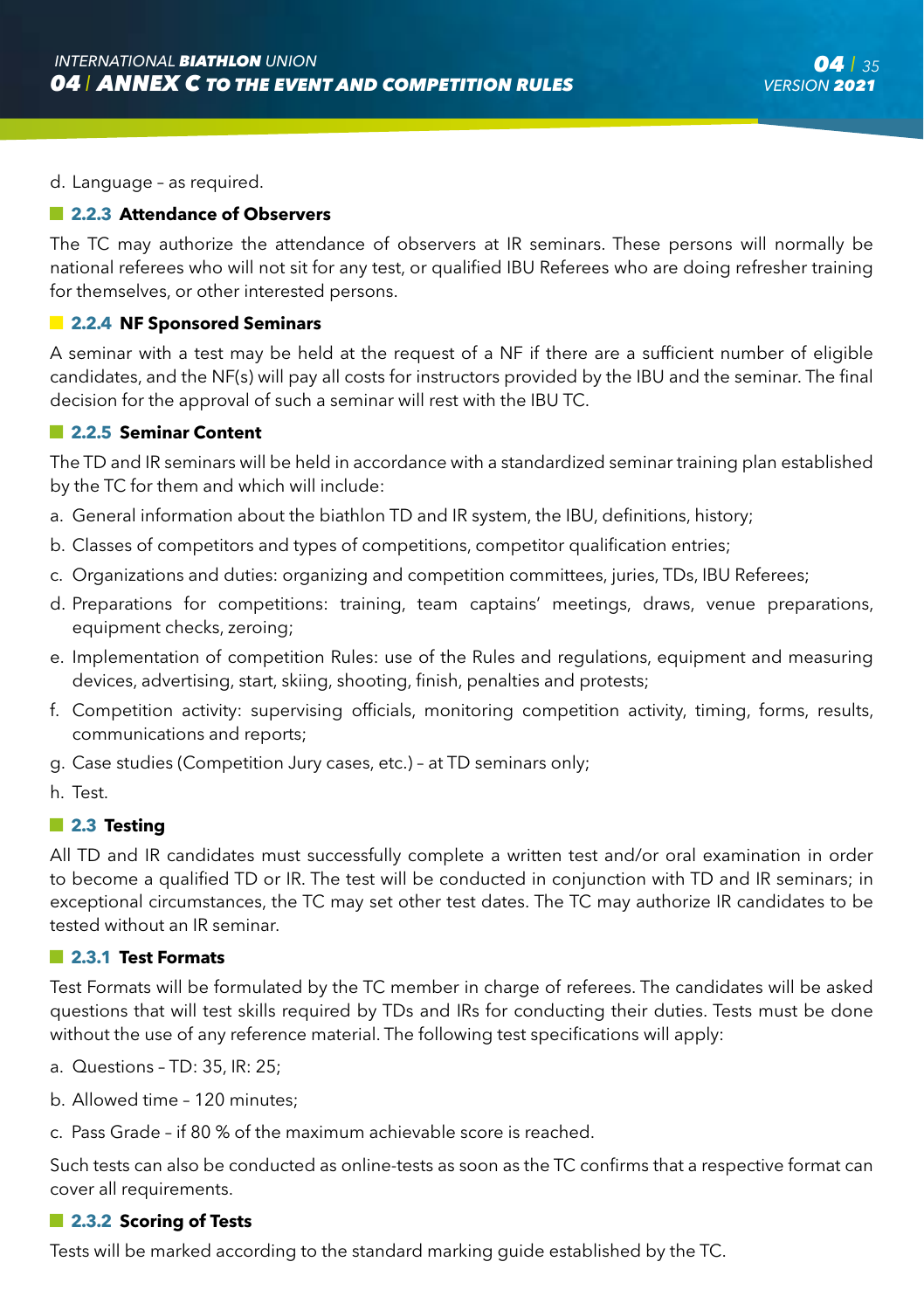d. Language – as required.

#### **2.2.3 Attendance of Observers**

The TC may authorize the attendance of observers at IR seminars. These persons will normally be national referees who will not sit for any test, or qualified IBU Referees who are doing refresher training for themselves, or other interested persons.

#### **2.2.4 NF Sponsored Seminars**

A seminar with a test may be held at the request of a NF if there are a sufficient number of eligible candidates, and the NF(s) will pay all costs for instructors provided by the IBU and the seminar. The final decision for the approval of such a seminar will rest with the IBU TC.

#### **2.2.5 Seminar Content**

The TD and IR seminars will be held in accordance with a standardized seminar training plan established by the TC for them and which will include:

- a. General information about the biathlon TD and IR system, the IBU, definitions, history;
- b. Classes of competitors and types of competitions, competitor qualification entries;
- c. Organizations and duties: organizing and competition committees, juries, TDs, IBU Referees;
- d. Preparations for competitions: training, team captains' meetings, draws, venue preparations, equipment checks, zeroing;
- e. Implementation of competition Rules: use of the Rules and regulations, equipment and measuring devices, advertising, start, skiing, shooting, finish, penalties and protests;
- f. Competition activity: supervising officials, monitoring competition activity, timing, forms, results, communications and reports;
- g. Case studies (Competition Jury cases, etc.) at TD seminars only;
- h. Test.

#### **2.3 Testing**

All TD and IR candidates must successfully complete a written test and/or oral examination in order to become a qualified TD or IR. The test will be conducted in conjunction with TD and IR seminars; in exceptional circumstances, the TC may set other test dates. The TC may authorize IR candidates to be tested without an IR seminar.

#### **2.3.1 Test Formats**

Test Formats will be formulated by the TC member in charge of referees. The candidates will be asked questions that will test skills required by TDs and IRs for conducting their duties. Tests must be done without the use of any reference material. The following test specifications will apply:

- a. Questions TD: 35, IR: 25;
- b. Allowed time 120 minutes;
- c. Pass Grade if 80 % of the maximum achievable score is reached.

Such tests can also be conducted as online-tests as soon as the TC confirms that a respective format can cover all requirements.

#### **2.3.2 Scoring of Tests**

Tests will be marked according to the standard marking guide established by the TC.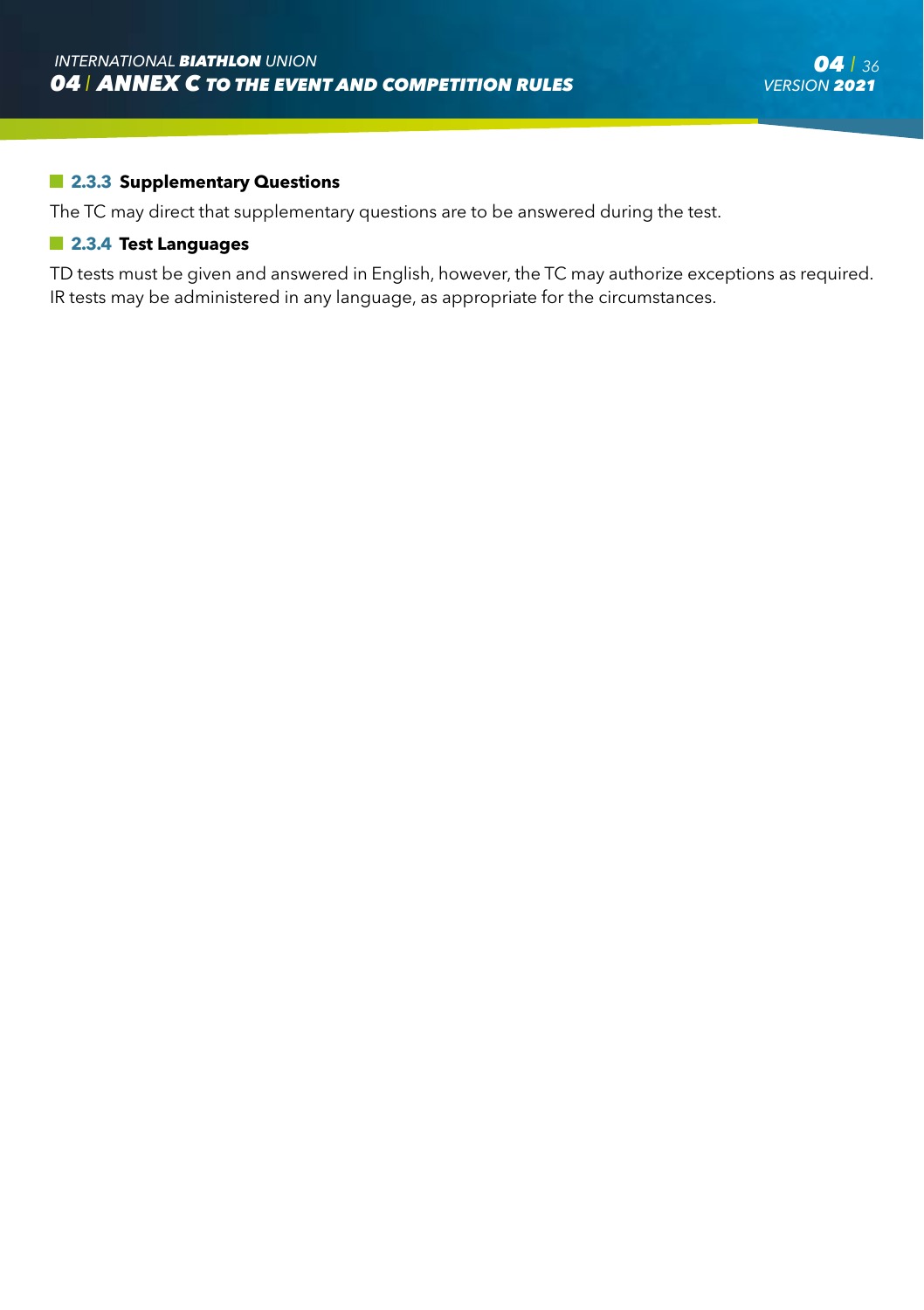#### **2.3.3 Supplementary Questions**

The TC may direct that supplementary questions are to be answered during the test.

#### **2.3.4 Test Languages**

TD tests must be given and answered in English, however, the TC may authorize exceptions as required. IR tests may be administered in any language, as appropriate for the circumstances.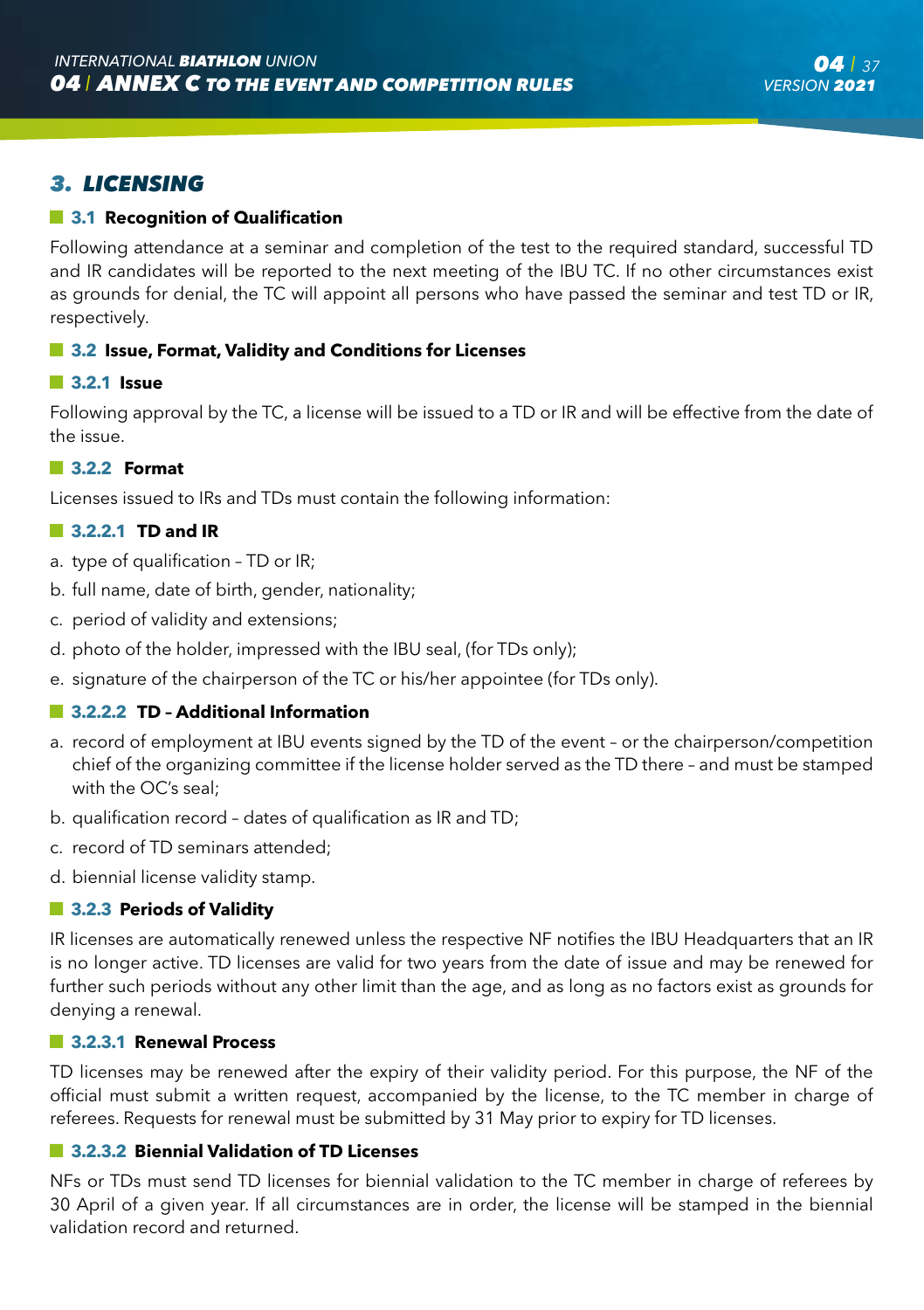#### **3.1 Recognition of Qualification**

Following attendance at a seminar and completion of the test to the required standard, successful TD and IR candidates will be reported to the next meeting of the IBU TC. If no other circumstances exist as grounds for denial, the TC will appoint all persons who have passed the seminar and test TD or IR, respectively.

#### **3.2 Issue, Format, Validity and Conditions for Licenses**

#### **3.2.1 Issue**

Following approval by the TC, a license will be issued to a TD or IR and will be effective from the date of the issue.

#### **3.2.2 Format**

Licenses issued to IRs and TDs must contain the following information:

#### **3.2.2.1 TD and IR**

- a. type of qualification TD or IR;
- b. full name, date of birth, gender, nationality;
- c. period of validity and extensions;
- d. photo of the holder, impressed with the IBU seal, (for TDs only);
- e. signature of the chairperson of the TC or his/her appointee (for TDs only).

#### **3.2.2.2 TD – Additional Information**

- a. record of employment at IBU events signed by the TD of the event or the chairperson/competition chief of the organizing committee if the license holder served as the TD there – and must be stamped with the OC's seal;
- b. qualification record dates of qualification as IR and TD;
- c. record of TD seminars attended;
- d. biennial license validity stamp.

#### **3.2.3 Periods of Validity**

IR licenses are automatically renewed unless the respective NF notifies the IBU Headquarters that an IR is no longer active. TD licenses are valid for two years from the date of issue and may be renewed for further such periods without any other limit than the age, and as long as no factors exist as grounds for denying a renewal.

#### **3.2.3.1 Renewal Process**

TD licenses may be renewed after the expiry of their validity period. For this purpose, the NF of the official must submit a written request, accompanied by the license, to the TC member in charge of referees. Requests for renewal must be submitted by 31 May prior to expiry for TD licenses.

#### **3.2.3.2 Biennial Validation of TD Licenses**

NFs or TDs must send TD licenses for biennial validation to the TC member in charge of referees by 30 April of a given year. If all circumstances are in order, the license will be stamped in the biennial validation record and returned.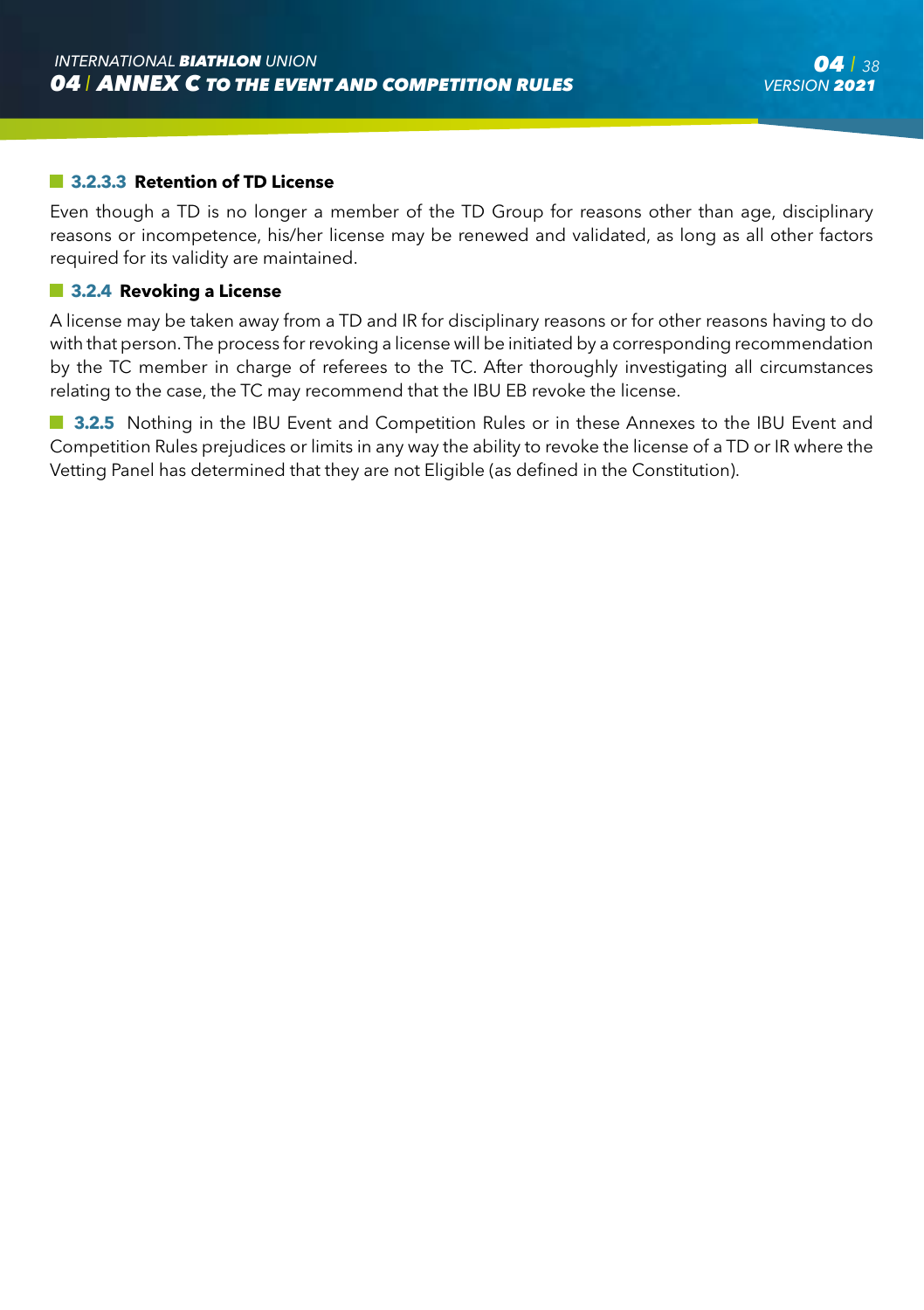#### **3.2.3.3 Retention of TD License**

Even though a TD is no longer a member of the TD Group for reasons other than age, disciplinary reasons or incompetence, his/her license may be renewed and validated, as long as all other factors required for its validity are maintained.

#### **3.2.4 Revoking a License**

A license may be taken away from a TD and IR for disciplinary reasons or for other reasons having to do with that person. The process for revoking a license will be initiated by a corresponding recommendation by the TC member in charge of referees to the TC. After thoroughly investigating all circumstances relating to the case, the TC may recommend that the IBU EB revoke the license.

**3.2.5** Nothing in the IBU Event and Competition Rules or in these Annexes to the IBU Event and Competition Rules prejudices or limits in any way the ability to revoke the license of a TD or IR where the Vetting Panel has determined that they are not Eligible (as defined in the Constitution).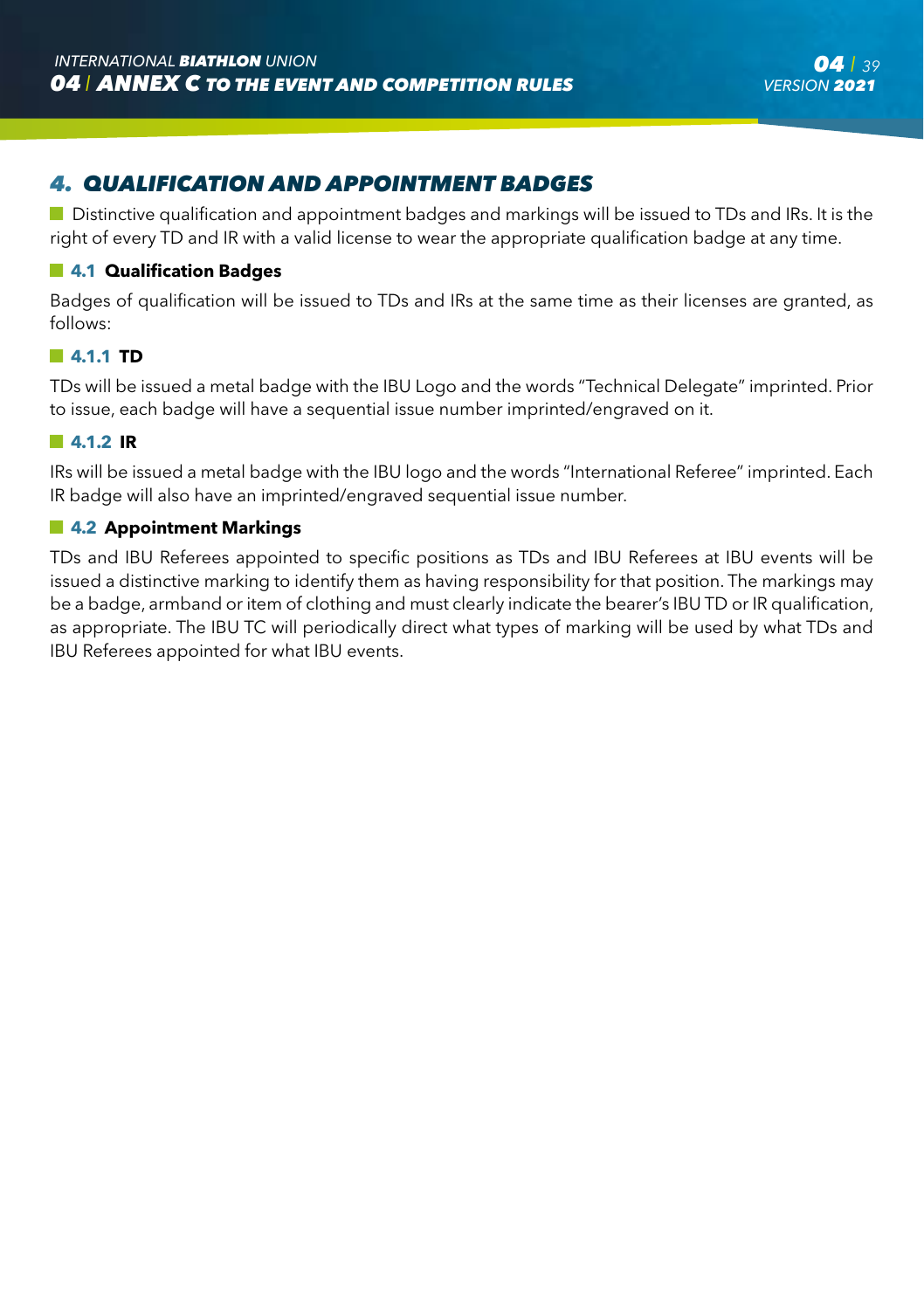# *4. QUALIFICATION AND APPOINTMENT BADGES*

Distinctive qualification and appointment badges and markings will be issued to TDs and IRs. It is the right of every TD and IR with a valid license to wear the appropriate qualification badge at any time.

#### **4.1 Qualification Badges**

Badges of qualification will be issued to TDs and IRs at the same time as their licenses are granted, as follows:

#### **4.1.1 TD**

TDs will be issued a metal badge with the IBU Logo and the words "Technical Delegate" imprinted. Prior to issue, each badge will have a sequential issue number imprinted/engraved on it.

#### **4.1.2 IR**

IRs will be issued a metal badge with the IBU logo and the words "International Referee" imprinted. Each IR badge will also have an imprinted/engraved sequential issue number.

#### **4.2 Appointment Markings**

TDs and IBU Referees appointed to specific positions as TDs and IBU Referees at IBU events will be issued a distinctive marking to identify them as having responsibility for that position. The markings may be a badge, armband or item of clothing and must clearly indicate the bearer's IBU TD or IR qualification, as appropriate. The IBU TC will periodically direct what types of marking will be used by what TDs and IBU Referees appointed for what IBU events.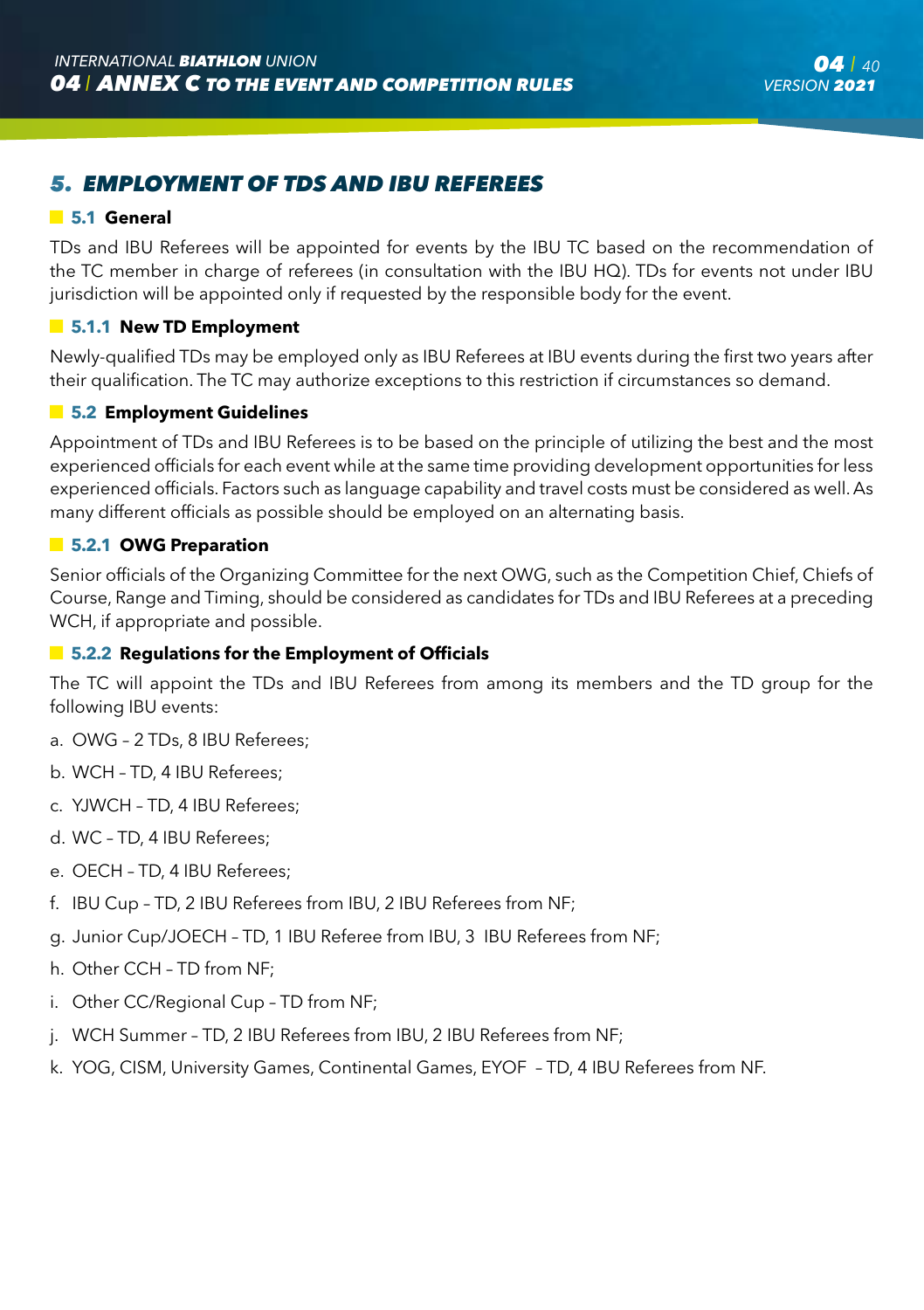# *5. EMPLOYMENT OF TDS AND IBU REFEREES*

#### **5.1 General**

TDs and IBU Referees will be appointed for events by the IBU TC based on the recommendation of the TC member in charge of referees (in consultation with the IBU HQ). TDs for events not under IBU jurisdiction will be appointed only if requested by the responsible body for the event.

#### **5.1.1 New TD Employment**

Newly-qualified TDs may be employed only as IBU Referees at IBU events during the first two years after their qualification. The TC may authorize exceptions to this restriction if circumstances so demand.

#### **5.2 Employment Guidelines**

Appointment of TDs and IBU Referees is to be based on the principle of utilizing the best and the most experienced officials for each event while at the same time providing development opportunities for less experienced officials. Factors such as language capability and travel costs must be considered as well. As many different officials as possible should be employed on an alternating basis.

#### **5.2.1 OWG Preparation**

Senior officials of the Organizing Committee for the next OWG, such as the Competition Chief, Chiefs of Course, Range and Timing, should be considered as candidates for TDs and IBU Referees at a preceding WCH, if appropriate and possible.

#### **F** 5.2.2 Regulations for the Employment of Officials

The TC will appoint the TDs and IBU Referees from among its members and the TD group for the following IBU events:

- a. OWG 2 TDs, 8 IBU Referees;
- b. WCH TD, 4 IBU Referees;
- c. YJWCH TD, 4 IBU Referees;
- d. WC TD, 4 IBU Referees;
- e. OECH TD, 4 IBU Referees;
- f. IBU Cup TD, 2 IBU Referees from IBU, 2 IBU Referees from NF;
- g. Junior Cup/JOECH TD, 1 IBU Referee from IBU, 3 IBU Referees from NF;
- h. Other CCH TD from NF;
- i. Other CC/Regional Cup TD from NF;
- j. WCH Summer TD, 2 IBU Referees from IBU, 2 IBU Referees from NF;
- k. YOG, CISM, University Games, Continental Games, EYOF TD, 4 IBU Referees from NF.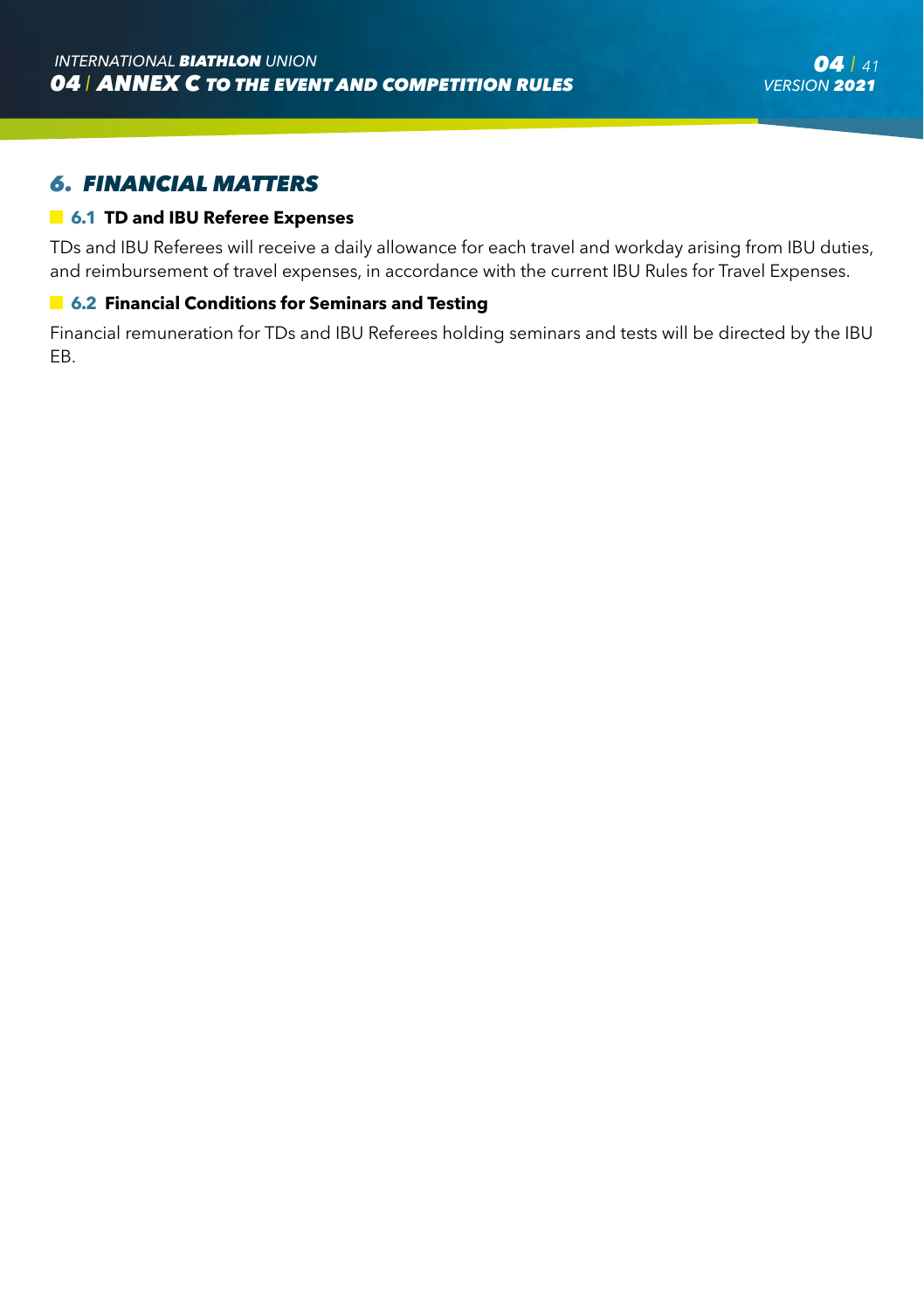### *6. FINANCIAL MATTERS*

#### **6.1 TD and IBU Referee Expenses**

TDs and IBU Referees will receive a daily allowance for each travel and workday arising from IBU duties, and reimbursement of travel expenses, in accordance with the current IBU Rules for Travel Expenses.

#### **6.2 Financial Conditions for Seminars and Testing**

Financial remuneration for TDs and IBU Referees holding seminars and tests will be directed by the IBU EB.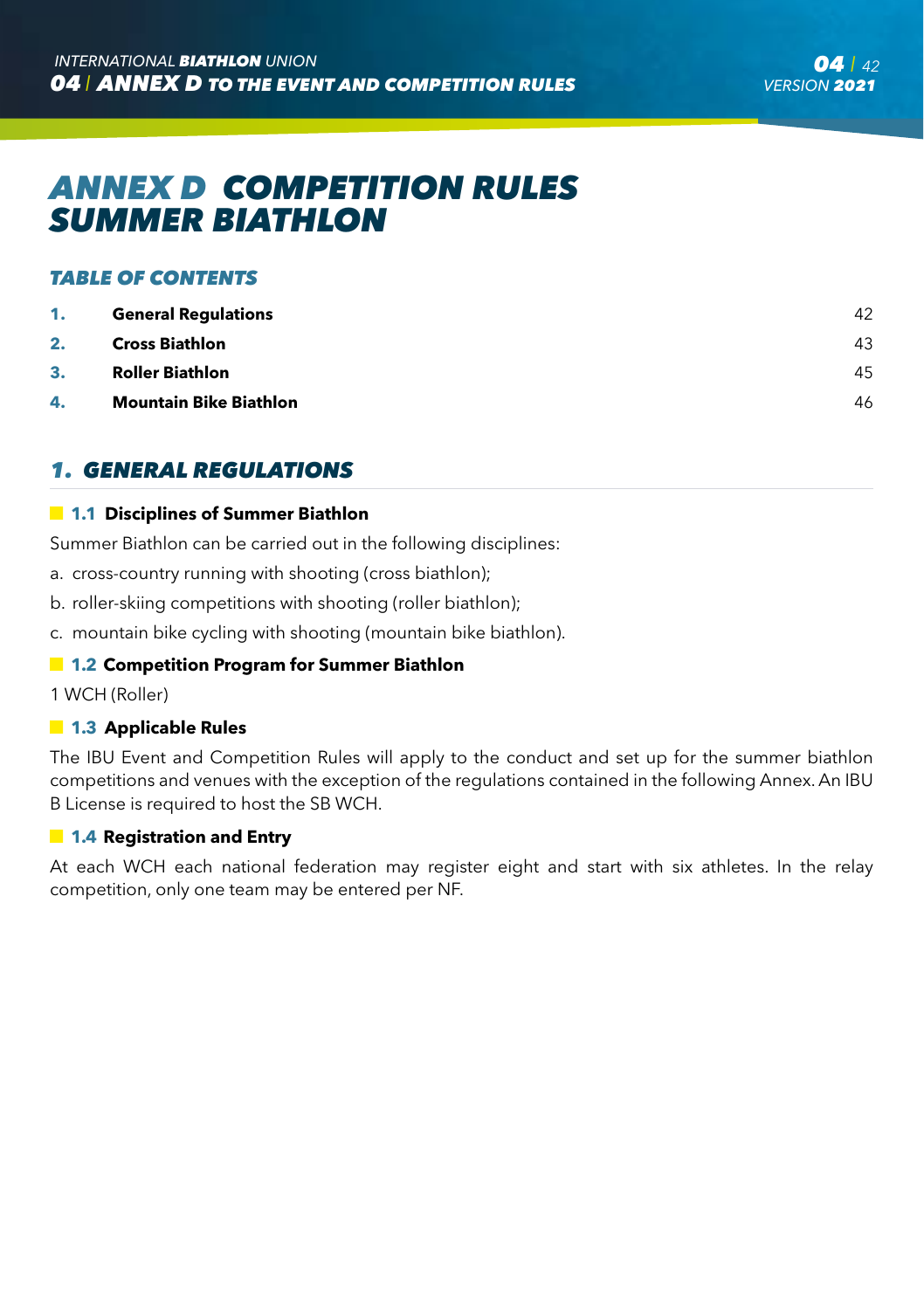# *ANNEX D COMPETITION RULES SUMMER BIATHLON*

#### *TABLE OF CONTENTS*

| 1. | <b>General Regulations</b>    | 42 |
|----|-------------------------------|----|
| 2. | <b>Cross Biathlon</b>         | 43 |
| 3. | <b>Roller Biathlon</b>        | 45 |
| 4. | <b>Mountain Bike Biathlon</b> | 46 |

# *1. GENERAL REGULATIONS*

#### **1.1 Disciplines of Summer Biathlon**

Summer Biathlon can be carried out in the following disciplines:

- a. cross-country running with shooting (cross biathlon);
- b. roller-skiing competitions with shooting (roller biathlon);
- c. mountain bike cycling with shooting (mountain bike biathlon).

#### **1.2 Competition Program for Summer Biathlon**

1 WCH (Roller)

#### **1.3 Applicable Rules**

The IBU Event and Competition Rules will apply to the conduct and set up for the summer biathlon competitions and venues with the exception of the regulations contained in the following Annex. An IBU B License is required to host the SB WCH.

#### **1.4 Registration and Entry**

At each WCH each national federation may register eight and start with six athletes. In the relay competition, only one team may be entered per NF.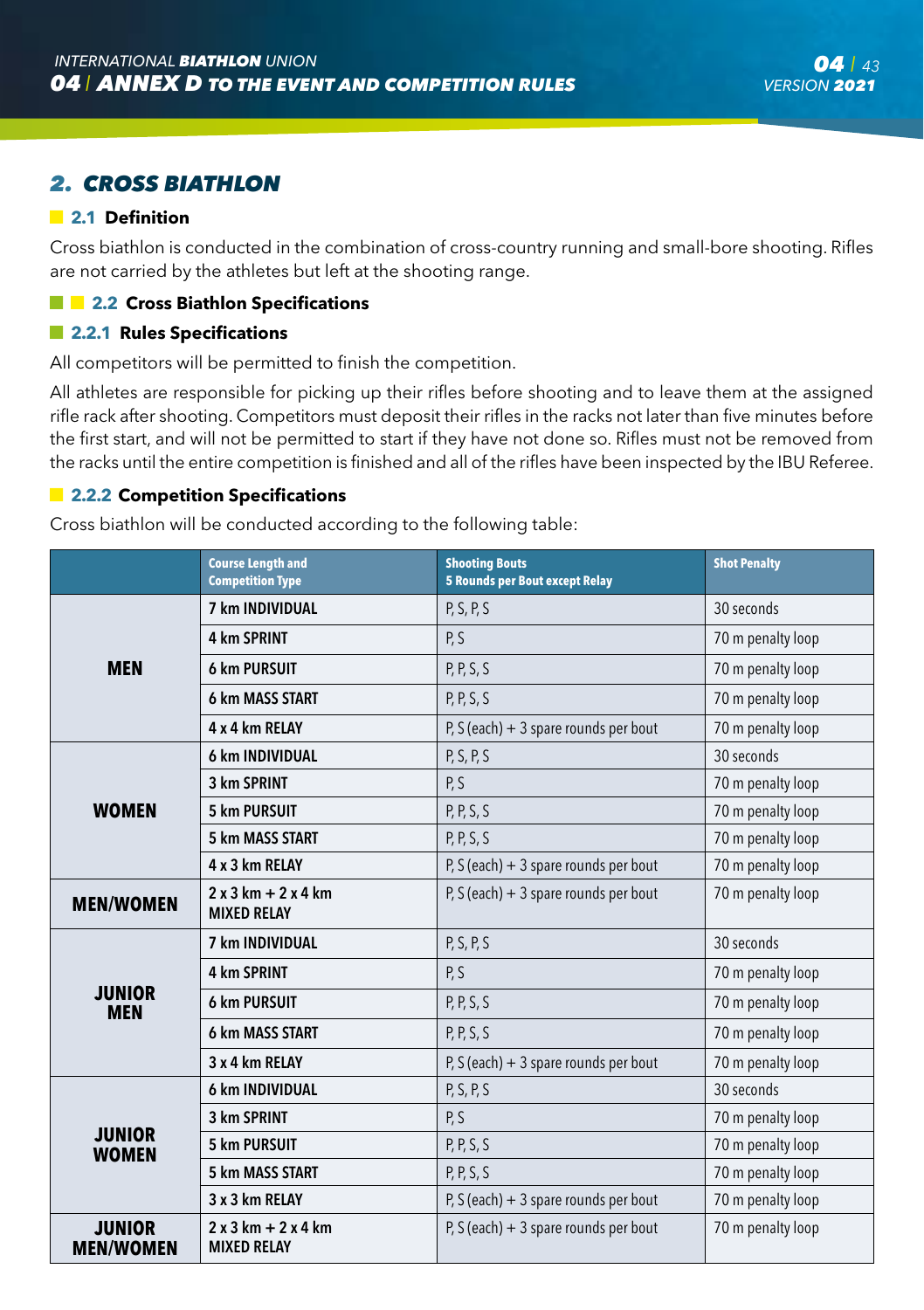# *2. CROSS BIATHLON*

#### **2.1 Definition**

Cross biathlon is conducted in the combination of cross-country running and small-bore shooting. Rifles are not carried by the athletes but left at the shooting range.

#### **2.2 Cross Biathlon Specifications**

#### **2.2.1 Rules Specifications**

All competitors will be permitted to finish the competition.

All athletes are responsible for picking up their rifles before shooting and to leave them at the assigned rifle rack after shooting. Competitors must deposit their rifles in the racks not later than five minutes before the first start, and will not be permitted to start if they have not done so. Rifles must not be removed from the racks until the entire competition is finished and all of the rifles have been inspected by the IBU Referee.

#### **2.2.2 Competition Specifications**

Cross biathlon will be conducted according to the following table:

|                               | <b>Course Length and</b><br><b>Competition Type</b> | <b>Shooting Bouts</b><br><b>5 Rounds per Bout except Relay</b> | <b>Shot Penalty</b> |
|-------------------------------|-----------------------------------------------------|----------------------------------------------------------------|---------------------|
|                               | 7 km INDIVIDUAL                                     | P, S, P, S                                                     | 30 seconds          |
|                               | 4 km SPRINT                                         | P, S                                                           | 70 m penalty loop   |
| <b>MEN</b>                    | <b>6 km PURSUIT</b>                                 | P, P, S, S                                                     | 70 m penalty loop   |
|                               | 6 km MASS START                                     | P, P, S, S                                                     | 70 m penalty loop   |
|                               | 4 x 4 km RELAY                                      | P, S (each) $+3$ spare rounds per bout                         | 70 m penalty loop   |
|                               | 6 km INDIVIDUAL                                     | P, S, P, S                                                     | 30 seconds          |
|                               | 3 km SPRINT                                         | P, S                                                           | 70 m penalty loop   |
| <b>WOMEN</b>                  | <b>5 km PURSUIT</b>                                 | P, P, S, S                                                     | 70 m penalty loop   |
|                               | 5 km MASS START                                     | P, P, S, S                                                     | 70 m penalty loop   |
|                               | 4 x 3 km RELAY                                      | P, S (each) $+3$ spare rounds per bout                         | 70 m penalty loop   |
| <b>MEN/WOMEN</b>              | $2x3km + 2x4km$<br><b>MIXED RELAY</b>               | P, S (each) $+3$ spare rounds per bout                         | 70 m penalty loop   |
|                               | 7 km INDIVIDUAL                                     | P, S, P, S                                                     | 30 seconds          |
|                               | 4 km SPRINT                                         | P, S                                                           | 70 m penalty loop   |
| <b>JUNIOR</b><br><b>MEN</b>   | <b>6 km PURSUIT</b>                                 | P, P, S, S                                                     | 70 m penalty loop   |
|                               | 6 km MASS START                                     | P, P, S, S                                                     | 70 m penalty loop   |
|                               | 3 x 4 km RELAY                                      | P, S (each) $+3$ spare rounds per bout                         | 70 m penalty loop   |
|                               | 6 km INDIVIDUAL                                     | P, S, P, S                                                     | 30 seconds          |
|                               | 3 km SPRINT                                         | P, S                                                           | 70 m penalty loop   |
| <b>JUNIOR</b><br><b>WOMEN</b> | 5 km PURSUIT                                        | P, P, S, S                                                     | 70 m penalty loop   |
|                               | 5 km MASS START                                     | P, P, S, S                                                     | 70 m penalty loop   |
|                               | 3 x 3 km RELAY                                      | P, S (each) $+3$ spare rounds per bout                         | 70 m penalty loop   |
| JUNIOR<br><b>MEN/WOMEN</b>    | $2x3km + 2x4km$<br><b>MIXED RELAY</b>               | P, S (each) $+3$ spare rounds per bout                         | 70 m penalty loop   |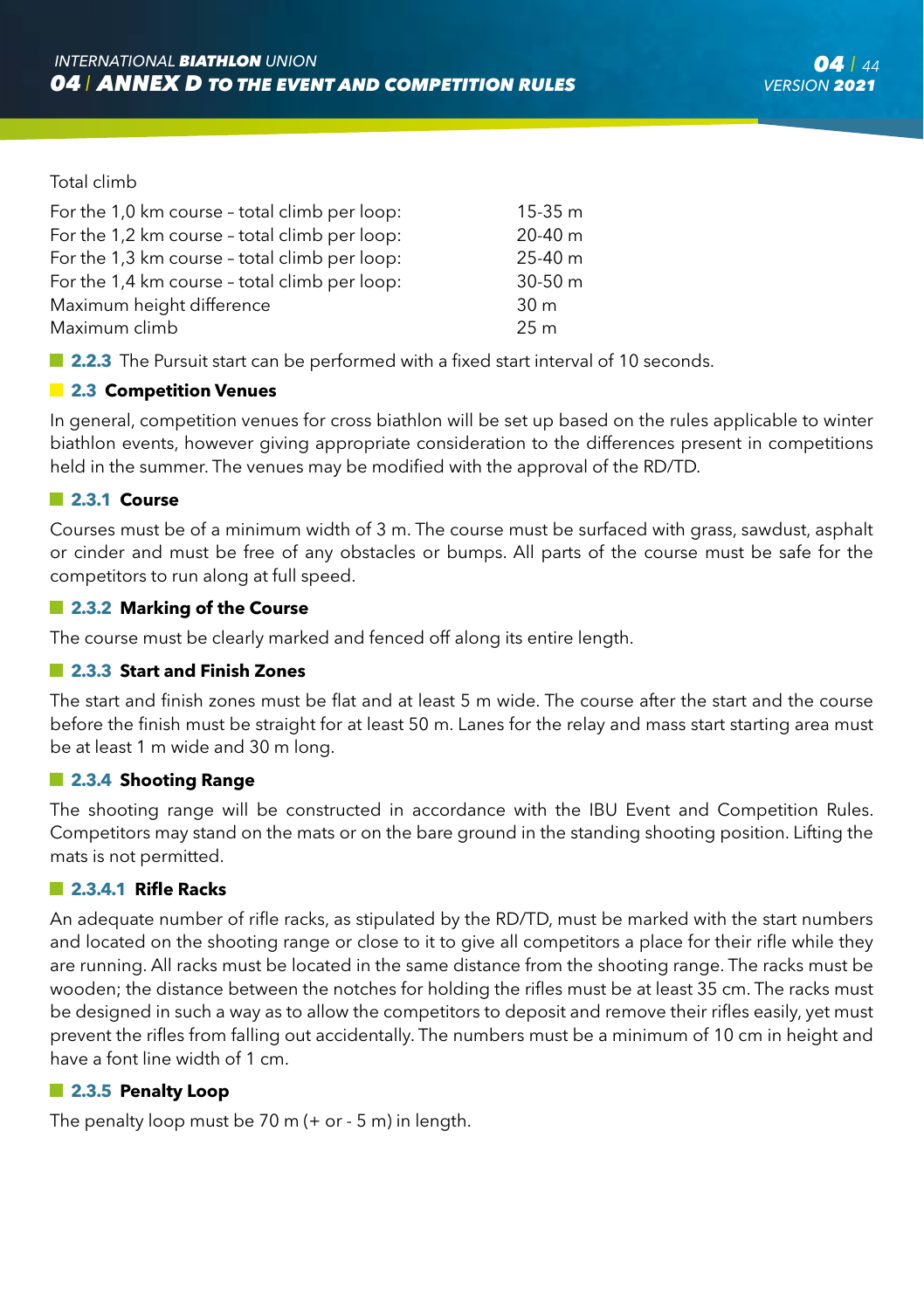#### Total climb

| For the 1,0 km course - total climb per loop: | $15-35 m$       |
|-----------------------------------------------|-----------------|
| For the 1,2 km course - total climb per loop: | $20-40$ m       |
| For the 1,3 km course - total climb per loop: | $25-40$ m       |
| For the 1,4 km course - total climb per loop: | $30-50$ m       |
| Maximum height difference                     | 30 <sub>m</sub> |
| Maximum climb                                 | 25 <sub>m</sub> |
|                                               |                 |

**2.2.3** The Pursuit start can be performed with a fixed start interval of 10 seconds.

#### **2.3 Competition Venues**

In general, competition venues for cross biathlon will be set up based on the rules applicable to winter biathlon events, however giving appropriate consideration to the differences present in competitions held in the summer. The venues may be modified with the approval of the RD/TD.

#### **2.3.1 Course**

Courses must be of a minimum width of 3 m. The course must be surfaced with grass, sawdust, asphalt or cinder and must be free of any obstacles or bumps. All parts of the course must be safe for the competitors to run along at full speed.

#### **2.3.2 Marking of the Course**

The course must be clearly marked and fenced off along its entire length.

#### **2.3.3 Start and Finish Zones**

The start and finish zones must be flat and at least 5 m wide. The course after the start and the course before the finish must be straight for at least 50 m. Lanes for the relay and mass start starting area must be at least 1 m wide and 30 m long.

#### **2.3.4 Shooting Range**

The shooting range will be constructed in accordance with the IBU Event and Competition Rules. Competitors may stand on the mats or on the bare ground in the standing shooting position. Lifting the mats is not permitted.

#### **2.3.4.1 Rifle Racks**

An adequate number of rifle racks, as stipulated by the RD/TD, must be marked with the start numbers and located on the shooting range or close to it to give all competitors a place for their rifle while they are running. All racks must be located in the same distance from the shooting range. The racks must be wooden; the distance between the notches for holding the rifles must be at least 35 cm. The racks must be designed in such a way as to allow the competitors to deposit and remove their rifles easily, yet must prevent the rifles from falling out accidentally. The numbers must be a minimum of 10 cm in height and have a font line width of 1 cm.

#### **2.3.5 Penalty Loop**

The penalty loop must be  $70$  m  $(+$  or  $-5$  m) in length.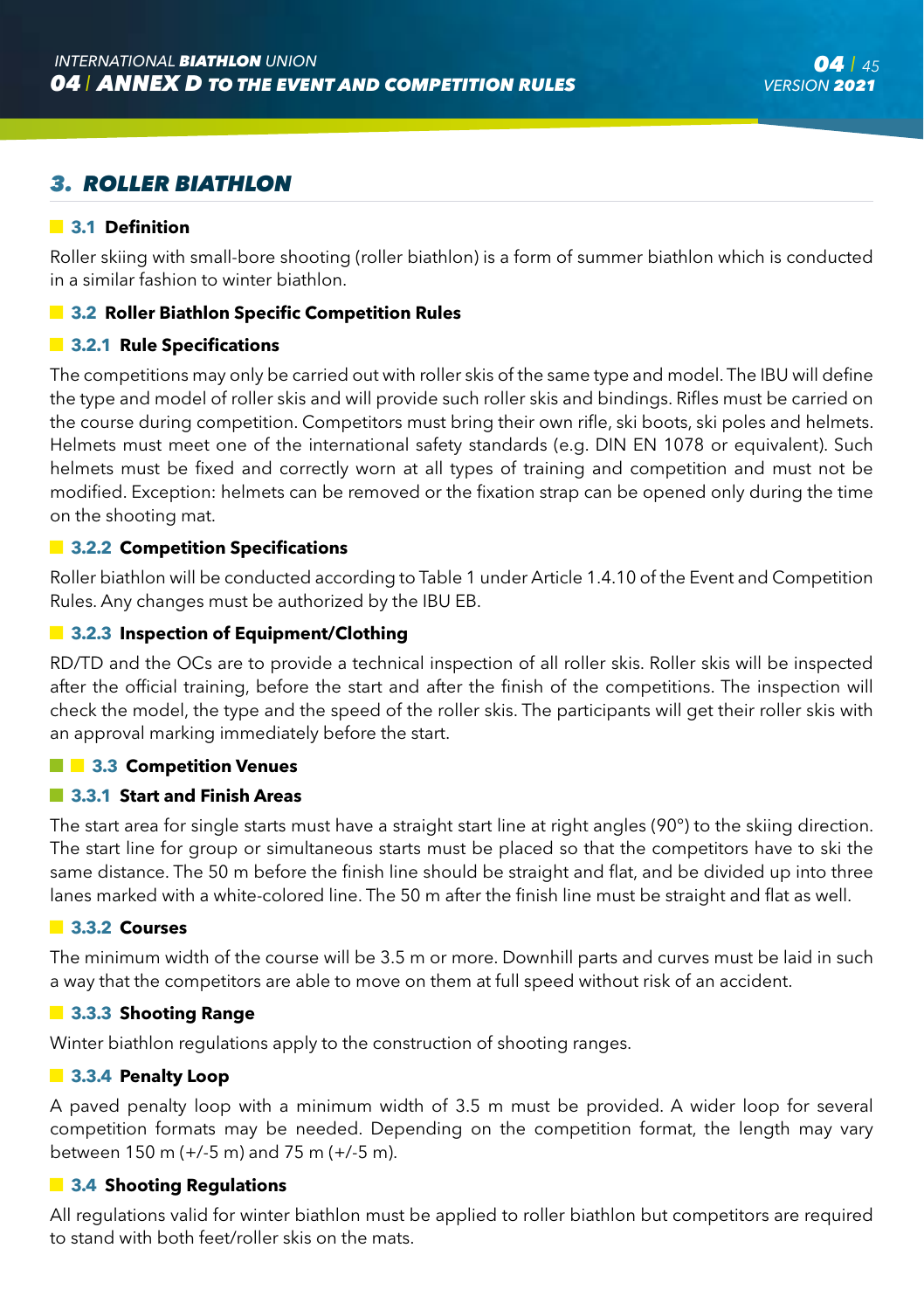# *3. ROLLER BIATHLON*

#### **3.1 Definition**

Roller skiing with small-bore shooting (roller biathlon) is a form of summer biathlon which is conducted in a similar fashion to winter biathlon.

#### **3.2 Roller Biathlon Specific Competition Rules**

#### **3.2.1 Rule Specifications**

The competitions may only be carried out with roller skis of the same type and model. The IBU will define the type and model of roller skis and will provide such roller skis and bindings. Rifles must be carried on the course during competition. Competitors must bring their own rifle, ski boots, ski poles and helmets. Helmets must meet one of the international safety standards (e.g. DIN EN 1078 or equivalent). Such helmets must be fixed and correctly worn at all types of training and competition and must not be modified. Exception: helmets can be removed or the fixation strap can be opened only during the time on the shooting mat.

#### **13.2.2 Competition Specifications**

Roller biathlon will be conducted according to Table 1 under Article 1.4.10 of the Event and Competition Rules. Any changes must be authorized by the IBU EB.

#### $\blacksquare$  **3.2.3 Inspection of Equipment/Clothing**

RD/TD and the OCs are to provide a technical inspection of all roller skis. Roller skis will be inspected after the official training, before the start and after the finish of the competitions. The inspection will check the model, the type and the speed of the roller skis. The participants will get their roller skis with an approval marking immediately before the start.

#### $\blacksquare$  3.3 Competition Venues

#### **3.3.1 Start and Finish Areas**

The start area for single starts must have a straight start line at right angles (90°) to the skiing direction. The start line for group or simultaneous starts must be placed so that the competitors have to ski the same distance. The 50 m before the finish line should be straight and flat, and be divided up into three lanes marked with a white-colored line. The 50 m after the finish line must be straight and flat as well.

#### **3.3.2 Courses**

The minimum width of the course will be 3.5 m or more. Downhill parts and curves must be laid in such a way that the competitors are able to move on them at full speed without risk of an accident.

#### **3.3.3 Shooting Range**

Winter biathlon regulations apply to the construction of shooting ranges.

#### **3.3.4 Penalty Loop**

A paved penalty loop with a minimum width of 3.5 m must be provided. A wider loop for several competition formats may be needed. Depending on the competition format, the length may vary between 150 m (+/-5 m) and 75 m (+/-5 m).

#### **3.4 Shooting Regulations**

All regulations valid for winter biathlon must be applied to roller biathlon but competitors are required to stand with both feet/roller skis on the mats.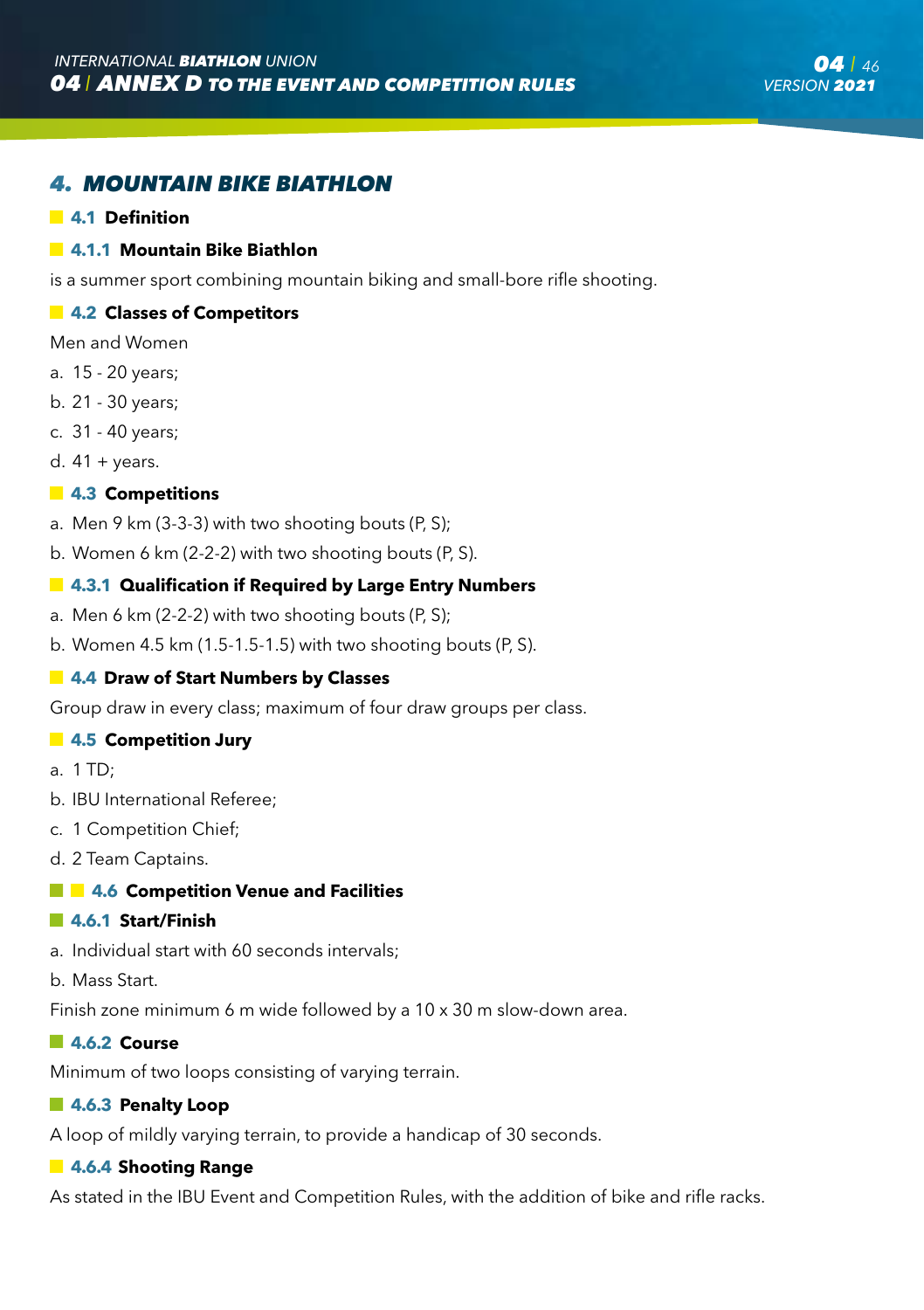### *4. MOUNTAIN BIKE BIATHLON*

#### **4.1 Definition**

#### **4.1.1 Mountain Bike Biathlon**

is a summer sport combining mountain biking and small-bore rifle shooting.

#### **4.2 Classes of Competitors**

- Men and Women
- a. 15 20 years;
- b. 21 30 years;
- c. 31 40 years;
- d.  $41 + \text{years}$ .

#### **4.3 Competitions**

- a. Men 9 km (3-3-3) with two shooting bouts (P, S);
- b. Women 6 km (2-2-2) with two shooting bouts (P, S).

#### **4.3.1 Qualification if Required by Large Entry Numbers**

- a. Men 6 km (2-2-2) with two shooting bouts (P, S);
- b. Women 4.5 km (1.5-1.5-1.5) with two shooting bouts (P, S).

#### **4.4 Draw of Start Numbers by Classes**

Group draw in every class; maximum of four draw groups per class.

#### **4.5 Competition Jury**

- a.  $1 \text{ TD}$
- b. IBU International Referee;
- c. 1 Competition Chief;
- d. 2 Team Captains.

#### **4.6 Competition Venue and Facilities**

#### **4.6.1 Start/Finish**

- a. Individual start with 60 seconds intervals;
- b. Mass Start.

Finish zone minimum 6 m wide followed by a 10 x 30 m slow-down area.

#### **4.6.2 Course**

Minimum of two loops consisting of varying terrain.

#### **4.6.3 Penalty Loop**

A loop of mildly varying terrain, to provide a handicap of 30 seconds.

#### **4.6.4 Shooting Range**

As stated in the IBU Event and Competition Rules, with the addition of bike and rifle racks.